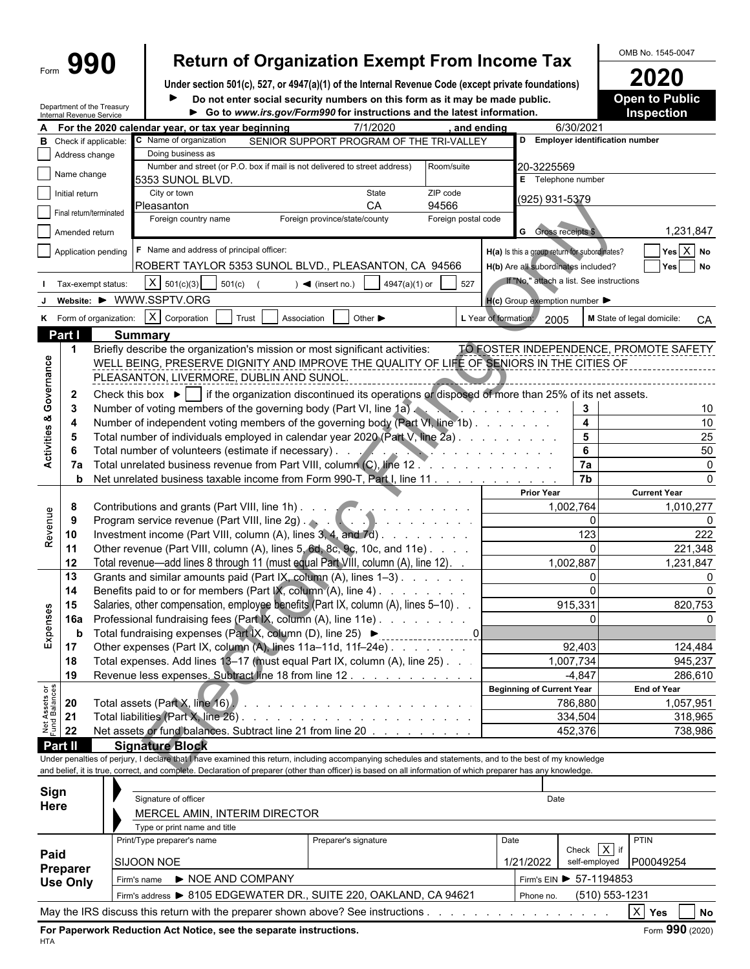# Form  $\left\{\begin{array}{c} \text{990} \\ \text{990} \end{array}\right\}$  Return of Organization Exempt From Income Tax Demands 1545-0047

Under section 501(c), 527, or 4947(a)(1) of the Internal Revenue Code (except private foundations)<br>
■ **2020** Do not enter social security numbers on this form as it may be made public. **2020** Open to Public  $\blacktriangleright$ Do not enter social security numbers on this form as it may be made public.

|                                | Internal Revenue Service | Department of the Treasury |                                                             | Go to www.irs.gov/Form990 for instructions and the latest information.                                                                                       |                                   |                                                                                                        |                                               | <b>Inspection</b>                      |
|--------------------------------|--------------------------|----------------------------|-------------------------------------------------------------|--------------------------------------------------------------------------------------------------------------------------------------------------------------|-----------------------------------|--------------------------------------------------------------------------------------------------------|-----------------------------------------------|----------------------------------------|
|                                |                          |                            | For the 2020 calendar year, or tax year beginning           | 7/1/2020                                                                                                                                                     | and ending                        |                                                                                                        | 6/30/2021                                     |                                        |
| в                              |                          | Check if applicable:       | C Name of organization                                      | SENIOR SUPPORT PROGRAM OF THE TRI-VALLEY                                                                                                                     |                                   |                                                                                                        | D Employer identification number              |                                        |
|                                | Address change           |                            | Doing business as                                           |                                                                                                                                                              |                                   |                                                                                                        |                                               |                                        |
|                                | Name change              |                            |                                                             | Number and street (or P.O. box if mail is not delivered to street address)                                                                                   | Room/suite                        | 20-3225569                                                                                             |                                               |                                        |
|                                | Initial return           |                            | 5353 SUNOL BLVD.<br>City or town                            | State                                                                                                                                                        | ZIP code                          |                                                                                                        | E Telephone number                            |                                        |
|                                |                          |                            | Pleasanton                                                  | CA                                                                                                                                                           | 94566                             | (925) 931-5379                                                                                         |                                               |                                        |
|                                | Final return/terminated  |                            | Foreign country name                                        | Foreign province/state/county                                                                                                                                | Foreign postal code               |                                                                                                        |                                               |                                        |
|                                | Amended return           |                            |                                                             |                                                                                                                                                              |                                   | <b>G</b> Gross receipts \$                                                                             |                                               | 1,231,847                              |
|                                |                          | Application pending        | <b>F</b> Name and address of principal officer:             |                                                                                                                                                              |                                   |                                                                                                        | H(a) Is this a group return for subordinates? | Yes $X$ No                             |
|                                |                          |                            |                                                             | ROBERT TAYLOR 5353 SUNOL BLVD., PLEASANTON, CA 94566                                                                                                         |                                   |                                                                                                        | H(b) Are all subordinates included?           | Yes No                                 |
|                                |                          |                            |                                                             |                                                                                                                                                              |                                   |                                                                                                        | If "No," attach a list. See instructions      |                                        |
|                                |                          | Tax-exempt status:         | $X \mid 501(c)(3)$<br>501(c)                                | 4947(a)(1) or<br>$\blacktriangleleft$ (insert no.)                                                                                                           | 527                               |                                                                                                        |                                               |                                        |
|                                |                          |                            | Website: ▶ WWW.SSPTV.ORG                                    |                                                                                                                                                              |                                   | $H(c)$ Group exemption number $\blacktriangleright$                                                    |                                               |                                        |
|                                |                          | K Form of organization:    | X Corporation<br>Trust                                      | Other $\blacktriangleright$<br>Association                                                                                                                   |                                   | L Year of formation:<br>2005                                                                           |                                               | M State of legal domicile:<br>CA       |
|                                | Part I                   |                            | <b>Summary</b>                                              |                                                                                                                                                              |                                   |                                                                                                        |                                               |                                        |
|                                | -1                       |                            |                                                             | Briefly describe the organization's mission or most significant activities:                                                                                  |                                   |                                                                                                        |                                               | TO FOSTER INDEPENDENCE, PROMOTE SAFETY |
|                                |                          |                            |                                                             | WELL BEING, PRESERVE DIGNITY AND IMPROVE THE QUALITY OF LIFE OF SENIORS IN THE CITIES OF                                                                     |                                   |                                                                                                        |                                               |                                        |
|                                |                          |                            | PLEASANTON, LIVERMORE, DUBLIN AND SUNOL.                    |                                                                                                                                                              |                                   |                                                                                                        |                                               |                                        |
|                                | $\mathbf{2}$             |                            |                                                             | Check this box $\blacktriangleright$ if the organization discontinued its operations or disposed of more than 25% of its net assets.                         |                                   |                                                                                                        |                                               |                                        |
|                                | 3                        |                            |                                                             | Number of voting members of the governing body (Part VI, line 1a)                                                                                            |                                   | $\mathbf{r}$ , $\mathbf{r}$ , $\mathbf{r}$ , $\mathbf{r}$ , $\mathbf{r}$ , $\mathbf{r}$ , $\mathbf{r}$ | 3                                             | 10                                     |
|                                | 4                        |                            |                                                             | Number of independent voting members of the governing body (Part VI, line 1b)                                                                                |                                   |                                                                                                        | $\overline{\mathbf{4}}$                       | 10                                     |
| Activities & Governance        | 5                        |                            |                                                             | Total number of individuals employed in calendar year 2020 (Part V, line 2a).                                                                                |                                   |                                                                                                        | $\overline{\mathbf{5}}$                       | 25                                     |
|                                |                          |                            | Total number of volunteers (estimate if necessary). .       |                                                                                                                                                              | and the state of the state of the |                                                                                                        | 6                                             | 50                                     |
|                                | 7a                       |                            |                                                             |                                                                                                                                                              |                                   |                                                                                                        | 7a                                            | $\Omega$                               |
|                                | b                        |                            |                                                             | Net unrelated business taxable income from Form 990-T, Part I, line 11                                                                                       |                                   |                                                                                                        | $\overline{7b}$                               | ∩                                      |
|                                |                          |                            |                                                             |                                                                                                                                                              |                                   | <b>Prior Year</b>                                                                                      |                                               | <b>Current Year</b>                    |
|                                | 8                        |                            | Contributions and grants (Part VIII, line 1h)               |                                                                                                                                                              |                                   | 1,002,764                                                                                              | 1,010,277                                     |                                        |
| Revenue                        | 9                        |                            |                                                             |                                                                                                                                                              |                                   |                                                                                                        | $\Omega$                                      |                                        |
|                                | 10                       |                            |                                                             | Investment income (Part VIII, column (A), lines 3, 4, and 7d)                                                                                                |                                   |                                                                                                        | 123                                           | 222                                    |
|                                | 11                       |                            |                                                             | Other revenue (Part VIII, column (A), lines 5, 6d, 8c, 9c, 10c, and 11e)                                                                                     |                                   |                                                                                                        | $\Omega$                                      | 221,348                                |
|                                | 12                       |                            |                                                             | Total revenue—add lines 8 through 11 (must equal Part VIII, column (A), line 12). .                                                                          |                                   |                                                                                                        | 1,002,887                                     | 1,231,847                              |
|                                | 13                       |                            |                                                             | Grants and similar amounts paid (Part IX, column (A), lines 1-3)                                                                                             |                                   |                                                                                                        | 0                                             |                                        |
|                                | 14                       |                            |                                                             | Benefits paid to or for members (Part IX, column (A), line 4)                                                                                                |                                   |                                                                                                        | 0                                             |                                        |
|                                | 15                       |                            |                                                             | Salaries, other compensation, employee benefits (Part IX, column (A), lines 5-10).                                                                           |                                   |                                                                                                        | 915,331                                       | 820,753                                |
| Expenses                       | 16a                      |                            |                                                             | Professional fundraising fees (Part IX, column (A), line 11e)                                                                                                |                                   |                                                                                                        | $\Omega$                                      |                                        |
|                                | b                        |                            | Total fundraising expenses (Part IX, column (D), line 25) ▶ |                                                                                                                                                              |                                   |                                                                                                        | 92.403                                        | 124,484                                |
|                                | 17<br>18                 |                            |                                                             | Other expenses (Part IX, column (A), lines 11a-11d, 11f-24e)<br>Total expenses. Add lines 13-17 (must equal Part IX, column (A), line 25). .                 |                                   |                                                                                                        | 1,007,734                                     |                                        |
|                                | 19                       |                            |                                                             | Revenue less expenses. Subtract line 18 from line 12.                                                                                                        |                                   |                                                                                                        | $-4,847$                                      | 945,237<br>286,610                     |
|                                |                          |                            |                                                             |                                                                                                                                                              |                                   | <b>Beginning of Current Year</b>                                                                       |                                               | <b>End of Year</b>                     |
|                                | 20                       |                            | Total assets (Part X, line 16).                             |                                                                                                                                                              |                                   |                                                                                                        | 786,880                                       | 1,057,951                              |
|                                | 21                       |                            |                                                             |                                                                                                                                                              |                                   |                                                                                                        | 334,504                                       | 318,965                                |
| Net Assets or<br>Fund Balances | 22                       |                            |                                                             | Net assets or fund balances. Subtract line 21 from line 20                                                                                                   |                                   |                                                                                                        | 452,376                                       | 738,986                                |
|                                | <b>Part II</b>           |                            | <b>Signature Block</b>                                      |                                                                                                                                                              |                                   |                                                                                                        |                                               |                                        |
|                                |                          |                            |                                                             | Under penalties of perjury, I declare that I have examined this return, including accompanying schedules and statements, and to the best of my knowledge     |                                   |                                                                                                        |                                               |                                        |
|                                |                          |                            |                                                             | and belief, it is true, correct, and complete. Declaration of preparer (other than officer) is based on all information of which preparer has any knowledge. |                                   |                                                                                                        |                                               |                                        |
|                                |                          |                            |                                                             |                                                                                                                                                              |                                   |                                                                                                        |                                               |                                        |
| Sign                           |                          |                            | Signature of officer                                        |                                                                                                                                                              |                                   | Date                                                                                                   |                                               |                                        |
|                                | Here                     |                            | MERCEL AMIN, INTERIM DIRECTOR                               |                                                                                                                                                              |                                   |                                                                                                        |                                               |                                        |
|                                |                          |                            | Type or print name and title                                |                                                                                                                                                              |                                   |                                                                                                        |                                               |                                        |
|                                |                          |                            | Print/Type preparer's name                                  | Preparer's signature                                                                                                                                         |                                   | Date                                                                                                   |                                               | PTIN                                   |
| Paid                           |                          |                            | SIJOON NOE                                                  |                                                                                                                                                              |                                   | 1/21/2022                                                                                              | Check $X$ if<br>self-employed                 | P00049254                              |
|                                | Preparer                 |                            |                                                             |                                                                                                                                                              |                                   |                                                                                                        |                                               |                                        |
|                                | <b>Use Only</b>          |                            | NOE AND COMPANY<br>Firm's name                              |                                                                                                                                                              |                                   |                                                                                                        | Firm's EIN ▶ 57-1194853                       |                                        |
|                                |                          |                            |                                                             | Firm's address > 8105 EDGEWATER DR., SUITE 220, OAKLAND, CA 94621                                                                                            |                                   | Phone no.                                                                                              | (510) 553-1231                                |                                        |
|                                |                          |                            |                                                             | May the IRS discuss this return with the preparer shown above? See instructions                                                                              |                                   |                                                                                                        |                                               | $X$ Yes<br><b>No</b>                   |

**For Paperwork Reduction Act Notice, see the separate instructions.** Form 390 (2020) Form 990 (2020) HTA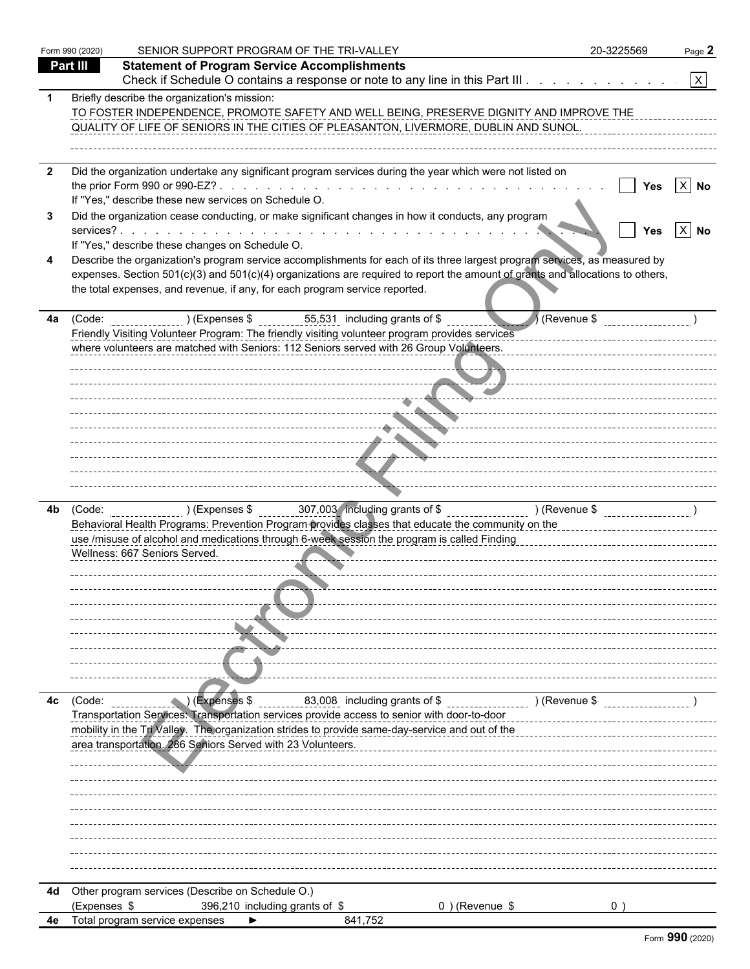|     | Form 990 (2020) | SENIOR SUPPORT PROGRAM OF THE TRI-VALLEY                                                                                                                                                                                                                                                                                                                                                       | 20-3225569                                                        | Page 2       |
|-----|-----------------|------------------------------------------------------------------------------------------------------------------------------------------------------------------------------------------------------------------------------------------------------------------------------------------------------------------------------------------------------------------------------------------------|-------------------------------------------------------------------|--------------|
|     | Part III        | <b>Statement of Program Service Accomplishments</b>                                                                                                                                                                                                                                                                                                                                            |                                                                   |              |
|     |                 | Check if Schedule O contains a response or note to any line in this Part III.                                                                                                                                                                                                                                                                                                                  |                                                                   | $\mathbf{x}$ |
|     |                 | Briefly describe the organization's mission:<br>TO FOSTER INDEPENDENCE, PROMOTE SAFETY AND WELL BEING, PRESERVE DIGNITY AND IMPROVE THE<br>QUALITY OF LIFE OF SENIORS IN THE CITIES OF PLEASANTON, LIVERMORE, DUBLIN AND SUNOL.                                                                                                                                                                |                                                                   |              |
| - 2 |                 | Did the organization undertake any significant program services during the year which were not listed on<br>If "Yes," describe these new services on Schedule O.                                                                                                                                                                                                                               | Yes                                                               | $X$ No       |
| 3   |                 | Did the organization cease conducting, or make significant changes in how it conducts, any program                                                                                                                                                                                                                                                                                             | <b>Yes</b>                                                        | $\ X\ $ No   |
|     |                 | If "Yes," describe these changes on Schedule O.<br>Describe the organization's program service accomplishments for each of its three largest program services, as measured by<br>expenses. Section 501(c)(3) and 501(c)(4) organizations are required to report the amount of grants and allocations to others,<br>the total expenses, and revenue, if any, for each program service reported. |                                                                   |              |
| 4a  |                 | (Code: $(2.5, 5.5)$ ) (Expenses \$ 55,531 including grants of \$<br>Friendly Visiting Volunteer Program: The friendly visiting volunteer program provides services<br>where volunteers are matched with Seniors: 112 Seniors served with 26 Group Volunteers.<br>$\sum_{i=1}^{n}$                                                                                                              | $\bigwedge$ (Revenue \$<br>-------------------------------------- |              |
|     |                 |                                                                                                                                                                                                                                                                                                                                                                                                |                                                                   |              |
|     |                 | <b>The Community</b>                                                                                                                                                                                                                                                                                                                                                                           |                                                                   |              |
| 4b  |                 | (Code: ________________)(Expenses \$ ________307,003 including grants of \$ ___________________)(Revenue \$ _________________)<br>Behavioral Health Programs: Prevention Program provides classes that educate the community on the<br>use /misuse of alcohol and medications through 6-week session the program is called Finding<br>Wellness: 667 Seniors Served.                            |                                                                   |              |
|     |                 |                                                                                                                                                                                                                                                                                                                                                                                                |                                                                   |              |
| 4с  | (Code:          | ) (Expenses \$<br>________ <u>_83,008</u> _including grants of \$ ___________________)(Revenue \$                                                                                                                                                                                                                                                                                              |                                                                   |              |
|     |                 | Transportation Services: Transportation services provide access to senior with door-to-door<br>mobility in the Tri Valley. The organization strides to provide same-day-service and out of the<br>area transportation. 286 Seniors Served with 23 Volunteers.                                                                                                                                  |                                                                   |              |
|     |                 |                                                                                                                                                                                                                                                                                                                                                                                                |                                                                   |              |
|     |                 |                                                                                                                                                                                                                                                                                                                                                                                                |                                                                   |              |
| 4d  |                 | Other program services (Describe on Schedule O.)                                                                                                                                                                                                                                                                                                                                               |                                                                   |              |
|     | (Expenses \$    | 396,210 including grants of \$<br>0) (Revenue \$                                                                                                                                                                                                                                                                                                                                               |                                                                   |              |
| 4e  |                 | Total program service expenses<br>841,752<br>▶                                                                                                                                                                                                                                                                                                                                                 |                                                                   |              |
|     |                 |                                                                                                                                                                                                                                                                                                                                                                                                |                                                                   |              |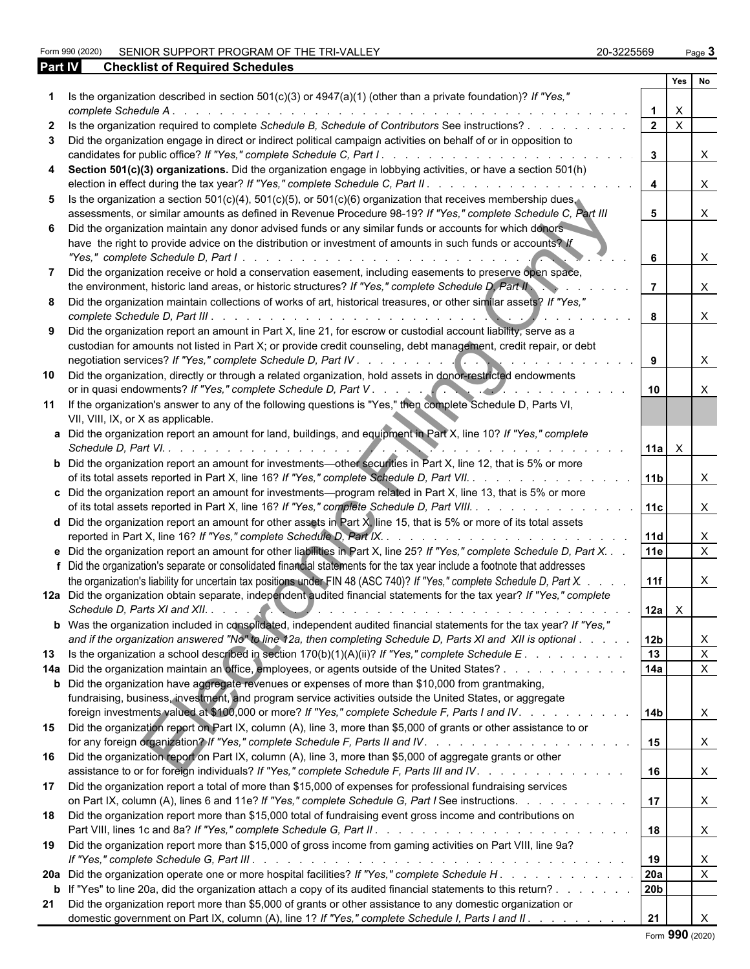Form 990 (2020) SENIOR SUPPORT PROGRAM OF THE TRI-VALLEY 20-3225569 Page 3

| 20-3225569 | Page |
|------------|------|
|            |      |

| Part IV | <b>Checklist of Required Schedules</b>                                                                                                                                                                                                                                                                                                                                                                                       |                         |              |                           |  |
|---------|------------------------------------------------------------------------------------------------------------------------------------------------------------------------------------------------------------------------------------------------------------------------------------------------------------------------------------------------------------------------------------------------------------------------------|-------------------------|--------------|---------------------------|--|
|         |                                                                                                                                                                                                                                                                                                                                                                                                                              |                         | Yes          | No                        |  |
|         | Is the organization described in section $501(c)(3)$ or $4947(a)(1)$ (other than a private foundation)? If "Yes,"<br>complete Schedule A.<br>de la caractería de la caractería de la caractería de la                                                                                                                                                                                                                        |                         | $\times$     |                           |  |
|         | Is the organization required to complete Schedule B, Schedule of Contributors See instructions?                                                                                                                                                                                                                                                                                                                              | $\overline{2}$          | $\mathsf{X}$ |                           |  |
| 3       | Did the organization engage in direct or indirect political campaign activities on behalf of or in opposition to<br>candidates for public office? If "Yes," complete Schedule C, Part I. .<br>and the company of the company of the company of the company of the company of the company of the company of the company of the company of the company of the company of the company of the company of the company of the comp | $\mathbf{3}$            |              | $\times$                  |  |
| 4       | Section 501(c)(3) organizations. Did the organization engage in lobbying activities, or have a section 501(h)                                                                                                                                                                                                                                                                                                                |                         |              |                           |  |
|         | election in effect during the tax year? If "Yes," complete Schedule C, Part II. .<br><u>and a straightful and a straight and</u><br>5 Is the organization a section 501(c)(4), 501(c)(5), or 501(c)(6) organization that receives membership dues,                                                                                                                                                                           | $\overline{\mathbf{4}}$ |              | $\times$                  |  |
|         | assessments, or similar amounts as defined in Revenue Procedure 98-19? If "Yes," complete Schedule C, Part III                                                                                                                                                                                                                                                                                                               | 5 <sup>5</sup>          |              | $\times$                  |  |
|         | 6 Did the organization maintain any donor advised funds or any similar funds or accounts for which donors<br>have the right to provide advice on the distribution or investment of amounts in such funds or accounts? If                                                                                                                                                                                                     |                         |              |                           |  |
|         |                                                                                                                                                                                                                                                                                                                                                                                                                              | 6                       |              | X                         |  |
| 7       | Did the organization receive or hold a conservation easement, including easements to preserve open space,<br>the environment, historic land areas, or historic structures? If "Yes," complete Schedule D, Part II                                                                                                                                                                                                            |                         |              | $\times$                  |  |
|         | 8 Did the organization maintain collections of works of art, historical treasures, or other similar assets? If "Yes,"<br>complete Schedule D, Part III<br>the contract of the contract of the contract of the contract of the contract of the contract of the contract of                                                                                                                                                    | 8                       |              | $\times$                  |  |
|         | 9 Did the organization report an amount in Part X, line 21, for escrow or custodial account liability, serve as a                                                                                                                                                                                                                                                                                                            |                         |              |                           |  |
|         | custodian for amounts not listed in Part X; or provide credit counseling, debt management, credit repair, or debt                                                                                                                                                                                                                                                                                                            | 9                       |              | X                         |  |
| 10      | Did the organization, directly or through a related organization, hold assets in donor-restricted endowments                                                                                                                                                                                                                                                                                                                 | 10                      |              | $\times$                  |  |
| 11      | If the organization's answer to any of the following questions is "Yes," then complete Schedule D, Parts VI,<br>VII, VIII, IX, or X as applicable.                                                                                                                                                                                                                                                                           |                         |              |                           |  |
|         | a Did the organization report an amount for land, buildings, and equipment in Part X, line 10? If "Yes," complete<br>Schedule D, Part VI.                                                                                                                                                                                                                                                                                    | $ 11a  \times$          |              |                           |  |
|         | <b>b</b> Did the organization report an amount for investments—other securities in Part X, line 12, that is 5% or more<br>of its total assets reported in Part X, line 16? If "Yes," complete Schedule D, Part VII.                                                                                                                                                                                                          | 11b                     |              | $\times$                  |  |
|         | c Did the organization report an amount for investments-program related in Part X, line 13, that is 5% or more                                                                                                                                                                                                                                                                                                               |                         |              |                           |  |
|         | of its total assets reported in Part X, line 16? If "Yes," complete Schedule D, Part VIII.                                                                                                                                                                                                                                                                                                                                   | 11c                     |              | $\times$                  |  |
|         | d Did the organization report an amount for other assets in Part $X$ , line 15, that is 5% or more of its total assets<br>reported in Part X, line 16? If "Yes," complete Schedule D, Part IX. .                                                                                                                                                                                                                             | 11d                     |              | $\mathsf{X}$              |  |
|         | e Did the organization report an amount for other liabilities in Part X, line 25? If "Yes," complete Schedule D, Part X. .                                                                                                                                                                                                                                                                                                   | <b>11e</b>              |              | $\mathsf{x}$              |  |
|         | f Did the organization's separate or consolidated financial statements for the tax year include a footnote that addresses                                                                                                                                                                                                                                                                                                    |                         |              |                           |  |
|         | the organization's liability for uncertain tax positions under FIN 48 (ASC 740)? If "Yes," complete Schedule D, Part X.                                                                                                                                                                                                                                                                                                      | 11f                     |              | X                         |  |
|         | 12a Did the organization obtain separate, independent audited financial statements for the tax year? If "Yes," complete                                                                                                                                                                                                                                                                                                      | 12a   X                 |              |                           |  |
|         | b Was the organization included in consolidated, independent audited financial statements for the tax year? If "Yes,"<br>and if the organization answered "No" to line 12a, then completing Schedule D, Parts XI and XII is optional                                                                                                                                                                                         | 12 <sub>b</sub>         |              | X                         |  |
| 13      | Is the organization a school described in section $170(b)(1)(A)(ii)$ ? If "Yes," complete Schedule E.                                                                                                                                                                                                                                                                                                                        | 13                      |              | $\mathsf{X}$              |  |
|         | 14a Did the organization maintain an office, employees, or agents outside of the United States?                                                                                                                                                                                                                                                                                                                              | 14a                     |              | $\boldsymbol{\mathsf{X}}$ |  |
|         | <b>b</b> Did the organization have aggregate revenues or expenses of more than \$10,000 from grantmaking,<br>fundraising, business, investment, and program service activities outside the United States, or aggregate                                                                                                                                                                                                       |                         |              |                           |  |
|         | foreign investments valued at \$100,000 or more? If "Yes," complete Schedule F, Parts I and IV.<br>15 Did the organization report on Part IX, column (A), line 3, more than \$5,000 of grants or other assistance to or                                                                                                                                                                                                      | 14 <sub>b</sub>         |              | X                         |  |
| 16      | Did the organization report on Part IX, column (A), line 3, more than \$5,000 of aggregate grants or other                                                                                                                                                                                                                                                                                                                   | 15                      |              | X                         |  |
| 17      | assistance to or for foreign individuals? If "Yes," complete Schedule F, Parts III and IV.<br>Did the organization report a total of more than \$15,000 of expenses for professional fundraising services                                                                                                                                                                                                                    | 16                      |              | $\boldsymbol{\mathsf{X}}$ |  |
|         | on Part IX, column (A), lines 6 and 11e? If "Yes," complete Schedule G, Part I See instructions.                                                                                                                                                                                                                                                                                                                             | 17                      |              | $\mathsf{X}$              |  |
| 18      | Did the organization report more than \$15,000 total of fundraising event gross income and contributions on                                                                                                                                                                                                                                                                                                                  | 18                      |              | $\boldsymbol{\mathsf{X}}$ |  |
| 19      | Did the organization report more than \$15,000 of gross income from gaming activities on Part VIII, line 9a?                                                                                                                                                                                                                                                                                                                 | 19                      |              | X                         |  |
|         | 20a Did the organization operate one or more hospital facilities? If "Yes," complete Schedule H.                                                                                                                                                                                                                                                                                                                             | 20a                     |              | $\sf X$                   |  |
|         | <b>b</b> If "Yes" to line 20a, did the organization attach a copy of its audited financial statements to this return?                                                                                                                                                                                                                                                                                                        | 20 <sub>b</sub>         |              |                           |  |
| 21      | Did the organization report more than \$5,000 of grants or other assistance to any domestic organization or<br>domestic government on Part IX, column (A), line 1? If "Yes," complete Schedule I, Parts I and II.                                                                                                                                                                                                            | 21                      |              | $\times$                  |  |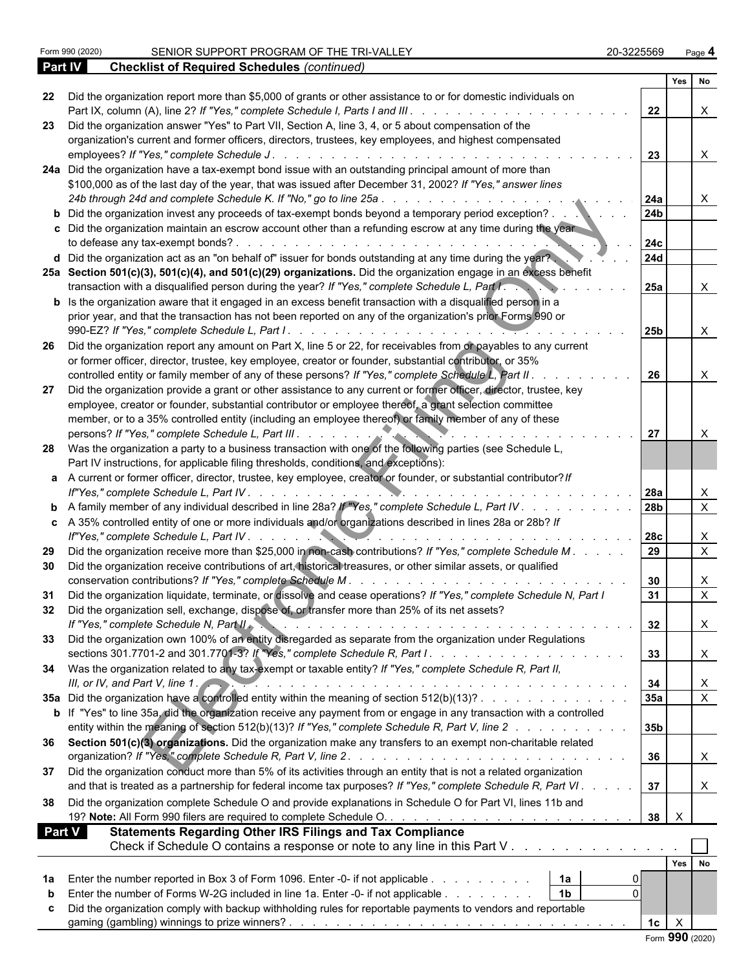|               |                                                                                                                         |                   | Yes No                    |                           |
|---------------|-------------------------------------------------------------------------------------------------------------------------|-------------------|---------------------------|---------------------------|
| 22            | Did the organization report more than \$5,000 of grants or other assistance to or for domestic individuals on           |                   |                           |                           |
|               |                                                                                                                         | 22                |                           | $\mathsf{X}$              |
| 23            | Did the organization answer "Yes" to Part VII, Section A, line 3, 4, or 5 about compensation of the                     |                   |                           |                           |
|               | organization's current and former officers, directors, trustees, key employees, and highest compensated                 |                   |                           |                           |
|               | employees? If "Yes," complete Schedule J.                                                                               | 23                |                           | $\mathsf{X}$              |
|               | 24a Did the organization have a tax-exempt bond issue with an outstanding principal amount of more than                 |                   |                           |                           |
|               | \$100,000 as of the last day of the year, that was issued after December 31, 2002? If "Yes," answer lines               |                   |                           |                           |
|               |                                                                                                                         | <b>24a</b><br>24b |                           | $\boldsymbol{\mathsf{X}}$ |
|               | <b>b</b> Did the organization invest any proceeds of tax-exempt bonds beyond a temporary period exception?              |                   |                           |                           |
|               | c Did the organization maintain an escrow account other than a refunding escrow at any time during the year             |                   |                           |                           |
|               |                                                                                                                         | 24c               |                           |                           |
|               | d Did the organization act as an "on behalf of" issuer for bonds outstanding at any time during the year?               | <b>24d</b>        |                           |                           |
|               | 25a Section 501(c)(3), 501(c)(4), and 501(c)(29) organizations. Did the organization engage in an excess benefit        |                   |                           |                           |
|               | transaction with a disqualified person during the year? If "Yes," complete Schedule L, Part I.                          | 25a               |                           | $\mathsf{X}$              |
|               | <b>b</b> Is the organization aware that it engaged in an excess benefit transaction with a disqualified person in a     |                   |                           |                           |
|               | prior year, and that the transaction has not been reported on any of the organization's prior Forms 990 or              |                   |                           |                           |
|               |                                                                                                                         | 25b               |                           | $\mathsf{X}$              |
| -26           | Did the organization report any amount on Part X, line 5 or 22, for receivables from or payables to any current         |                   |                           |                           |
|               | or former officer, director, trustee, key employee, creator or founder, substantial contributor, or 35%                 |                   |                           |                           |
|               | controlled entity or family member of any of these persons? If "Yes," complete Schedule L, Part II.                     | 26                |                           | $\boldsymbol{\mathsf{X}}$ |
| -27           | Did the organization provide a grant or other assistance to any current or former officer, director, trustee, key       |                   |                           |                           |
|               | employee, creator or founder, substantial contributor or employee thereof, a grant selection committee                  |                   |                           |                           |
|               | member, or to a 35% controlled entity (including an employee thereof) or family member of any of these                  |                   |                           |                           |
|               |                                                                                                                         | 27                |                           | $\times$                  |
| -28           | Was the organization a party to a business transaction with one of the following parties (see Schedule L,               |                   |                           |                           |
|               | Part IV instructions, for applicable filing thresholds, conditions, and exceptions):                                    |                   |                           |                           |
|               | a A current or former officer, director, trustee, key employee, creator or founder, or substantial contributor? If      |                   |                           |                           |
|               |                                                                                                                         |                   |                           | $\boldsymbol{\mathsf{X}}$ |
|               | <b>b</b> A family member of any individual described in line 28a? If "Yes," complete Schedule L, Part IV                | 28b               |                           | $\overline{X}$            |
|               | c A 35% controlled entity of one or more individuals and/or organizations described in lines 28a or 28b? If             |                   |                           |                           |
|               |                                                                                                                         | 28c               |                           | $\boldsymbol{\mathsf{X}}$ |
| -29           | Did the organization receive more than \$25,000 in non-cash contributions? If "Yes," complete Schedule M.               |                   |                           | $\mathsf{X}$              |
| 30            | Did the organization receive contributions of art, historical treasures, or other similar assets, or qualified          |                   |                           |                           |
|               |                                                                                                                         | 30                |                           | X                         |
| 31            | Did the organization liquidate, terminate, or dissolve and cease operations? If "Yes," complete Schedule N, Part I      | 31                |                           | $\mathsf{X}$              |
| 32            | Did the organization sell, exchange, dispose of, or transfer more than 25% of its net assets?                           |                   |                           |                           |
|               | , and the contract of the contract of the contract of the contract $\sim 32$<br>If "Yes," complete Schedule N, Part II. |                   |                           | $\sim$                    |
| 33.           | Did the organization own 100% of an entity disregarded as separate from the organization under Regulations              |                   |                           |                           |
|               |                                                                                                                         | 33                |                           | $\mathsf{X}$              |
|               | 34 Was the organization related to any tax-exempt or taxable entity? If "Yes," complete Schedule R, Part II,            |                   |                           |                           |
|               | III, or IV, and Part V, line 1.                                                                                         | 34                |                           | X                         |
|               | 35a Did the organization have a controlled entity within the meaning of section 512(b)(13)?                             | 35a               |                           | $\overline{X}$            |
|               | b If "Yes" to line 35a, did the organization receive any payment from or engage in any transaction with a controlled    |                   |                           |                           |
|               | entity within the meaning of section 512(b)(13)? If "Yes," complete Schedule R, Part V, line 2                          | 35b               |                           |                           |
|               | 36 Section 501(c)(3) organizations. Did the organization make any transfers to an exempt non-charitable related         |                   |                           |                           |
|               |                                                                                                                         | 36                |                           | $\mathsf{X}$              |
| 37            | Did the organization conduct more than 5% of its activities through an entity that is not a related organization        |                   |                           |                           |
|               | and that is treated as a partnership for federal income tax purposes? If "Yes," complete Schedule R, Part VI.           | 37                |                           | $\mathsf{X}$              |
| 38            | Did the organization complete Schedule O and provide explanations in Schedule O for Part VI, lines 11b and              |                   |                           |                           |
|               |                                                                                                                         | 38                | $\boldsymbol{\mathsf{X}}$ |                           |
|               |                                                                                                                         |                   |                           |                           |
| <b>Part V</b> | <b>Statements Regarding Other IRS Filings and Tax Compliance</b>                                                        |                   |                           |                           |
|               | Check if Schedule O contains a response or note to any line in this Part V                                              |                   |                           |                           |
|               |                                                                                                                         |                   | Yes No                    |                           |
| 1a            | 1a<br>Enter the number reported in Box 3 of Form 1096. Enter -0- if not applicable                                      |                   |                           |                           |
| b             | Enter the number of Forms W-2G included in line 1a. Enter -0- if not applicable 1b<br>$\Omega$                          |                   |                           |                           |
|               | Did the organization comply with backup withholding rules for reportable payments to vendors and reportable             |                   |                           |                           |
|               |                                                                                                                         | 1 <sub>c</sub>    | $\boldsymbol{X}$          |                           |
|               |                                                                                                                         | Form 990 (2020)   |                           |                           |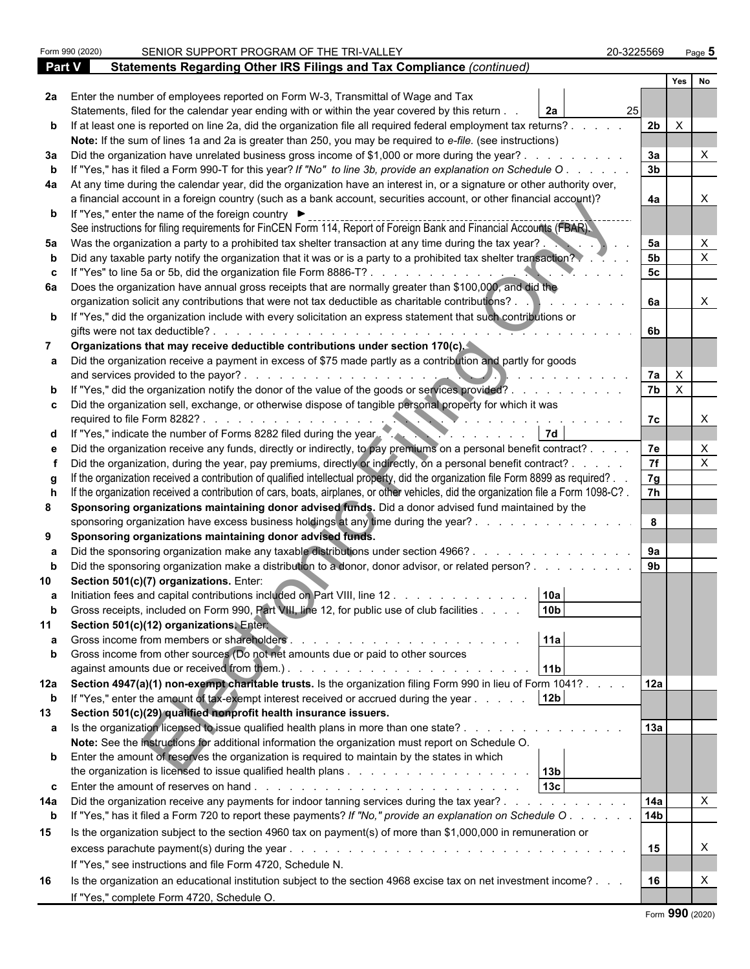|             | Form 990 (2020) | SENIOR SUPPORT PROGRAM OF THE TRI-VALLEY                                                                                                                                                                                                                                                                | 20-3225569      | Page 5                    |
|-------------|-----------------|---------------------------------------------------------------------------------------------------------------------------------------------------------------------------------------------------------------------------------------------------------------------------------------------------------|-----------------|---------------------------|
| Part V      |                 | Statements Regarding Other IRS Filings and Tax Compliance (continued)                                                                                                                                                                                                                                   |                 |                           |
|             |                 |                                                                                                                                                                                                                                                                                                         |                 | Yes<br>No                 |
|             |                 | 2a Enter the number of employees reported on Form W-3, Transmittal of Wage and Tax                                                                                                                                                                                                                      |                 |                           |
|             |                 | Statements, filed for the calendar year ending with or within the year covered by this return.<br>2a                                                                                                                                                                                                    | 25 <sub>l</sub> |                           |
|             |                 | b If at least one is reported on line 2a, did the organization file all required federal employment tax returns?.                                                                                                                                                                                       | 2 <sub>b</sub>  | $\mathsf{X}$              |
|             |                 | Note: If the sum of lines 1a and 2a is greater than 250, you may be required to e-file. (see instructions)                                                                                                                                                                                              |                 |                           |
|             |                 | 3a Did the organization have unrelated business gross income of \$1,000 or more during the year?.                                                                                                                                                                                                       | 3a              |                           |
|             |                 | If "Yes," has it filed a Form 990-T for this year? If "No" to line 3b, provide an explanation on Schedule O                                                                                                                                                                                             | 3 <sub>b</sub>  |                           |
|             |                 | 4a At any time during the calendar year, did the organization have an interest in, or a signature or other authority over,                                                                                                                                                                              |                 |                           |
|             |                 | a financial account in a foreign country (such as a bank account, securities account, or other financial account)?<br><b>b</b> If "Yes," enter the name of the foreign country ▶<br>See instructions for filing requirements for FinCEN Form 114, Report of Foreign Bank and Financial Accounts (FBAR). | 4a              |                           |
| 5а          |                 | Was the organization a party to a prohibited tax shelter transaction at any time during the tax year?.                                                                                                                                                                                                  | 5a              |                           |
|             |                 | Did any taxable party notify the organization that it was or is a party to a prohibited tax shelter transaction?                                                                                                                                                                                        | 5 <sub>b</sub>  |                           |
|             |                 | If "Yes" to line 5a or 5b, did the organization file Form 8886-T?                                                                                                                                                                                                                                       | 5c              |                           |
|             |                 | 6a Does the organization have annual gross receipts that are normally greater than \$100,000, and did the                                                                                                                                                                                               |                 |                           |
|             |                 | organization solicit any contributions that were not tax deductible as charitable contributions?.<br>b If "Yes," did the organization include with every solicitation an express statement that such contributions or                                                                                   | 6a              | X                         |
|             |                 | gifts were not tax deductible?.                                                                                                                                                                                                                                                                         | 6b              |                           |
|             |                 | Organizations that may receive deductible contributions under section 170(c).                                                                                                                                                                                                                           |                 |                           |
|             |                 | a Did the organization receive a payment in excess of \$75 made partly as a contribution and partly for goods                                                                                                                                                                                           |                 |                           |
|             |                 | and services provided to the payor?.                                                                                                                                                                                                                                                                    | 7a              | $\mathsf{X}$              |
|             |                 | b If "Yes," did the organization notify the donor of the value of the goods or services provided?.                                                                                                                                                                                                      | 7b              | $\mathsf{X}$              |
|             |                 | c Did the organization sell, exchange, or otherwise dispose of tangible personal property for which it was<br>required to file Form 8282?                                                                                                                                                               | 7c              |                           |
|             |                 | d If "Yes," indicate the number of Forms 8282 filed during the year.                                                                                                                                                                                                                                    |                 |                           |
|             |                 | Did the organization receive any funds, directly or indirectly, to pay premiums on a personal benefit contract?.                                                                                                                                                                                        | 7e              | X                         |
|             |                 | Did the organization, during the year, pay premiums, directly or indirectly, on a personal benefit contract? .                                                                                                                                                                                          | $\overline{7f}$ | X                         |
|             |                 | If the organization received a contribution of qualified intellectual property, did the organization file Form 8899 as required?.                                                                                                                                                                       | 7g              |                           |
|             |                 | If the organization received a contribution of cars, boats, airplanes, or other vehicles, did the organization file a Form 1098-C?.                                                                                                                                                                     | $\overline{7h}$ |                           |
| 8           |                 | Sponsoring organizations maintaining donor advised funds. Did a donor advised fund maintained by the<br>sponsoring organization have excess business holdings at any time during the year?.                                                                                                             | 8               |                           |
| 9           |                 | Sponsoring organizations maintaining donor advised funds.                                                                                                                                                                                                                                               |                 |                           |
|             |                 | Did the sponsoring organization make any taxable distributions under section 4966?.                                                                                                                                                                                                                     | 9a              |                           |
|             |                 | Did the sponsoring organization make a distribution to a donor, donor advisor, or related person?.                                                                                                                                                                                                      | 9 <sub>b</sub>  |                           |
|             |                 | Section 501(c)(7) organizations. Enter:                                                                                                                                                                                                                                                                 |                 |                           |
| a           |                 | Initiation fees and capital contributions included on Part VIII, line 12.<br>10a<br>10 <sub>b</sub>                                                                                                                                                                                                     |                 |                           |
|             |                 | Gross receipts, included on Form 990, Part VIII, line 12, for public use of club facilities<br>Section 501(c)(12) organizations. Entert                                                                                                                                                                 |                 |                           |
|             |                 | 11a                                                                                                                                                                                                                                                                                                     |                 |                           |
| b           |                 | Gross income from other sources (Do not net amounts due or paid to other sources                                                                                                                                                                                                                        |                 |                           |
|             |                 | 11 <sub>b</sub>                                                                                                                                                                                                                                                                                         |                 |                           |
|             |                 | 12a Section 4947(a)(1) non-exempt charitable trusts. Is the organization filing Form 990 in lieu of Form 1041?.                                                                                                                                                                                         | 12a             |                           |
| $\mathbf b$ |                 | If "Yes," enter the amount of tax-exempt interest received or accrued during the year<br>12 <sub>b</sub>                                                                                                                                                                                                |                 |                           |
| 13          |                 | Section 501(c)(29) qualified nonprofit health insurance issuers.<br>a Is the organization licensed to issue qualified health plans in more than one state?.                                                                                                                                             | 13a             |                           |
|             |                 | Note: See the instructions for additional information the organization must report on Schedule O.                                                                                                                                                                                                       |                 |                           |
|             |                 | <b>b</b> Enter the amount of reserves the organization is required to maintain by the states in which                                                                                                                                                                                                   |                 |                           |
|             |                 |                                                                                                                                                                                                                                                                                                         |                 |                           |
|             |                 | 13c<br><b>c</b> Enter the amount of reserves on hand $\ldots$ $\ldots$ $\ldots$ $\ldots$ $\ldots$ $\ldots$ $\ldots$ $\ldots$ $\ldots$                                                                                                                                                                   |                 |                           |
| 14a         |                 | Did the organization receive any payments for indoor tanning services during the tax year?                                                                                                                                                                                                              | 14a             | $\boldsymbol{\mathsf{X}}$ |
| $\mathbf b$ |                 | If "Yes," has it filed a Form 720 to report these payments? If "No," provide an explanation on Schedule O.                                                                                                                                                                                              | 14 <sub>b</sub> |                           |
| 15          |                 | Is the organization subject to the section 4960 tax on payment(s) of more than \$1,000,000 in remuneration or                                                                                                                                                                                           |                 |                           |
|             |                 | excess parachute payment(s) during the year.<br>and a complete that the complete state of the complete state of the complete state of the complete state of the<br>If "Yes," see instructions and file Form 4720, Schedule N.                                                                           | 15              | X                         |
| 16          |                 | Is the organization an educational institution subject to the section 4968 excise tax on net investment income?                                                                                                                                                                                         | 16              | Χ                         |
|             |                 | If "Yes," complete Form 4720, Schedule O.                                                                                                                                                                                                                                                               |                 |                           |
|             |                 |                                                                                                                                                                                                                                                                                                         |                 | $\sim$                    |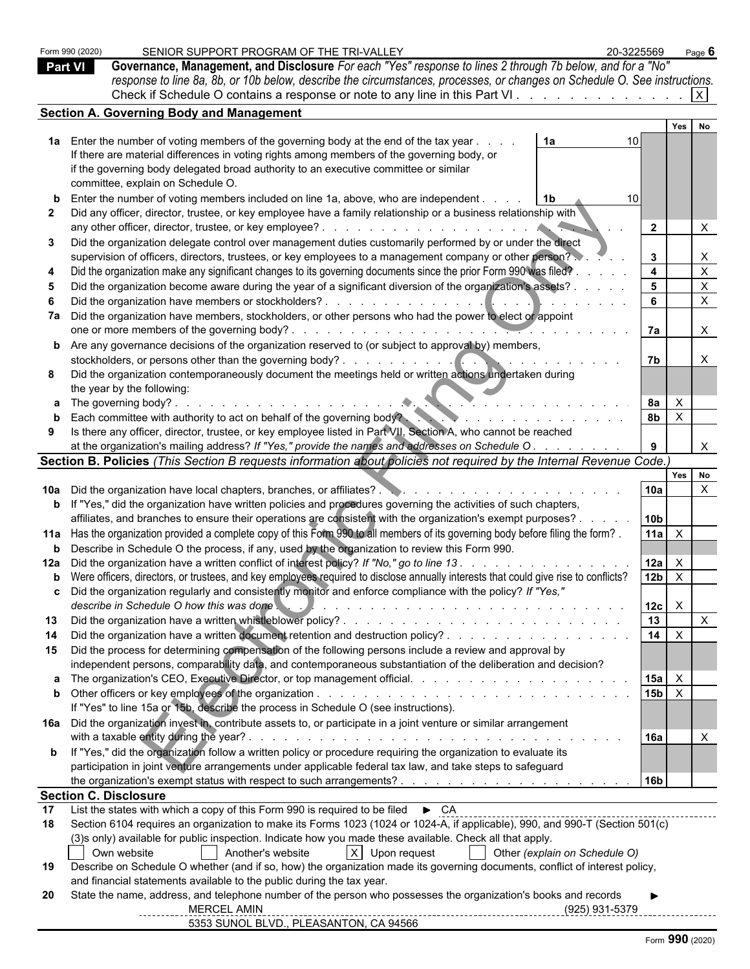| Form 990 (2020)<br><b>Part VI</b> | SENIOR SUPPORT PROGRAM OF THE TRI-VALLEY<br>20-3225569<br>Governance, Management, and Disclosure For each "Yes" response to lines 2 through 7b below, and for a "No"                                                                                                                                                                                                                                                                                                                                                  |                                            | Page $6$                  |  |
|-----------------------------------|-----------------------------------------------------------------------------------------------------------------------------------------------------------------------------------------------------------------------------------------------------------------------------------------------------------------------------------------------------------------------------------------------------------------------------------------------------------------------------------------------------------------------|--------------------------------------------|---------------------------|--|
|                                   | response to line 8a, 8b, or 10b below, describe the circumstances, processes, or changes on Schedule O. See instructions.                                                                                                                                                                                                                                                                                                                                                                                             |                                            |                           |  |
|                                   | Check if Schedule O contains a response or note to any line in this Part VI                                                                                                                                                                                                                                                                                                                                                                                                                                           |                                            |                           |  |
|                                   | <b>Section A. Governing Body and Management</b>                                                                                                                                                                                                                                                                                                                                                                                                                                                                       |                                            |                           |  |
|                                   |                                                                                                                                                                                                                                                                                                                                                                                                                                                                                                                       | Yes                                        | No                        |  |
|                                   | 1a Enter the number of voting members of the governing body at the end of the tax year<br>1a<br>10                                                                                                                                                                                                                                                                                                                                                                                                                    |                                            |                           |  |
|                                   | If there are material differences in voting rights among members of the governing body, or                                                                                                                                                                                                                                                                                                                                                                                                                            |                                            |                           |  |
|                                   | if the governing body delegated broad authority to an executive committee or similar                                                                                                                                                                                                                                                                                                                                                                                                                                  |                                            |                           |  |
|                                   | committee, explain on Schedule O.                                                                                                                                                                                                                                                                                                                                                                                                                                                                                     |                                            |                           |  |
|                                   | Enter the number of voting members included on line 1a, above, who are independent.<br>- 1b                                                                                                                                                                                                                                                                                                                                                                                                                           |                                            |                           |  |
|                                   | Did any officer, director, trustee, or key employee have a family relationship or a business relationship with                                                                                                                                                                                                                                                                                                                                                                                                        | $\overline{2}$                             | X                         |  |
| 3                                 | Did the organization delegate control over management duties customarily performed by or under the direct                                                                                                                                                                                                                                                                                                                                                                                                             |                                            |                           |  |
|                                   | supervision of officers, directors, trustees, or key employees to a management company or other person?                                                                                                                                                                                                                                                                                                                                                                                                               | $\mathbf{3}$                               | $\boldsymbol{\mathsf{X}}$ |  |
|                                   | Did the organization make any significant changes to its governing documents since the prior Form 990 was filed?                                                                                                                                                                                                                                                                                                                                                                                                      | $\overline{4}$                             | $\boldsymbol{\mathsf{X}}$ |  |
|                                   | Did the organization become aware during the year of a significant diversion of the organization's assets?                                                                                                                                                                                                                                                                                                                                                                                                            | 5                                          | $\boldsymbol{\mathsf{X}}$ |  |
|                                   |                                                                                                                                                                                                                                                                                                                                                                                                                                                                                                                       | 6                                          | $\boldsymbol{\mathsf{X}}$ |  |
|                                   | Did the organization have members, stockholders, or other persons who had the power to elect or appoint                                                                                                                                                                                                                                                                                                                                                                                                               |                                            |                           |  |
|                                   | one or more members of the governing body?.                                                                                                                                                                                                                                                                                                                                                                                                                                                                           | 7a                                         | X                         |  |
|                                   | <b>b</b> Are any governance decisions of the organization reserved to (or subject to approval by) members,                                                                                                                                                                                                                                                                                                                                                                                                            |                                            |                           |  |
|                                   | stockholders, or persons other than the governing body?.<br>$\mathcal{L}^{\mathcal{A}}(\mathcal{A}^{\mathcal{A}}(\mathcal{A}^{\mathcal{A}}(\mathcal{A}^{\mathcal{A}}(\mathcal{A}^{\mathcal{A}}(\mathcal{A}^{\mathcal{A}}(\mathcal{A}^{\mathcal{A}}(\mathcal{A}^{\mathcal{A}}(\mathcal{A}^{\mathcal{A}}(\mathcal{A}^{\mathcal{A}}(\mathcal{A}^{\mathcal{A}}(\mathcal{A}^{\mathcal{A}}(\mathcal{A}^{\mathcal{A}}(\mathcal{A}^{\mathcal{A}}(\mathcal{A}^{\mathcal{A}}(\mathcal{A}^{\mathcal{A}}(\mathcal{A}^{\mathcal{A$ | 7b                                         | X                         |  |
|                                   | Did the organization contemporaneously document the meetings held or written actions undertaken during<br>the year by the following:                                                                                                                                                                                                                                                                                                                                                                                  |                                            |                           |  |
|                                   | <b>a</b> The governing body?.                                                                                                                                                                                                                                                                                                                                                                                                                                                                                         | 8а<br>$\mathsf{X}$                         |                           |  |
|                                   | Each committee with authority to act on behalf of the governing body?                                                                                                                                                                                                                                                                                                                                                                                                                                                 | <b>8b</b><br>$\mathsf{X}$                  |                           |  |
|                                   | Is there any officer, director, trustee, or key employee listed in Part VII, Section A, who cannot be reached                                                                                                                                                                                                                                                                                                                                                                                                         |                                            |                           |  |
|                                   | at the organization's mailing address? If "Yes," provide the names and addresses on Schedule O.                                                                                                                                                                                                                                                                                                                                                                                                                       |                                            | $\times$                  |  |
|                                   | Section B. Policies (This Section B requests information about policies not required by the Internal Revenue Code.)                                                                                                                                                                                                                                                                                                                                                                                                   |                                            |                           |  |
|                                   |                                                                                                                                                                                                                                                                                                                                                                                                                                                                                                                       |                                            | Yes No                    |  |
|                                   |                                                                                                                                                                                                                                                                                                                                                                                                                                                                                                                       | 10a                                        | $\times$                  |  |
|                                   | <b>b</b> If "Yes," did the organization have written policies and procedures governing the activities of such chapters,                                                                                                                                                                                                                                                                                                                                                                                               |                                            |                           |  |
|                                   | affiliates, and branches to ensure their operations are consistent with the organization's exempt purposes?                                                                                                                                                                                                                                                                                                                                                                                                           | 10 <sub>b</sub>                            |                           |  |
|                                   | 11a Has the organization provided a complete copy of this Form 990 to all members of its governing body before filing the form?.                                                                                                                                                                                                                                                                                                                                                                                      | 11a<br>$\mathsf{X}$                        |                           |  |
|                                   | <b>b</b> Describe in Schedule O the process, if any, used by the organization to review this Form 990.<br>12a Did the organization have a written conflict of interest policy? If "No," go to line 13.                                                                                                                                                                                                                                                                                                                |                                            |                           |  |
|                                   | <b>b</b> Were officers, directors, or trustees, and key employees required to disclose annually interests that could give rise to conflicts?                                                                                                                                                                                                                                                                                                                                                                          | 12a<br>$\mathsf{X}$<br>12b<br>$\mathsf{X}$ |                           |  |
|                                   | c Did the organization regularly and consistently monitor and enforce compliance with the policy? If "Yes,"                                                                                                                                                                                                                                                                                                                                                                                                           |                                            |                           |  |
|                                   | describe in Schedule O how this was done<br>$\mathcal{L}$<br>in the contract of the contract of the contract of the contract of the contract of the contract of the contract of the contract of the contract of the contract of the contract of the contract of the contract of the contrac                                                                                                                                                                                                                           | 12c<br>$\mathsf{X}$                        |                           |  |
| 13                                |                                                                                                                                                                                                                                                                                                                                                                                                                                                                                                                       | $\overline{13}$                            | $\boldsymbol{\mathsf{X}}$ |  |
| 14                                | Did the organization have a written document retention and destruction policy?                                                                                                                                                                                                                                                                                                                                                                                                                                        | 14<br>$\mathsf{X}$                         |                           |  |
| 15                                | Did the process for determining compensation of the following persons include a review and approval by                                                                                                                                                                                                                                                                                                                                                                                                                |                                            |                           |  |
|                                   | independent persons, comparability data, and contemporaneous substantiation of the deliberation and decision?                                                                                                                                                                                                                                                                                                                                                                                                         |                                            |                           |  |
|                                   |                                                                                                                                                                                                                                                                                                                                                                                                                                                                                                                       | 15a<br>$\mathsf{X}$                        |                           |  |
|                                   |                                                                                                                                                                                                                                                                                                                                                                                                                                                                                                                       | 15 <sub>b</sub><br>$\mathsf{X}$            |                           |  |
|                                   | If "Yes" to line 15a or 15b, describe the process in Schedule O (see instructions).                                                                                                                                                                                                                                                                                                                                                                                                                                   |                                            |                           |  |
|                                   | 16a Did the organization invest in, contribute assets to, or participate in a joint venture or similar arrangement                                                                                                                                                                                                                                                                                                                                                                                                    |                                            |                           |  |
|                                   |                                                                                                                                                                                                                                                                                                                                                                                                                                                                                                                       | 16a                                        | $\mathsf{X}$              |  |
|                                   | <b>b</b> If "Yes," did the organization follow a written policy or procedure requiring the organization to evaluate its<br>participation in joint venture arrangements under applicable federal tax law, and take steps to safeguard                                                                                                                                                                                                                                                                                  |                                            |                           |  |
|                                   |                                                                                                                                                                                                                                                                                                                                                                                                                                                                                                                       | 16b                                        |                           |  |
|                                   | <b>Section C. Disclosure</b>                                                                                                                                                                                                                                                                                                                                                                                                                                                                                          |                                            |                           |  |
| 17                                | List the states with which a copy of this Form 990 is required to be filed ► CA                                                                                                                                                                                                                                                                                                                                                                                                                                       |                                            |                           |  |
| 18                                | Section 6104 requires an organization to make its Forms 1023 (1024 or 1024-A, if applicable), 990, and 990-T (Section 501(c)                                                                                                                                                                                                                                                                                                                                                                                          |                                            |                           |  |
|                                   | (3)s only) available for public inspection. Indicate how you made these available. Check all that apply.                                                                                                                                                                                                                                                                                                                                                                                                              |                                            |                           |  |
|                                   | Another's website<br>$X$ Upon request<br>Own website<br>Other (explain on Schedule O)                                                                                                                                                                                                                                                                                                                                                                                                                                 |                                            |                           |  |
| 19                                | Describe on Schedule O whether (and if so, how) the organization made its governing documents, conflict of interest policy,                                                                                                                                                                                                                                                                                                                                                                                           |                                            |                           |  |
|                                   | and financial statements available to the public during the tax year.                                                                                                                                                                                                                                                                                                                                                                                                                                                 |                                            |                           |  |
| 20                                | State the name, address, and telephone number of the person who possesses the organization's books and records<br><b>MERCEL AMIN</b><br>(925) 931-5379                                                                                                                                                                                                                                                                                                                                                                |                                            |                           |  |
|                                   | 5353 SUNOL BLVD., PLEASANTON, CA 94566                                                                                                                                                                                                                                                                                                                                                                                                                                                                                |                                            |                           |  |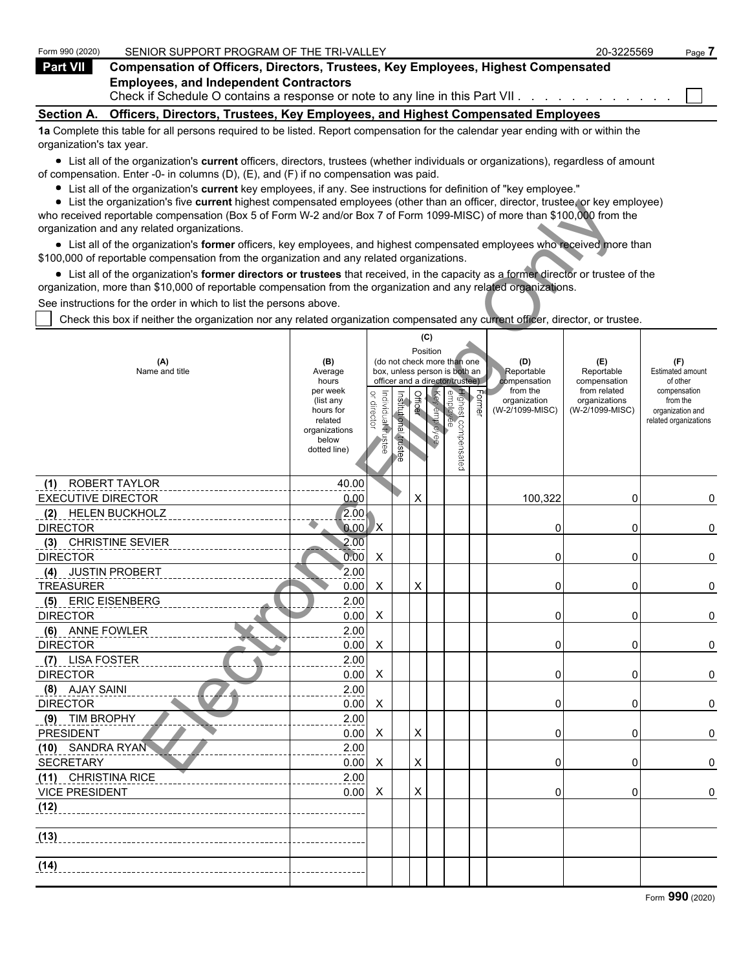| Form 990 (2020)          | SENIOR SUPPORT PROGRAM OF THE TRI-VALLEY                                                                                          | 20-3225569 | Page 7 |
|--------------------------|-----------------------------------------------------------------------------------------------------------------------------------|------------|--------|
| Part VII                 | <b>Compensation of Officers, Directors, Trustees, Key Employees, Highest Compensated</b>                                          |            |        |
|                          | <b>Employees, and Independent Contractors</b><br>Check if Schedule O contains a response or note to any line in this Part VII.    |            |        |
| <b>Section A.</b>        | Officers, Directors, Trustees, Key Employees, and Highest Compensated Employees                                                   |            |        |
| organization's tax year. | 1a Complete this table for all persons required to be listed. Report compensation for the calendar year ending with or within the |            |        |

List all of the organization's **current** officers, directors, trustees (whether individuals or organizations), regardless of amount of compensation. Enter -0- in columns (D), (E), and (F) if no compensation was paid.

- List all of the organization's **current** key employees, if any. See instructions for definition of "key employee."
- List the organization's five **current** highest compensated employees (other than an officer, director, trustee, or key employee)

| $\bullet$ List the organization's five current highest compensated employees (other than an officer, director, trustee, or key employee)<br>who received reportable compensation (Box 5 of Form W-2 and/or Box 7 of Form 1099-MISC) of more than \$100,000 from the |                          |                                   |               |          |              |                                                              |                                                               |                          |                               |                                |
|---------------------------------------------------------------------------------------------------------------------------------------------------------------------------------------------------------------------------------------------------------------------|--------------------------|-----------------------------------|---------------|----------|--------------|--------------------------------------------------------------|---------------------------------------------------------------|--------------------------|-------------------------------|--------------------------------|
| organization and any related organizations.                                                                                                                                                                                                                         |                          |                                   |               |          |              |                                                              |                                                               |                          |                               |                                |
| • List all of the organization's former officers, key employees, and highest compensated employees who received more than<br>\$100,000 of reportable compensation from the organization and any related organizations.                                              |                          |                                   |               |          |              |                                                              |                                                               |                          |                               |                                |
| • List all of the organization's former directors or trustees that received, in the capacity as a former director or trustee of the                                                                                                                                 |                          |                                   |               |          |              |                                                              |                                                               |                          |                               |                                |
| organization, more than \$10,000 of reportable compensation from the organization and any related organizations.                                                                                                                                                    |                          |                                   |               |          |              |                                                              |                                                               |                          |                               |                                |
| See instructions for the order in which to list the persons above.                                                                                                                                                                                                  |                          |                                   |               |          |              |                                                              |                                                               |                          |                               |                                |
| Check this box if neither the organization nor any related organization compensated any current officer, director, or trustee.                                                                                                                                      |                          |                                   |               |          |              |                                                              |                                                               |                          |                               |                                |
|                                                                                                                                                                                                                                                                     |                          |                                   |               |          | (C)          |                                                              |                                                               |                          |                               |                                |
|                                                                                                                                                                                                                                                                     |                          |                                   |               | Position |              |                                                              |                                                               |                          |                               |                                |
| (A)<br>Name and title                                                                                                                                                                                                                                               | (B)<br>Average           |                                   |               |          |              | (do not check more than one<br>box, unless person is both an |                                                               | (D)<br>Reportable        | (E)<br>Reportable             | (F)<br><b>Estimated amount</b> |
|                                                                                                                                                                                                                                                                     | hours                    |                                   |               |          |              | officer and a director/trustee)                              |                                                               | compensation             | compensation                  | of other                       |
|                                                                                                                                                                                                                                                                     | per week<br>(list any    |                                   |               | Officer  |              | Highest con                                                  | $\begin{array}{c} \text{Former} \\ \text{Former} \end{array}$ | from the<br>organization | from related<br>organizations | compensation<br>from the       |
|                                                                                                                                                                                                                                                                     | hours for                | or director<br>Individual frustee | Institutional |          | Key employee |                                                              |                                                               | (W-2/1099-MISC)          | (W-2/1099-MISC)               | organization and               |
|                                                                                                                                                                                                                                                                     | related<br>organizations |                                   |               |          |              |                                                              |                                                               |                          |                               | related organizations          |
|                                                                                                                                                                                                                                                                     | below<br>dotted line)    |                                   | trustee       |          |              |                                                              |                                                               |                          |                               |                                |
|                                                                                                                                                                                                                                                                     |                          |                                   |               |          |              | compensatec                                                  |                                                               |                          |                               |                                |
|                                                                                                                                                                                                                                                                     |                          |                                   |               |          |              |                                                              |                                                               |                          |                               |                                |
| ROBERT TAYLOR<br>(1)                                                                                                                                                                                                                                                | 40.00                    |                                   |               |          |              |                                                              |                                                               |                          |                               |                                |
| <b>EXECUTIVE DIRECTOR</b>                                                                                                                                                                                                                                           | 0.00                     |                                   |               | X        |              |                                                              |                                                               | 100,322                  | 0                             | 0                              |
| (2) HELEN BUCKHOLZ                                                                                                                                                                                                                                                  | 2.00.                    |                                   |               |          |              |                                                              |                                                               |                          |                               |                                |
| <b>DIRECTOR</b>                                                                                                                                                                                                                                                     | 0.00<br>2.00             | X,                                |               |          |              |                                                              |                                                               | 0                        | 0                             | 0                              |
| (3) CHRISTINE SEVIER<br><b>DIRECTOR</b>                                                                                                                                                                                                                             | 0.00                     | X                                 |               |          |              |                                                              |                                                               | 0                        | 0                             |                                |
| (4) JUSTIN PROBERT                                                                                                                                                                                                                                                  | 2.00                     |                                   |               |          |              |                                                              |                                                               |                          |                               | 0                              |
| <b>TREASURER</b>                                                                                                                                                                                                                                                    | 0.00                     | X                                 |               | X        |              |                                                              |                                                               | 0                        | 0                             | 0                              |
| (5) ERIC EISENBERG                                                                                                                                                                                                                                                  | 2.00                     |                                   |               |          |              |                                                              |                                                               |                          |                               |                                |
| <b>DIRECTOR</b>                                                                                                                                                                                                                                                     | 0.00                     | X                                 |               |          |              |                                                              |                                                               | 0                        | 0                             | 0                              |
| (6) ANNE FOWLER                                                                                                                                                                                                                                                     | 2.00                     |                                   |               |          |              |                                                              |                                                               |                          |                               |                                |
| <b>DIRECTOR</b>                                                                                                                                                                                                                                                     | 0.00                     | X                                 |               |          |              |                                                              |                                                               | 0                        | 0                             | 0                              |
| (7) LISA FOSTER                                                                                                                                                                                                                                                     | 2.00                     |                                   |               |          |              |                                                              |                                                               |                          |                               |                                |
| <b>DIRECTOR</b>                                                                                                                                                                                                                                                     | 0.00                     | X                                 |               |          |              |                                                              |                                                               | 0                        | 0                             | 0                              |
| (8) AJAY SAINI                                                                                                                                                                                                                                                      | 2.00                     |                                   |               |          |              |                                                              |                                                               |                          |                               |                                |
| <b>DIRECTOR</b>                                                                                                                                                                                                                                                     | 0.00                     | X                                 |               |          |              |                                                              |                                                               | 0                        | 0                             | 0                              |
| (9) TIM BROPHY                                                                                                                                                                                                                                                      | 2.00                     |                                   |               |          |              |                                                              |                                                               |                          |                               |                                |
| <b>PRESIDENT</b>                                                                                                                                                                                                                                                    | 0.00                     | Χ                                 |               | X        |              |                                                              |                                                               | 0                        | 0                             | 0                              |
| (10) SANDRA RYAN                                                                                                                                                                                                                                                    | 2.00                     |                                   |               |          |              |                                                              |                                                               |                          |                               |                                |
| <b>SECRETARY</b>                                                                                                                                                                                                                                                    | 0.00                     | $\mathsf{X}$                      |               | X        |              |                                                              |                                                               | 0                        | 0                             | 0                              |
| (11) CHRISTINA RICE                                                                                                                                                                                                                                                 | 2.00                     |                                   |               |          |              |                                                              |                                                               |                          |                               |                                |
| <b>VICE PRESIDENT</b>                                                                                                                                                                                                                                               | 0.00                     | X                                 |               | X        |              |                                                              |                                                               | 0                        | 0                             | $\pmb{0}$                      |
| (12)                                                                                                                                                                                                                                                                |                          |                                   |               |          |              |                                                              |                                                               |                          |                               |                                |
| (13)                                                                                                                                                                                                                                                                |                          |                                   |               |          |              |                                                              |                                                               |                          |                               |                                |
|                                                                                                                                                                                                                                                                     |                          |                                   |               |          |              |                                                              |                                                               |                          |                               |                                |
| (14)                                                                                                                                                                                                                                                                |                          |                                   |               |          |              |                                                              |                                                               |                          |                               |                                |
|                                                                                                                                                                                                                                                                     |                          |                                   |               |          |              |                                                              |                                                               |                          |                               |                                |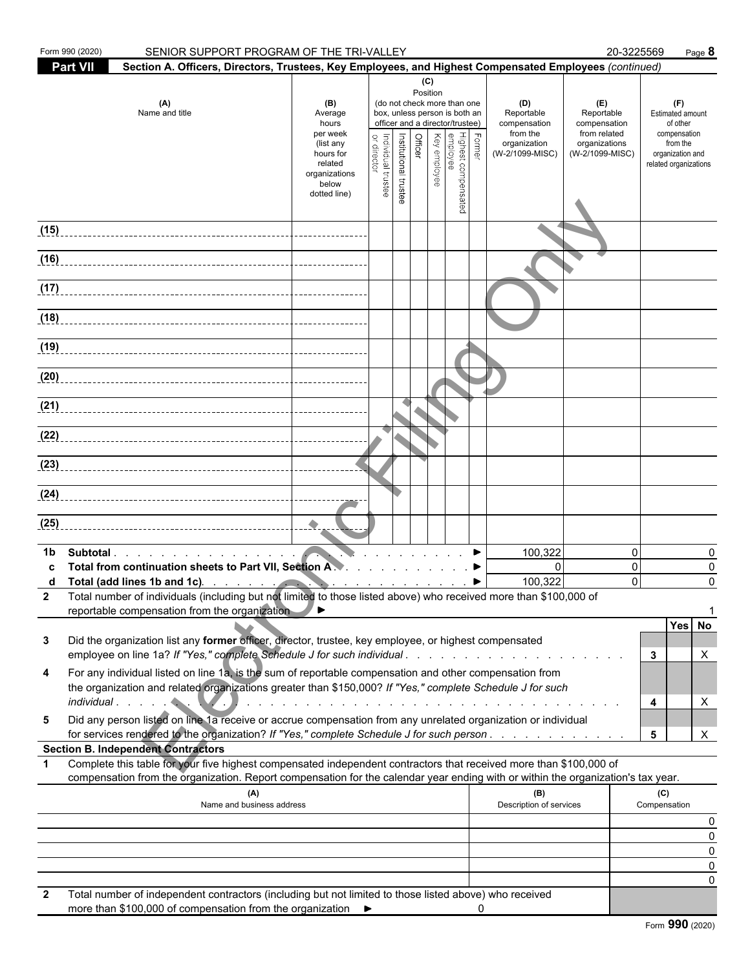| Form 990 (2020) | SENIOR SUPPORT PROGRAM OF THE TRI-VALLEY                                                                                                                                                                                                                                                                                             |                                                                                           |                                   |                       |                       |          |                                                                                                                                                                    |   |                                                                                                                                                                                                                               |                                                                                       | 20-3225569                               |                                                                                                              | Page 8             |
|-----------------|--------------------------------------------------------------------------------------------------------------------------------------------------------------------------------------------------------------------------------------------------------------------------------------------------------------------------------------|-------------------------------------------------------------------------------------------|-----------------------------------|-----------------------|-----------------------|----------|--------------------------------------------------------------------------------------------------------------------------------------------------------------------|---|-------------------------------------------------------------------------------------------------------------------------------------------------------------------------------------------------------------------------------|---------------------------------------------------------------------------------------|------------------------------------------|--------------------------------------------------------------------------------------------------------------|--------------------|
| <b>Part VII</b> | Section A. Officers, Directors, Trustees, Key Employees, and Highest Compensated Employees (continued)                                                                                                                                                                                                                               |                                                                                           |                                   |                       |                       |          |                                                                                                                                                                    |   |                                                                                                                                                                                                                               |                                                                                       |                                          |                                                                                                              |                    |
|                 | (A)<br>Name and title                                                                                                                                                                                                                                                                                                                | (B)<br>Average<br>hours<br>per week<br>(list any<br>hours for<br>related<br>organizations | Individual trustee<br>or director | Institutional trustee | (C)<br><b>Officer</b> | Position | (do not check more than one<br>box, unless person is both an<br>officer and a director/trustee)<br>∖ Former<br>Highest compensated<br>Key employee<br>Key employee |   | (D)<br>Reportable<br>compensation<br>from the<br>organization<br>(W-2/1099-MISC)                                                                                                                                              | (E)<br>Reportable<br>compensation<br>from related<br>organizations<br>(W-2/1099-MISC) |                                          | (F)<br>Estimated amount<br>of other<br>compensation<br>from the<br>organization and<br>related organizations |                    |
|                 |                                                                                                                                                                                                                                                                                                                                      | below<br>dotted line)                                                                     |                                   |                       |                       |          |                                                                                                                                                                    |   |                                                                                                                                                                                                                               |                                                                                       |                                          |                                                                                                              |                    |
| (15)            |                                                                                                                                                                                                                                                                                                                                      |                                                                                           |                                   |                       |                       |          |                                                                                                                                                                    |   |                                                                                                                                                                                                                               |                                                                                       |                                          |                                                                                                              |                    |
| (16)            |                                                                                                                                                                                                                                                                                                                                      |                                                                                           |                                   |                       |                       |          |                                                                                                                                                                    |   |                                                                                                                                                                                                                               |                                                                                       |                                          |                                                                                                              |                    |
| (17)            |                                                                                                                                                                                                                                                                                                                                      |                                                                                           |                                   |                       |                       |          |                                                                                                                                                                    |   |                                                                                                                                                                                                                               |                                                                                       |                                          |                                                                                                              |                    |
| (18)            |                                                                                                                                                                                                                                                                                                                                      |                                                                                           |                                   |                       |                       |          |                                                                                                                                                                    |   |                                                                                                                                                                                                                               |                                                                                       |                                          |                                                                                                              |                    |
| (19)            |                                                                                                                                                                                                                                                                                                                                      |                                                                                           |                                   |                       |                       |          |                                                                                                                                                                    |   |                                                                                                                                                                                                                               |                                                                                       |                                          |                                                                                                              |                    |
| (20)            |                                                                                                                                                                                                                                                                                                                                      |                                                                                           |                                   |                       |                       |          |                                                                                                                                                                    |   |                                                                                                                                                                                                                               |                                                                                       |                                          |                                                                                                              |                    |
| (21)            |                                                                                                                                                                                                                                                                                                                                      |                                                                                           |                                   |                       |                       |          |                                                                                                                                                                    |   |                                                                                                                                                                                                                               |                                                                                       |                                          |                                                                                                              |                    |
|                 |                                                                                                                                                                                                                                                                                                                                      |                                                                                           |                                   |                       |                       |          |                                                                                                                                                                    |   |                                                                                                                                                                                                                               |                                                                                       |                                          |                                                                                                              |                    |
| (23)            |                                                                                                                                                                                                                                                                                                                                      |                                                                                           |                                   |                       |                       |          |                                                                                                                                                                    |   |                                                                                                                                                                                                                               |                                                                                       |                                          |                                                                                                              |                    |
|                 |                                                                                                                                                                                                                                                                                                                                      |                                                                                           |                                   |                       |                       |          |                                                                                                                                                                    |   |                                                                                                                                                                                                                               |                                                                                       |                                          |                                                                                                              |                    |
| (25)            |                                                                                                                                                                                                                                                                                                                                      |                                                                                           |                                   |                       |                       |          |                                                                                                                                                                    |   |                                                                                                                                                                                                                               |                                                                                       |                                          |                                                                                                              |                    |
| 1b              | Subtotal<br>Total from continuation sheets to Part VII, Section A. A. A. A. A. A. A. A. A. A.<br>Total (add lines 1b and 1c). The state of the state of the state of the state of the state of the state of the<br>Total number of individuals (including but not limited to those listed above) who received more than \$100,000 of |                                                                                           |                                   |                       |                       |          |                                                                                                                                                                    |   | 100,322<br>$\mathbf{0}$<br>100,322                                                                                                                                                                                            |                                                                                       | $\mathbf{0}$<br>$\mathbf{0}$<br>$\Omega$ |                                                                                                              | 0<br>0<br>$\Omega$ |
| 3               | reportable compensation from the organization<br>Did the organization list any former officer, director, trustee, key employee, or highest compensated                                                                                                                                                                               | ◢▸                                                                                        |                                   |                       |                       |          |                                                                                                                                                                    |   |                                                                                                                                                                                                                               |                                                                                       |                                          | Yes No                                                                                                       |                    |
|                 |                                                                                                                                                                                                                                                                                                                                      |                                                                                           |                                   |                       |                       |          |                                                                                                                                                                    |   |                                                                                                                                                                                                                               |                                                                                       |                                          | 3                                                                                                            | X                  |
| 4               | For any individual listed on line 1a, is the sum of reportable compensation and other compensation from<br>the organization and related organizations greater than \$150,000? If "Yes," complete Schedule J for such                                                                                                                 |                                                                                           |                                   |                       |                       |          |                                                                                                                                                                    |   | and a constitution of the constitution of the constitution of the constitution of the constitution of the constitution of the constitution of the constitution of the constitution of the constitution of the constitution of |                                                                                       |                                          | 4                                                                                                            | X                  |
| 5               | Did any person listed on line 1a receive or accrue compensation from any unrelated organization or individual<br>for services rendered to the organization? If "Yes," complete Schedule J for such person                                                                                                                            |                                                                                           |                                   |                       |                       |          |                                                                                                                                                                    |   |                                                                                                                                                                                                                               |                                                                                       |                                          | 5                                                                                                            | X                  |
|                 | <b>Section B. Independent Contractors</b>                                                                                                                                                                                                                                                                                            |                                                                                           |                                   |                       |                       |          |                                                                                                                                                                    |   |                                                                                                                                                                                                                               |                                                                                       |                                          |                                                                                                              |                    |
| 1               | Complete this table for your five highest compensated independent contractors that received more than \$100,000 of<br>compensation from the organization. Report compensation for the calendar year ending with or within the organization's tax year.                                                                               |                                                                                           |                                   |                       |                       |          |                                                                                                                                                                    |   |                                                                                                                                                                                                                               |                                                                                       |                                          |                                                                                                              |                    |
|                 | (A)<br>Name and business address                                                                                                                                                                                                                                                                                                     |                                                                                           |                                   |                       |                       |          |                                                                                                                                                                    |   | (B)<br>Description of services                                                                                                                                                                                                |                                                                                       |                                          | (C)<br>Compensation                                                                                          |                    |
|                 |                                                                                                                                                                                                                                                                                                                                      |                                                                                           |                                   |                       |                       |          |                                                                                                                                                                    |   |                                                                                                                                                                                                                               |                                                                                       |                                          |                                                                                                              | 0<br>0             |
|                 |                                                                                                                                                                                                                                                                                                                                      |                                                                                           |                                   |                       |                       |          |                                                                                                                                                                    |   |                                                                                                                                                                                                                               |                                                                                       |                                          |                                                                                                              | 0                  |
|                 |                                                                                                                                                                                                                                                                                                                                      |                                                                                           |                                   |                       |                       |          |                                                                                                                                                                    |   |                                                                                                                                                                                                                               |                                                                                       |                                          |                                                                                                              | 0<br>0             |
| 2               | Total number of independent contractors (including but not limited to those listed above) who received<br>more than \$100,000 of compensation from the organization ▶                                                                                                                                                                |                                                                                           |                                   |                       |                       |          |                                                                                                                                                                    | 0 |                                                                                                                                                                                                                               |                                                                                       |                                          |                                                                                                              |                    |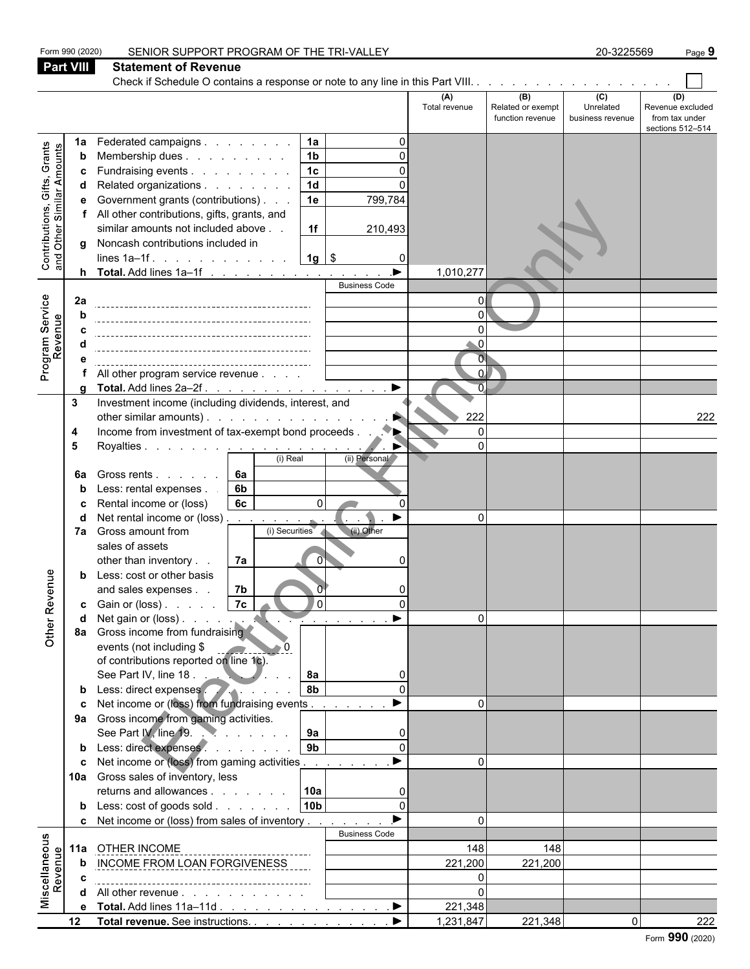|                                                                  | Form 990 (2020)  | SENIOR SUPPORT PROGRAM OF THE TRI-VALLEY                                                 |                      |                          | 20-3225569       | Page 9                             |
|------------------------------------------------------------------|------------------|------------------------------------------------------------------------------------------|----------------------|--------------------------|------------------|------------------------------------|
|                                                                  | <b>Part VIII</b> | <b>Statement of Revenue</b>                                                              |                      |                          |                  |                                    |
|                                                                  |                  | Check if Schedule O contains a response or note to any line in this Part VIII.           |                      |                          |                  |                                    |
|                                                                  |                  |                                                                                          | (A)<br>Total revenue | (B)<br>Related or exempt | (C)<br>Unrelated | (D)<br>Revenue excluded            |
|                                                                  |                  |                                                                                          |                      | function revenue         | business revenue | from tax under<br>sections 512-514 |
|                                                                  | 1a               | Federated campaigns<br>1a                                                                |                      |                          |                  |                                    |
| Grants                                                           | b                | 1 <sub>b</sub><br>Membership dues                                                        |                      |                          |                  |                                    |
|                                                                  | c                | 1c<br>Fundraising events<br>C                                                            |                      |                          |                  |                                    |
|                                                                  | d                | $\overline{1d}$<br>Related organizations                                                 |                      |                          |                  |                                    |
|                                                                  | е                | Government grants (contributions)<br>1e<br>799,784                                       |                      |                          |                  |                                    |
|                                                                  |                  | All other contributions, gifts, grants, and                                              |                      |                          |                  |                                    |
|                                                                  |                  | similar amounts not included above<br>1f<br>210,493                                      |                      |                          |                  |                                    |
| <b>Contributions, Gifts, Grants</b><br>and Other Similar Amounts | q                | Noncash contributions included in                                                        |                      |                          |                  |                                    |
|                                                                  |                  | $1g$ \$<br>lines $1a-1f$ .<br>$\Omega$                                                   | 1,010,277            |                          |                  |                                    |
|                                                                  |                  | <b>Business Code</b>                                                                     |                      |                          |                  |                                    |
|                                                                  | 2a               |                                                                                          | $\Omega$             |                          |                  |                                    |
|                                                                  |                  |                                                                                          | 0                    |                          |                  |                                    |
|                                                                  |                  |                                                                                          |                      |                          |                  |                                    |
| Program Service<br>Revenue                                       |                  |                                                                                          | U                    |                          |                  |                                    |
|                                                                  | е                |                                                                                          | $\overline{0}$       |                          |                  |                                    |
|                                                                  |                  | All other program service revenue                                                        | $\Omega$             |                          |                  |                                    |
|                                                                  |                  | $\blacktriangleright$<br>Total. Add lines 2a-2f.                                         | $\overline{0}$       |                          |                  |                                    |
|                                                                  | 3                | Investment income (including dividends, interest, and<br>other similar amounts).         | 222                  |                          |                  | 222                                |
|                                                                  | 4                | Income from investment of tax-exempt bond proceeds.                                      | $\Omega$             |                          |                  |                                    |
|                                                                  | 5                | Royalties <u>.</u>                                                                       | 0                    |                          |                  |                                    |
|                                                                  |                  | (i) Real<br>(ii) Personal                                                                |                      |                          |                  |                                    |
|                                                                  | 6a               | 6a<br>Gross rents                                                                        |                      |                          |                  |                                    |
|                                                                  | b                | Less: rental expenses.<br>6 <sub>b</sub>                                                 |                      |                          |                  |                                    |
|                                                                  | c                | Rental income or (loss)<br>6c<br>$\Omega$                                                |                      |                          |                  |                                    |
|                                                                  | d                | Net rental income or (loss)                                                              | $\Omega$             |                          |                  |                                    |
|                                                                  | 7а               | (ii) Other<br>Gross amount from<br>(i) Securities                                        |                      |                          |                  |                                    |
|                                                                  |                  | sales of assets<br>7a<br>other than inventory<br>$\Omega$                                |                      |                          |                  |                                    |
|                                                                  | b                | Less: cost or other basis                                                                |                      |                          |                  |                                    |
| eun                                                              |                  | 7 <sub>b</sub><br>and sales expenses                                                     |                      |                          |                  |                                    |
|                                                                  |                  | <b>c</b> Gain or (loss) $\ldots$ $7c$<br>l ol                                            |                      |                          |                  |                                    |
|                                                                  | d                | ▶<br>$\sim$ $\sim$ $\sim$ $\sim$ $\sim$                                                  | $\Omega$             |                          |                  |                                    |
| Other Reve                                                       |                  | 8a Gross income from fundraising                                                         |                      |                          |                  |                                    |
|                                                                  |                  | events (not including \$                                                                 |                      |                          |                  |                                    |
|                                                                  |                  | of contributions reported on line 1c).                                                   |                      |                          |                  |                                    |
|                                                                  |                  | See Part IV, line 18.<br>8a<br>$\Omega$                                                  |                      |                          |                  |                                    |
|                                                                  |                  | 8b<br>Less: direct expenses                                                              | $\Omega$             |                          |                  |                                    |
|                                                                  | c                | Net income or (loss) from fundraising events.<br>9a Gross income from gaming activities. |                      |                          |                  |                                    |
|                                                                  |                  | See Part IV, line 19.<br>9a<br>$\Omega$                                                  |                      |                          |                  |                                    |
|                                                                  |                  | 9 <sub>b</sub><br>b Less: direct expenses<br>$\Omega$                                    |                      |                          |                  |                                    |
|                                                                  | c                | Net income or (loss) from gaming activities                                              | $\Omega$             |                          |                  |                                    |
|                                                                  |                  | 10a Gross sales of inventory, less                                                       |                      |                          |                  |                                    |
|                                                                  |                  | 10a<br>returns and allowances                                                            |                      |                          |                  |                                    |
|                                                                  |                  | <b>10b</b><br><b>b</b> Less: cost of goods sold<br>$\Omega$                              |                      |                          |                  |                                    |
|                                                                  | c                | Net income or (loss) from sales of inventory                                             | $\Omega$             |                          |                  |                                    |
|                                                                  |                  | <b>Business Code</b>                                                                     |                      |                          |                  |                                    |
|                                                                  |                  | 11a OTHER INCOME                                                                         | 148                  | 148                      |                  |                                    |
| Miscellaneous<br>Revenue                                         | b                | INCOME FROM LOAN FORGIVENESS                                                             | 221,200              | 221,200                  |                  |                                    |
|                                                                  | c                |                                                                                          | $\Omega$<br>$\Omega$ |                          |                  |                                    |
|                                                                  |                  | d All other revenue<br>e Total. Add lines 11a-11d<br>$\blacktriangleright$               | 221,348              |                          |                  |                                    |
|                                                                  |                  | 12 Total revenue. See instructions.                                                      | 1,231,847            | 221,348                  | $\Omega$         | 222                                |
|                                                                  |                  |                                                                                          |                      |                          |                  |                                    |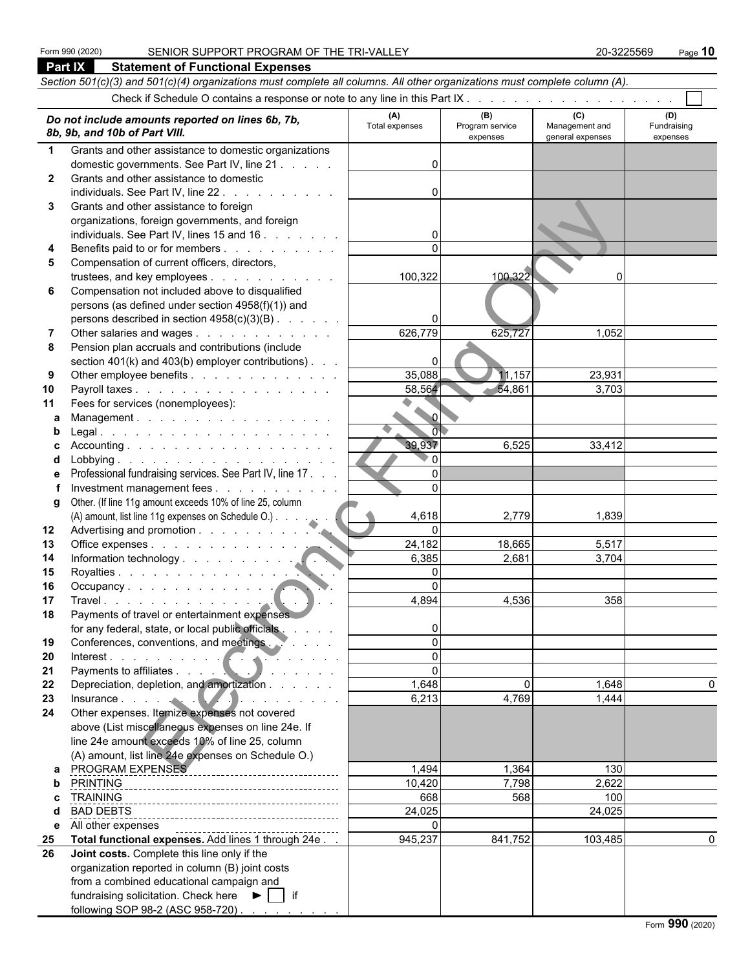|              | <b>Part IX</b><br><b>Statement of Functional Expenses</b>                                                                                                                                                                        |                       |                             |                                    |                         |  |  |  |  |  |
|--------------|----------------------------------------------------------------------------------------------------------------------------------------------------------------------------------------------------------------------------------|-----------------------|-----------------------------|------------------------------------|-------------------------|--|--|--|--|--|
|              | Section 501(c)(3) and 501(c)(4) organizations must complete all columns. All other organizations must complete column (A).                                                                                                       |                       |                             |                                    |                         |  |  |  |  |  |
|              |                                                                                                                                                                                                                                  |                       |                             |                                    |                         |  |  |  |  |  |
|              |                                                                                                                                                                                                                                  |                       | (B)                         | (C)                                | (D)                     |  |  |  |  |  |
|              | Do not include amounts reported on lines 6b, 7b,<br>8b, 9b, and 10b of Part VIII.                                                                                                                                                | (A)<br>Total expenses | Program service<br>expenses | Management and<br>general expenses | Fundraising<br>expenses |  |  |  |  |  |
| $\mathbf 1$  | Grants and other assistance to domestic organizations                                                                                                                                                                            |                       |                             |                                    |                         |  |  |  |  |  |
|              | domestic governments. See Part IV, line 21                                                                                                                                                                                       | U                     |                             |                                    |                         |  |  |  |  |  |
| $\mathbf{2}$ | Grants and other assistance to domestic                                                                                                                                                                                          |                       |                             |                                    |                         |  |  |  |  |  |
|              | individuals. See Part IV, line 22.                                                                                                                                                                                               |                       |                             |                                    |                         |  |  |  |  |  |
| 3            | Grants and other assistance to foreign                                                                                                                                                                                           |                       |                             |                                    |                         |  |  |  |  |  |
|              | organizations, foreign governments, and foreign                                                                                                                                                                                  |                       |                             |                                    |                         |  |  |  |  |  |
|              | individuals. See Part IV, lines 15 and 16                                                                                                                                                                                        |                       |                             |                                    |                         |  |  |  |  |  |
| 4            | Benefits paid to or for members                                                                                                                                                                                                  | $\Omega$              |                             |                                    |                         |  |  |  |  |  |
| 5            | Compensation of current officers, directors,                                                                                                                                                                                     |                       |                             |                                    |                         |  |  |  |  |  |
|              | trustees, and key employees                                                                                                                                                                                                      | 100,322               | 100,322                     | $\Omega$                           |                         |  |  |  |  |  |
| 6            | Compensation not included above to disqualified                                                                                                                                                                                  |                       |                             |                                    |                         |  |  |  |  |  |
|              | persons (as defined under section 4958(f)(1)) and                                                                                                                                                                                |                       |                             |                                    |                         |  |  |  |  |  |
|              | persons described in section 4958(c)(3)(B)                                                                                                                                                                                       |                       |                             |                                    |                         |  |  |  |  |  |
| 7            | Other salaries and wages                                                                                                                                                                                                         | 626,779               | 625,727                     | 1,052                              |                         |  |  |  |  |  |
| 8            | Pension plan accruals and contributions (include                                                                                                                                                                                 |                       |                             |                                    |                         |  |  |  |  |  |
|              | section $401(k)$ and $403(b)$ employer contributions).<br>Other employee benefits                                                                                                                                                | 0<br>35,088           | 11,157                      | 23,931                             |                         |  |  |  |  |  |
| 9<br>10      | Payroll taxes                                                                                                                                                                                                                    | 58,564                | $-54,861$                   | 3,703                              |                         |  |  |  |  |  |
| 11           | Fees for services (nonemployees):                                                                                                                                                                                                |                       |                             |                                    |                         |  |  |  |  |  |
| a            | Management.                                                                                                                                                                                                                      | $\sim$ $\sigma$       |                             |                                    |                         |  |  |  |  |  |
| b            |                                                                                                                                                                                                                                  | $\overline{0}$        |                             |                                    |                         |  |  |  |  |  |
| С            | Accounting.                                                                                                                                                                                                                      | 39,937                | 6,525                       | 33,412                             |                         |  |  |  |  |  |
| d            |                                                                                                                                                                                                                                  | $\Omega$              |                             |                                    |                         |  |  |  |  |  |
| е            | Professional fundraising services. See Part IV, line 17.                                                                                                                                                                         | $\Omega$              |                             |                                    |                         |  |  |  |  |  |
|              | Investment management fees                                                                                                                                                                                                       | 0                     |                             |                                    |                         |  |  |  |  |  |
| g            | Other. (If line 11g amount exceeds 10% of line 25, column                                                                                                                                                                        |                       |                             |                                    |                         |  |  |  |  |  |
|              | (A) amount, list line 11g expenses on Schedule O.)                                                                                                                                                                               | 4,618                 | 2,779                       | 1,839                              |                         |  |  |  |  |  |
| 12           |                                                                                                                                                                                                                                  | $\Omega$              |                             |                                    |                         |  |  |  |  |  |
| 13           | Office expenses                                                                                                                                                                                                                  | 24,182                | 18,665                      | 5,517                              |                         |  |  |  |  |  |
| 14           |                                                                                                                                                                                                                                  | 6,385                 | 2,681                       | 3,704                              |                         |  |  |  |  |  |
| 15           | Royalties                                                                                                                                                                                                                        | 0                     |                             |                                    |                         |  |  |  |  |  |
| 16           |                                                                                                                                                                                                                                  | $\Omega$              |                             |                                    |                         |  |  |  |  |  |
| 17           | Travel.                                                                                                                                                                                                                          | 4,894                 | 4,536                       | 358                                |                         |  |  |  |  |  |
| 18           | Payments of travel or entertainment expenses                                                                                                                                                                                     |                       |                             |                                    |                         |  |  |  |  |  |
|              | for any federal, state, or local public officials                                                                                                                                                                                |                       |                             |                                    |                         |  |  |  |  |  |
| 19           | Conferences, conventions, and meetings.                                                                                                                                                                                          | $\Omega$              |                             |                                    |                         |  |  |  |  |  |
| 20           | Interest.                                                                                                                                                                                                                        | $\Omega$<br>$\Omega$  |                             |                                    |                         |  |  |  |  |  |
| 21<br>22     | Payments to affiliates                                                                                                                                                                                                           | 1,648                 | $\Omega$                    | 1,648                              | 0                       |  |  |  |  |  |
|              | Depreciation, depletion, and amortization                                                                                                                                                                                        | 6,213                 | 4,769                       | 1,444                              |                         |  |  |  |  |  |
| 23<br>24     | Insurance<br>Other expenses. Itemize expenses not covered                                                                                                                                                                        |                       |                             |                                    |                         |  |  |  |  |  |
|              | above (List miscellaneous expenses on line 24e. If                                                                                                                                                                               |                       |                             |                                    |                         |  |  |  |  |  |
|              | line 24e amount exceeds 10% of line 25, column                                                                                                                                                                                   |                       |                             |                                    |                         |  |  |  |  |  |
|              | (A) amount, list line 24e expenses on Schedule O.)                                                                                                                                                                               |                       |                             |                                    |                         |  |  |  |  |  |
| a            | PROGRAM EXPENSES<br>The Continuum of the Canada Program and Canada Program and Canada Program and Canada Program and Canada Program and Canada Program and Canada Program and Canada Program and Canada Program and Canada Progr | 1,494                 | 1,364                       | 130                                |                         |  |  |  |  |  |
| b            |                                                                                                                                                                                                                                  | 10,420                | 7,798                       | 2,622                              |                         |  |  |  |  |  |
| c.           | TRAINING                                                                                                                                                                                                                         | 668                   | 568                         | 100                                |                         |  |  |  |  |  |
| d            | <b>BAD DEBTS</b>                                                                                                                                                                                                                 | 24,025                |                             | 24,025                             |                         |  |  |  |  |  |
| е            | All other expenses                                                                                                                                                                                                               | 0                     |                             |                                    |                         |  |  |  |  |  |
| 25           | Total functional expenses. Add lines 1 through 24e.                                                                                                                                                                              | 945,237               | 841,752                     | 103,485                            | 0                       |  |  |  |  |  |
| 26           | Joint costs. Complete this line only if the                                                                                                                                                                                      |                       |                             |                                    |                         |  |  |  |  |  |
|              | organization reported in column (B) joint costs                                                                                                                                                                                  |                       |                             |                                    |                         |  |  |  |  |  |
|              | from a combined educational campaign and                                                                                                                                                                                         |                       |                             |                                    |                         |  |  |  |  |  |
|              | fundraising solicitation. Check here $\blacktriangleright$   if                                                                                                                                                                  |                       |                             |                                    |                         |  |  |  |  |  |
|              | following SOP 98-2 (ASC 958-720)                                                                                                                                                                                                 |                       |                             |                                    |                         |  |  |  |  |  |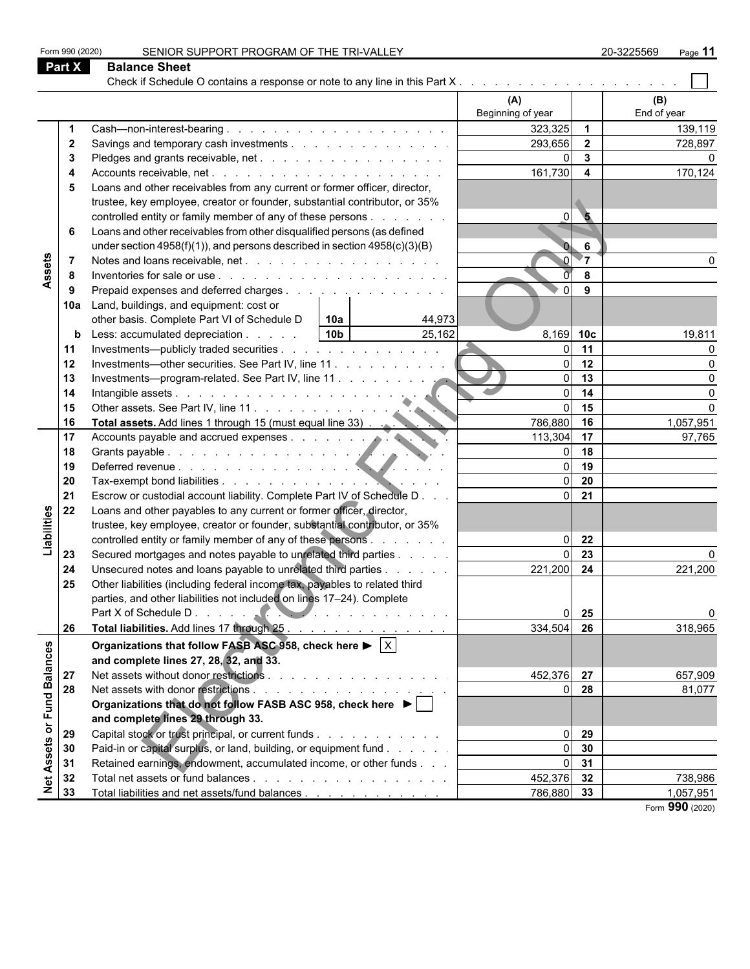| Form 990 (2020)         | SENIOR SUPPORT PROGRAM OF THE TRI-VALLEY                                                         |                   |                         | 20-3225569<br>Page 11 |
|-------------------------|--------------------------------------------------------------------------------------------------|-------------------|-------------------------|-----------------------|
| Part X                  | <b>Balance Sheet</b>                                                                             |                   |                         |                       |
|                         |                                                                                                  |                   |                         |                       |
|                         |                                                                                                  | (A)               |                         | (B)                   |
|                         |                                                                                                  | Beginning of year |                         | End of year           |
|                         |                                                                                                  | 323,325           | $\overline{1}$          | 139,119               |
| $\mathbf{2}$            | Savings and temporary cash investments                                                           | 293,656           | $\overline{2}$          | 728,897               |
| 3                       |                                                                                                  | $\overline{0}$    | $\mathbf{3}$            |                       |
| 4                       |                                                                                                  | 161,730           | $\overline{\mathbf{4}}$ | 170,124               |
| 5                       | Loans and other receivables from any current or former officer, director,                        |                   |                         |                       |
|                         | trustee, key employee, creator or founder, substantial contributor, or 35%                       |                   |                         |                       |
|                         | controlled entity or family member of any of these persons                                       | $\Omega$          | $\bullet$               |                       |
| 6                       | Loans and other receivables from other disqualified persons (as defined                          |                   |                         |                       |
|                         | under section $4958(f)(1)$ , and persons described in section $4958(c)(3)(B)$                    |                   | 6                       |                       |
| 7                       |                                                                                                  |                   | $\blacktriangledown$    |                       |
| Assets<br>-8            |                                                                                                  |                   | 8                       |                       |
| -9                      | Prepaid expenses and deferred charges                                                            | $\Omega$          | 9                       |                       |
| 10a                     | Land, buildings, and equipment: cost or                                                          |                   |                         |                       |
|                         | other basis. Complete Part VI of Schedule D<br>10a<br>44,973                                     |                   |                         |                       |
|                         | 25,162<br>10 <sub>b</sub><br>Less: accumulated depreciation<br>b                                 | 8,169 10c         |                         | 19,811                |
| 11                      | Investments—publicly traded securities                                                           | $\Omega$          | 11                      | O                     |
| 12                      | Investments—other securities. See Part IV, line 11.                                              | $\Omega$          | 12                      | $\Omega$              |
| 13                      |                                                                                                  | $\Omega$          | 13                      | $\Omega$              |
| 14                      |                                                                                                  | $\Omega$          | 14                      | $\Omega$              |
| 15                      |                                                                                                  | $\overline{0}$    | 15                      | $\Omega$              |
| 16                      | Other assets. See Part IV, line 11.<br>Total assets. Add lines 1 through 15 (must equal line 33) | 786,880           | 16                      | 1,057,951             |
| 17                      |                                                                                                  | 113,304           | 17                      | 97,765                |
| 18                      | Accounts payable and accrued expenses.                                                           | $\Omega$          | 18                      |                       |
| 19                      | Deferred revenue.                                                                                | $\Omega$          | 19                      |                       |
| 20                      |                                                                                                  | $\Omega$          | 20                      |                       |
| 21                      | Escrow or custodial account liability. Complete Part IV of Schedule D                            | $\overline{0}$    | 21                      |                       |
| 22                      | Loans and other payables to any current or former officer, director,                             |                   |                         |                       |
| Liabilities             | trustee, key employee, creator or founder, substantial contributor, or 35%                       |                   |                         |                       |
|                         | controlled entity or family member of any of these persons                                       | $\Omega$          | 22                      |                       |
| 23                      | Secured mortgages and notes payable to unrelated third parties                                   | $\Omega$          | 23                      |                       |
| 24                      | Unsecured notes and loans payable to unrelated third parties                                     | 221,200           | 24                      | 221,200               |
| 25                      | Other liabilities (including federal income tax, payables to related third                       |                   |                         |                       |
|                         | parties, and other liabilities not included on lines 17-24). Complete                            |                   |                         |                       |
|                         |                                                                                                  | $\Omega$          | 25                      | $\Omega$              |
| 26                      | Total liabilities. Add lines 17 through 25.                                                      | 334,504           | 26                      | 318,965               |
|                         | Organizations that follow FASB ASC 958, check here $\blacktriangleright$ $\mid$ X $\mid$         |                   |                         |                       |
|                         | and complete lines 27, 28, 32, and 33.                                                           |                   |                         |                       |
| 27                      |                                                                                                  | 452,376 27        |                         | 657,909               |
| or Fund Balances<br>28  |                                                                                                  | $\Omega$          | 28                      | 81,077                |
|                         | Organizations that do not follow FASB ASC 958, check here ▶                                      |                   |                         |                       |
|                         | and complete lines 29 through 33.                                                                |                   |                         |                       |
| 29                      | Capital stock or trust principal, or current funds                                               | $\Omega$          | 29                      |                       |
| 30                      | Paid-in or capital surplus, or land, building, or equipment fund                                 | ΩI                | 30                      |                       |
| 31                      | Retained earnings, endowment, accumulated income, or other funds                                 | $\Omega$          | 31                      |                       |
| 32                      |                                                                                                  | 452,376 32        |                         | 738,986               |
| <b>Net Assets</b><br>33 | Total liabilities and net assets/fund balances                                                   | 786,880 33        |                         | 1,057,951             |
|                         |                                                                                                  |                   |                         | Form 990 (2020)       |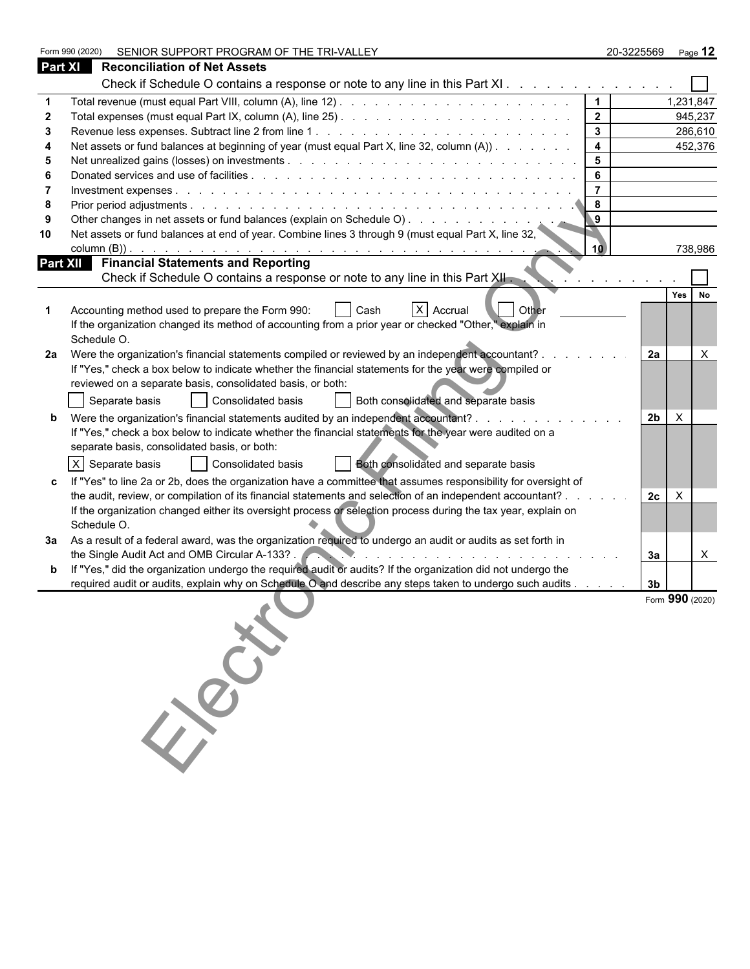|                | SENIOR SUPPORT PROGRAM OF THE TRI-VALLEY<br>Form 990 (2020)                                                                                                                                                                                                                    |                | 20-3225569     | Page 12                   |
|----------------|--------------------------------------------------------------------------------------------------------------------------------------------------------------------------------------------------------------------------------------------------------------------------------|----------------|----------------|---------------------------|
| <b>Part XI</b> | <b>Reconciliation of Net Assets</b>                                                                                                                                                                                                                                            |                |                |                           |
|                | Check if Schedule O contains a response or note to any line in this Part XI                                                                                                                                                                                                    |                |                |                           |
|                |                                                                                                                                                                                                                                                                                |                |                | 1,231,847                 |
|                |                                                                                                                                                                                                                                                                                | $\mathbf{2}$   |                | 945,237                   |
|                |                                                                                                                                                                                                                                                                                | $\mathbf{3}$   |                | 286,610                   |
|                | Net assets or fund balances at beginning of year (must equal Part X, line 32, column (A))                                                                                                                                                                                      | 4              |                | 452,376                   |
|                |                                                                                                                                                                                                                                                                                | 5              |                |                           |
|                |                                                                                                                                                                                                                                                                                | 6              |                |                           |
|                |                                                                                                                                                                                                                                                                                | $\overline{7}$ |                |                           |
| 8              |                                                                                                                                                                                                                                                                                | 8              |                |                           |
|                |                                                                                                                                                                                                                                                                                | 9              |                |                           |
| 10             | Net assets or fund balances at end of year. Combine lines 3 through 9 (must equal Part X, line 32,                                                                                                                                                                             |                |                |                           |
|                | column $(B)$ ).<br><u>A series of the contract of the contract of the contract of the contract of the contract of the contract of the contract of the contract of the contract of the contract of the contract of the contract of the contract of t</u>                        | 10             |                | 738,986                   |
|                | <b>Part XII</b> Financial Statements and Reporting                                                                                                                                                                                                                             |                |                |                           |
|                | Check if Schedule O contains a response or note to any line in this Part XII.                                                                                                                                                                                                  |                |                |                           |
|                |                                                                                                                                                                                                                                                                                |                |                | Yes<br>No                 |
|                | X Accrual<br>  Other<br>Accounting method used to prepare the Form 990:<br>Cash                                                                                                                                                                                                |                |                |                           |
|                | If the organization changed its method of accounting from a prior year or checked "Other," explain in<br>Schedule O.                                                                                                                                                           |                |                |                           |
| 2a             | Were the organization's financial statements compiled or reviewed by an independent accountant? .                                                                                                                                                                              |                | 2a             | X                         |
|                | If "Yes," check a box below to indicate whether the financial statements for the year were compiled or                                                                                                                                                                         |                |                |                           |
|                | reviewed on a separate basis, consolidated basis, or both:                                                                                                                                                                                                                     |                |                |                           |
|                | Separate basis<br>Consolidated basis<br>Both consolidated and separate basis                                                                                                                                                                                                   |                |                |                           |
|                | Were the organization's financial statements audited by an independent accountant? .                                                                                                                                                                                           |                | 2 <sub>b</sub> | $\boldsymbol{\mathsf{X}}$ |
|                | If "Yes," check a box below to indicate whether the financial statements for the year were audited on a                                                                                                                                                                        |                |                |                           |
|                | separate basis, consolidated basis, or both:                                                                                                                                                                                                                                   |                |                |                           |
|                | X Separate basis<br>Consolidated basis                                                                                                                                                                                                                                         |                |                |                           |
|                | Both consolidated and separate basis                                                                                                                                                                                                                                           |                |                |                           |
|                | If "Yes" to line 2a or 2b, does the organization have a committee that assumes responsibility for oversight of                                                                                                                                                                 |                |                |                           |
|                | the audit, review, or compilation of its financial statements and selection of an independent accountant? .                                                                                                                                                                    |                | 2c             | X                         |
|                | If the organization changed either its oversight process or selection process during the tax year, explain on<br>Schedule O.                                                                                                                                                   |                |                |                           |
|                | 3a  As a result of a federal award, was the organization required to undergo an audit or audits as set forth in                                                                                                                                                                |                |                |                           |
|                | the Single Audit Act and OMB Circular A-133?<br>the contract of the contract of the contract of the contract of the contract of the contract of the contract of the contract of the contract of the contract of the contract of the contract of the contract of the contract o |                | За             | $\mathsf{X}$              |
|                | If "Yes," did the organization undergo the required audit or audits? If the organization did not undergo the                                                                                                                                                                   |                |                |                           |
|                | required audit or audits, explain why on Schedule O and describe any steps taken to undergo such audits                                                                                                                                                                        |                | 3 <sub>b</sub> |                           |
|                |                                                                                                                                                                                                                                                                                |                |                | Form 990 (2020)           |
|                |                                                                                                                                                                                                                                                                                |                |                |                           |
|                |                                                                                                                                                                                                                                                                                |                |                |                           |
|                |                                                                                                                                                                                                                                                                                |                |                |                           |
|                |                                                                                                                                                                                                                                                                                |                |                |                           |
|                |                                                                                                                                                                                                                                                                                |                |                |                           |
|                |                                                                                                                                                                                                                                                                                |                |                |                           |
|                | 150                                                                                                                                                                                                                                                                            |                |                |                           |
|                |                                                                                                                                                                                                                                                                                |                |                |                           |
|                |                                                                                                                                                                                                                                                                                |                |                |                           |
|                |                                                                                                                                                                                                                                                                                |                |                |                           |
|                |                                                                                                                                                                                                                                                                                |                |                |                           |
|                |                                                                                                                                                                                                                                                                                |                |                |                           |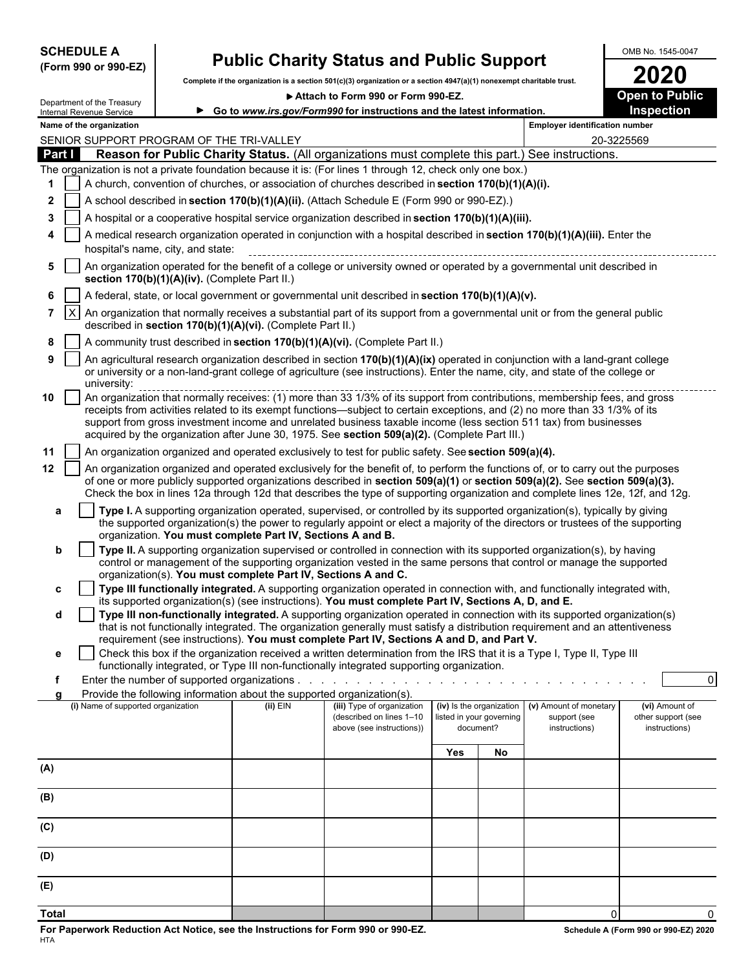| <b>SCHEDULE A</b> |                      |
|-------------------|----------------------|
|                   | (Form 990 or 990-EZ) |

## **SCHEDULE A Public Charity Status and Public Support** MAD NO. 1545-0047

|                | (Form 990 or 990-EZ)                               | <b>I abily Vilarity Otatus and I abily Oupport</b>                                                                                                                                                                                                                       |                                                                                      |                                                                                                                                                                                                                                                                |                                                                                                                 |                          |                                       |                       |  |  |  |
|----------------|----------------------------------------------------|--------------------------------------------------------------------------------------------------------------------------------------------------------------------------------------------------------------------------------------------------------------------------|--------------------------------------------------------------------------------------|----------------------------------------------------------------------------------------------------------------------------------------------------------------------------------------------------------------------------------------------------------------|-----------------------------------------------------------------------------------------------------------------|--------------------------|---------------------------------------|-----------------------|--|--|--|
|                |                                                    |                                                                                                                                                                                                                                                                          |                                                                                      | Complete if the organization is a section 501(c)(3) organization or a section 4947(a)(1) nonexempt charitable trust.                                                                                                                                           |                                                                                                                 |                          |                                       | <b>2020</b>           |  |  |  |
|                | Department of the Treasury                         |                                                                                                                                                                                                                                                                          |                                                                                      | Attach to Form 990 or Form 990-EZ.                                                                                                                                                                                                                             |                                                                                                                 |                          |                                       | <b>Open to Public</b> |  |  |  |
|                | ▶<br>Internal Revenue Service                      |                                                                                                                                                                                                                                                                          |                                                                                      | Go to www.irs.gov/Form990 for instructions and the latest information.                                                                                                                                                                                         |                                                                                                                 | Inspection               |                                       |                       |  |  |  |
|                | Name of the organization                           |                                                                                                                                                                                                                                                                          |                                                                                      |                                                                                                                                                                                                                                                                |                                                                                                                 |                          | <b>Employer identification number</b> |                       |  |  |  |
|                | SENIOR SUPPORT PROGRAM OF THE TRI-VALLEY<br>Part I |                                                                                                                                                                                                                                                                          |                                                                                      | Reason for Public Charity Status. (All organizations must complete this part.) See instructions.                                                                                                                                                               |                                                                                                                 |                          |                                       | 20-3225569            |  |  |  |
|                |                                                    |                                                                                                                                                                                                                                                                          |                                                                                      | The organization is not a private foundation because it is: (For lines 1 through 12, check only one box.)                                                                                                                                                      |                                                                                                                 |                          |                                       |                       |  |  |  |
| 1              |                                                    |                                                                                                                                                                                                                                                                          |                                                                                      | A church, convention of churches, or association of churches described in section 170(b)(1)(A)(i).                                                                                                                                                             |                                                                                                                 |                          |                                       |                       |  |  |  |
| 2              |                                                    |                                                                                                                                                                                                                                                                          |                                                                                      | A school described in section 170(b)(1)(A)(ii). (Attach Schedule E (Form 990 or 990-EZ).)                                                                                                                                                                      |                                                                                                                 |                          |                                       |                       |  |  |  |
| 3              |                                                    |                                                                                                                                                                                                                                                                          |                                                                                      | A hospital or a cooperative hospital service organization described in section 170(b)(1)(A)(iii).                                                                                                                                                              |                                                                                                                 |                          |                                       |                       |  |  |  |
| 4              |                                                    |                                                                                                                                                                                                                                                                          |                                                                                      | A medical research organization operated in conjunction with a hospital described in section 170(b)(1)(A)(iii). Enter the                                                                                                                                      |                                                                                                                 |                          |                                       |                       |  |  |  |
|                |                                                    | hospital's name, city, and state:                                                                                                                                                                                                                                        |                                                                                      |                                                                                                                                                                                                                                                                |                                                                                                                 |                          |                                       |                       |  |  |  |
| 5              |                                                    | An organization operated for the benefit of a college or university owned or operated by a governmental unit described in<br>section 170(b)(1)(A)(iv). (Complete Part II.)                                                                                               |                                                                                      |                                                                                                                                                                                                                                                                |                                                                                                                 |                          |                                       |                       |  |  |  |
| 6              |                                                    |                                                                                                                                                                                                                                                                          |                                                                                      | A federal, state, or local government or governmental unit described in section 170(b)(1)(A)(v).                                                                                                                                                               |                                                                                                                 |                          |                                       |                       |  |  |  |
| $\overline{7}$ | $\mathsf{I}\mathsf{X}$                             |                                                                                                                                                                                                                                                                          | described in section 170(b)(1)(A)(vi). (Complete Part II.)                           | An organization that normally receives a substantial part of its support from a governmental unit or from the general public                                                                                                                                   |                                                                                                                 |                          |                                       |                       |  |  |  |
| 8              |                                                    |                                                                                                                                                                                                                                                                          |                                                                                      | A community trust described in section 170(b)(1)(A)(vi). (Complete Part II.)                                                                                                                                                                                   |                                                                                                                 |                          |                                       |                       |  |  |  |
| 9              |                                                    |                                                                                                                                                                                                                                                                          |                                                                                      | An agricultural research organization described in section 170(b)(1)(A)(ix) operated in conjunction with a land-grant college                                                                                                                                  |                                                                                                                 |                          |                                       |                       |  |  |  |
|                | university:                                        |                                                                                                                                                                                                                                                                          |                                                                                      | or university or a non-land-grant college of agriculture (see instructions). Enter the name, city, and state of the college or                                                                                                                                 |                                                                                                                 |                          |                                       |                       |  |  |  |
| 10             |                                                    | umversity.<br>An organization that normally receives: (1) more than 33 1/3% of its support from contributions, membership fees, and gross<br>receipts from activities related to its exempt functions—subject to certain exceptions, and (2) no more than 33 1/3% of its |                                                                                      |                                                                                                                                                                                                                                                                |                                                                                                                 |                          |                                       |                       |  |  |  |
|                |                                                    |                                                                                                                                                                                                                                                                          |                                                                                      | support from gross investment income and unrelated business taxable income (less section 511 tax) from businesses                                                                                                                                              |                                                                                                                 |                          |                                       |                       |  |  |  |
|                |                                                    |                                                                                                                                                                                                                                                                          |                                                                                      | acquired by the organization after June 30, 1975. See section 509(a)(2). (Complete Part III.)                                                                                                                                                                  |                                                                                                                 |                          |                                       |                       |  |  |  |
| 11             |                                                    |                                                                                                                                                                                                                                                                          |                                                                                      | An organization organized and operated exclusively to test for public safety. See section 509(a)(4).                                                                                                                                                           |                                                                                                                 |                          |                                       |                       |  |  |  |
| 12             |                                                    |                                                                                                                                                                                                                                                                          |                                                                                      | An organization organized and operated exclusively for the benefit of, to perform the functions of, or to carry out the purposes                                                                                                                               |                                                                                                                 |                          |                                       |                       |  |  |  |
|                |                                                    |                                                                                                                                                                                                                                                                          |                                                                                      | of one or more publicly supported organizations described in section 509(a)(1) or section 509(a)(2). See section 509(a)(3).<br>Check the box in lines 12a through 12d that describes the type of supporting organization and complete lines 12e, 12f, and 12g. |                                                                                                                 |                          |                                       |                       |  |  |  |
|                |                                                    |                                                                                                                                                                                                                                                                          |                                                                                      | Type I. A supporting organization operated, supervised, or controlled by its supported organization(s), typically by giving                                                                                                                                    |                                                                                                                 |                          |                                       |                       |  |  |  |
| а              |                                                    |                                                                                                                                                                                                                                                                          | organization. You must complete Part IV, Sections A and B.                           | the supported organization(s) the power to regularly appoint or elect a majority of the directors or trustees of the supporting                                                                                                                                |                                                                                                                 |                          |                                       |                       |  |  |  |
|                | b                                                  |                                                                                                                                                                                                                                                                          |                                                                                      | Type II. A supporting organization supervised or controlled in connection with its supported organization(s), by having                                                                                                                                        |                                                                                                                 |                          |                                       |                       |  |  |  |
|                |                                                    |                                                                                                                                                                                                                                                                          |                                                                                      | control or management of the supporting organization vested in the same persons that control or manage the supported                                                                                                                                           |                                                                                                                 |                          |                                       |                       |  |  |  |
| c              |                                                    |                                                                                                                                                                                                                                                                          | organization(s). You must complete Part IV, Sections A and C.                        |                                                                                                                                                                                                                                                                |                                                                                                                 |                          |                                       |                       |  |  |  |
|                |                                                    |                                                                                                                                                                                                                                                                          |                                                                                      | Type III functionally integrated. A supporting organization operated in connection with, and functionally integrated with,<br>its supported organization(s) (see instructions). You must complete Part IV, Sections A, D, and E.                               |                                                                                                                 |                          |                                       |                       |  |  |  |
|                | d                                                  |                                                                                                                                                                                                                                                                          |                                                                                      | Type III non-functionally integrated. A supporting organization operated in connection with its supported organization(s)                                                                                                                                      |                                                                                                                 |                          |                                       |                       |  |  |  |
|                |                                                    |                                                                                                                                                                                                                                                                          |                                                                                      | that is not functionally integrated. The organization generally must satisfy a distribution requirement and an attentiveness<br>requirement (see instructions). You must complete Part IV, Sections A and D, and Part V.                                       |                                                                                                                 |                          |                                       |                       |  |  |  |
| e              |                                                    |                                                                                                                                                                                                                                                                          |                                                                                      | Check this box if the organization received a written determination from the IRS that it is a Type I, Type II, Type III                                                                                                                                        |                                                                                                                 |                          |                                       |                       |  |  |  |
|                |                                                    |                                                                                                                                                                                                                                                                          |                                                                                      | functionally integrated, or Type III non-functionally integrated supporting organization.                                                                                                                                                                      |                                                                                                                 |                          |                                       |                       |  |  |  |
| f              |                                                    |                                                                                                                                                                                                                                                                          | Enter the number of supported organizations                                          |                                                                                                                                                                                                                                                                | the contract of the contract of the contract of the contract of the contract of the contract of the contract of |                          |                                       | $\overline{0}$        |  |  |  |
|                | (i) Name of supported organization                 |                                                                                                                                                                                                                                                                          | Provide the following information about the supported organization(s).<br>$(ii)$ EIN | (iii) Type of organization                                                                                                                                                                                                                                     | (iv) Is the organization                                                                                        |                          | (v) Amount of monetary                | (vi) Amount of        |  |  |  |
|                |                                                    |                                                                                                                                                                                                                                                                          |                                                                                      | (described on lines 1-10                                                                                                                                                                                                                                       |                                                                                                                 | listed in your governing | support (see                          | other support (see    |  |  |  |
|                |                                                    |                                                                                                                                                                                                                                                                          |                                                                                      | above (see instructions))                                                                                                                                                                                                                                      |                                                                                                                 | document?                | instructions)                         | instructions)         |  |  |  |
|                |                                                    |                                                                                                                                                                                                                                                                          |                                                                                      |                                                                                                                                                                                                                                                                | <b>Yes</b>                                                                                                      | No                       |                                       |                       |  |  |  |
| (A)            |                                                    |                                                                                                                                                                                                                                                                          |                                                                                      |                                                                                                                                                                                                                                                                |                                                                                                                 |                          |                                       |                       |  |  |  |
| (B)            |                                                    |                                                                                                                                                                                                                                                                          |                                                                                      |                                                                                                                                                                                                                                                                |                                                                                                                 |                          |                                       |                       |  |  |  |
| (C)            |                                                    |                                                                                                                                                                                                                                                                          |                                                                                      |                                                                                                                                                                                                                                                                |                                                                                                                 |                          |                                       |                       |  |  |  |
| (D)            |                                                    |                                                                                                                                                                                                                                                                          |                                                                                      |                                                                                                                                                                                                                                                                |                                                                                                                 |                          |                                       |                       |  |  |  |
|                |                                                    |                                                                                                                                                                                                                                                                          |                                                                                      |                                                                                                                                                                                                                                                                |                                                                                                                 |                          |                                       |                       |  |  |  |
| (E)            |                                                    |                                                                                                                                                                                                                                                                          |                                                                                      |                                                                                                                                                                                                                                                                |                                                                                                                 |                          |                                       |                       |  |  |  |

**Total** 0 0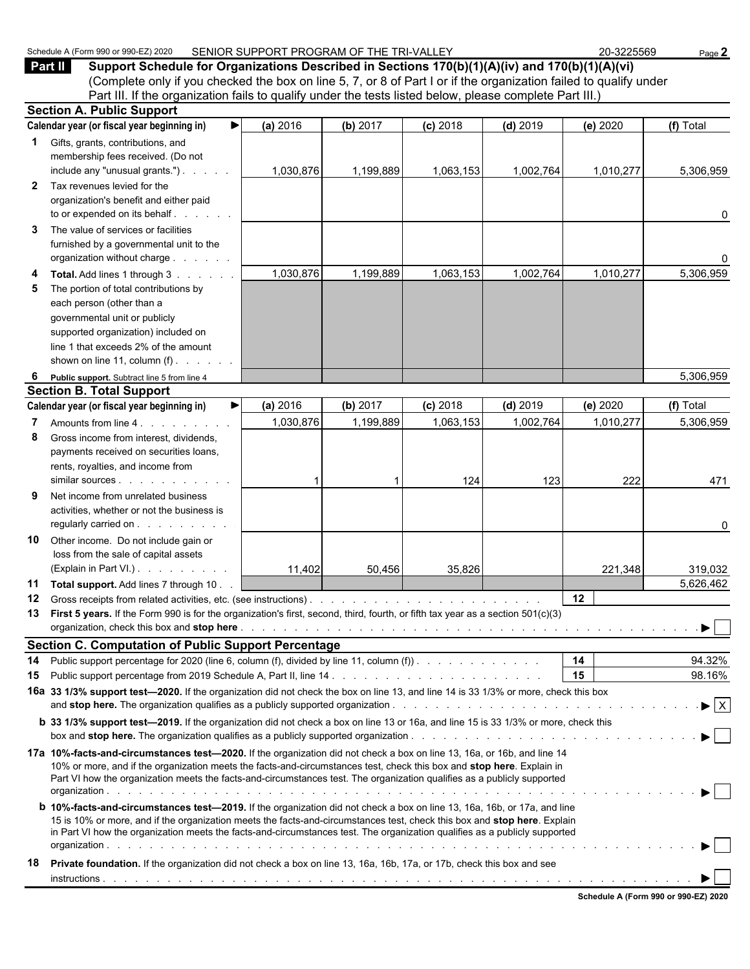| Schedule<br>12020<br>$.380$ or 990 $-$<br>$\Lambda$ (Form 990). | SENIOR SUPPORT PROGRAM OF THE TRI-VALLEY | -3225569<br>ne. | Page . |
|-----------------------------------------------------------------|------------------------------------------|-----------------|--------|
|-----------------------------------------------------------------|------------------------------------------|-----------------|--------|

**Part II Support Schedule for Organizations Described in Sections 170(b)(1)(A)(iv) and 170(b)(1)(A)(vi)** (Complete only if you checked the box on line 5, 7, or 8 of Part I or if the organization failed to qualify under Part III. If the organization fails to qualify under the tests listed below, please complete Part III.)

| <b>Section A. Public Support</b> |                                                                                                                                                                                                                                                  |           |           |            |            |           |                                |  |  |  |  |
|----------------------------------|--------------------------------------------------------------------------------------------------------------------------------------------------------------------------------------------------------------------------------------------------|-----------|-----------|------------|------------|-----------|--------------------------------|--|--|--|--|
|                                  | Calendar year (or fiscal year beginning in)<br>▶                                                                                                                                                                                                 | (a) 2016  | (b) 2017  | $(c)$ 2018 | $(d)$ 2019 | (e) 2020  | (f) Total                      |  |  |  |  |
| $\mathbf 1$                      | Gifts, grants, contributions, and                                                                                                                                                                                                                |           |           |            |            |           |                                |  |  |  |  |
|                                  | membership fees received. (Do not                                                                                                                                                                                                                |           |           |            |            |           |                                |  |  |  |  |
|                                  | include any "unusual grants.")                                                                                                                                                                                                                   | 1,030,876 | 1,199,889 | 1,063,153  | 1,002,764  | 1,010,277 | 5,306,959                      |  |  |  |  |
| $\mathbf{2}$                     | Tax revenues levied for the                                                                                                                                                                                                                      |           |           |            |            |           |                                |  |  |  |  |
|                                  | organization's benefit and either paid                                                                                                                                                                                                           |           |           |            |            |           |                                |  |  |  |  |
|                                  | to or expended on its behalf                                                                                                                                                                                                                     |           |           |            |            |           | 0                              |  |  |  |  |
| 3                                | The value of services or facilities                                                                                                                                                                                                              |           |           |            |            |           |                                |  |  |  |  |
|                                  | furnished by a governmental unit to the                                                                                                                                                                                                          |           |           |            |            |           |                                |  |  |  |  |
|                                  | organization without charge                                                                                                                                                                                                                      |           |           |            |            |           |                                |  |  |  |  |
| 4                                | Total. Add lines 1 through 3                                                                                                                                                                                                                     | 1,030,876 | 1,199,889 | 1,063,153  | 1,002,764  | 1,010,277 | 5,306,959                      |  |  |  |  |
| 5                                | The portion of total contributions by                                                                                                                                                                                                            |           |           |            |            |           |                                |  |  |  |  |
|                                  | each person (other than a                                                                                                                                                                                                                        |           |           |            |            |           |                                |  |  |  |  |
|                                  | governmental unit or publicly                                                                                                                                                                                                                    |           |           |            |            |           |                                |  |  |  |  |
|                                  | supported organization) included on<br>line 1 that exceeds 2% of the amount                                                                                                                                                                      |           |           |            |            |           |                                |  |  |  |  |
|                                  | shown on line 11, column $(f)$ .                                                                                                                                                                                                                 |           |           |            |            |           |                                |  |  |  |  |
|                                  |                                                                                                                                                                                                                                                  |           |           |            |            |           | 5,306,959                      |  |  |  |  |
| 6                                | Public support. Subtract line 5 from line 4<br><b>Section B. Total Support</b>                                                                                                                                                                   |           |           |            |            |           |                                |  |  |  |  |
|                                  | Calendar year (or fiscal year beginning in)<br>▶                                                                                                                                                                                                 | (a) 2016  | (b) 2017  | $(c)$ 2018 | $(d)$ 2019 | (e) 2020  | (f) Total                      |  |  |  |  |
| 7                                | Amounts from line 4.                                                                                                                                                                                                                             | 1,030,876 | 1,199,889 | 1,063,153  | 1,002,764  | 1,010,277 | 5,306,959                      |  |  |  |  |
| 8                                | Gross income from interest, dividends,                                                                                                                                                                                                           |           |           |            |            |           |                                |  |  |  |  |
|                                  | payments received on securities loans,                                                                                                                                                                                                           |           |           |            |            |           |                                |  |  |  |  |
|                                  | rents, royalties, and income from                                                                                                                                                                                                                |           |           |            |            |           |                                |  |  |  |  |
|                                  |                                                                                                                                                                                                                                                  |           |           | 124        | 123        | 222       | 471                            |  |  |  |  |
| 9                                | Net income from unrelated business                                                                                                                                                                                                               |           |           |            |            |           |                                |  |  |  |  |
|                                  | activities, whether or not the business is                                                                                                                                                                                                       |           |           |            |            |           |                                |  |  |  |  |
|                                  | regularly carried on                                                                                                                                                                                                                             |           |           |            |            |           | 0                              |  |  |  |  |
| 10                               | Other income. Do not include gain or                                                                                                                                                                                                             |           |           |            |            |           |                                |  |  |  |  |
|                                  | loss from the sale of capital assets                                                                                                                                                                                                             |           |           |            |            |           |                                |  |  |  |  |
|                                  | (Explain in Part VI.).                                                                                                                                                                                                                           | 11,402    | 50,456    | 35,826     |            | 221,348   | 319,032                        |  |  |  |  |
| 11                               | Total support. Add lines 7 through 10.                                                                                                                                                                                                           |           |           |            |            |           | 5,626,462                      |  |  |  |  |
| 12                               | Gross receipts from related activities, etc. (see instructions).                                                                                                                                                                                 |           |           |            |            | 12        |                                |  |  |  |  |
| 13                               | First 5 years. If the Form 990 is for the organization's first, second, third, fourth, or fifth tax year as a section 501(c)(3)                                                                                                                  |           |           |            |            |           |                                |  |  |  |  |
|                                  |                                                                                                                                                                                                                                                  |           |           |            |            |           |                                |  |  |  |  |
|                                  | <b>Section C. Computation of Public Support Percentage</b>                                                                                                                                                                                       |           |           |            |            |           |                                |  |  |  |  |
| 14                               | Public support percentage for 2020 (line 6, column (f), divided by line 11, column (f))                                                                                                                                                          |           |           |            |            | 14<br>15  | 94.32%                         |  |  |  |  |
| 15                               |                                                                                                                                                                                                                                                  |           |           |            |            |           | 98.16%                         |  |  |  |  |
|                                  | 16a 33 1/3% support test-2020. If the organization did not check the box on line 13, and line 14 is 33 1/3% or more, check this box                                                                                                              |           |           |            |            |           | $\blacktriangleright$ $\mid$ X |  |  |  |  |
|                                  |                                                                                                                                                                                                                                                  |           |           |            |            |           |                                |  |  |  |  |
|                                  | <b>b</b> 33 1/3% support test-2019. If the organization did not check a box on line 13 or 16a, and line 15 is 33 1/3% or more, check this<br>box and <b>stop here.</b> The organization qualifies as a publicly supported organization.          |           |           |            |            |           | $\blacktriangleright$ $\vdash$ |  |  |  |  |
|                                  |                                                                                                                                                                                                                                                  |           |           |            |            |           |                                |  |  |  |  |
|                                  | 17a 10%-facts-and-circumstances test—2020. If the organization did not check a box on line 13, 16a, or 16b, and line 14<br>10% or more, and if the organization meets the facts-and-circumstances test, check this box and stop here. Explain in |           |           |            |            |           |                                |  |  |  |  |
|                                  | Part VI how the organization meets the facts-and-circumstances test. The organization qualifies as a publicly supported                                                                                                                          |           |           |            |            |           |                                |  |  |  |  |
|                                  |                                                                                                                                                                                                                                                  |           |           |            |            |           |                                |  |  |  |  |
|                                  | <b>b 10%-facts-and-circumstances test-2019.</b> If the organization did not check a box on line 13, 16a, 16b, or 17a, and line                                                                                                                   |           |           |            |            |           |                                |  |  |  |  |
|                                  | 15 is 10% or more, and if the organization meets the facts-and-circumstances test, check this box and stop here. Explain                                                                                                                         |           |           |            |            |           |                                |  |  |  |  |
|                                  | in Part VI how the organization meets the facts-and-circumstances test. The organization qualifies as a publicly supported                                                                                                                       |           |           |            |            |           |                                |  |  |  |  |
|                                  |                                                                                                                                                                                                                                                  |           |           |            |            |           | ▶│                             |  |  |  |  |
| 18                               | Private foundation. If the organization did not check a box on line 13, 16a, 16b, 17a, or 17b, check this box and see                                                                                                                            |           |           |            |            |           |                                |  |  |  |  |
|                                  |                                                                                                                                                                                                                                                  |           |           |            |            |           |                                |  |  |  |  |

**Schedule A (Form 990 or 990-EZ) 2020**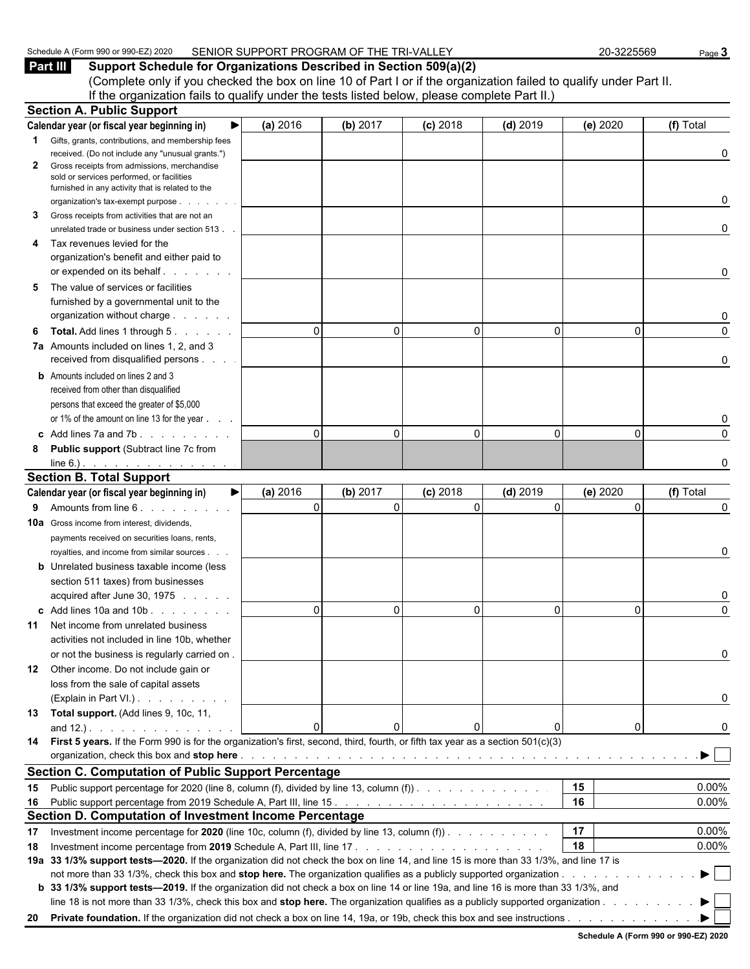| <sub>1</sub> 2020<br>Schedule<br><b>PAU OF GOOD</b><br>. ⊢orm QQ∩<br>$\cdots$<br>$\cdot$ , $\cdot$ . Other $\cdot$ | SENIOR SUPPORT PROGRAM OF THE<br>$\sim$ $\sim$<br>ורז<br>ьv<br>'RI-VAL<br>-- | -3225569<br>nr | Page |
|--------------------------------------------------------------------------------------------------------------------|------------------------------------------------------------------------------|----------------|------|
|                                                                                                                    |                                                                              |                |      |

**Part III Support Schedule for Organizations Described in Section 509(a)(2)** (Complete only if you checked the box on line 10 of Part I or if the organization failed to qualify under Part II. If the organization fails to qualify under the tests listed below, please complete Part II.)

|    | <b>Section A. Public Support</b>                                                                                                       |          |                      |            |              |          |                              |
|----|----------------------------------------------------------------------------------------------------------------------------------------|----------|----------------------|------------|--------------|----------|------------------------------|
|    | Calendar year (or fiscal year beginning in)                                                                                            | (a) 2016 | (b) 2017             | $(c)$ 2018 | $(d)$ 2019   | (e) 2020 | (f) Total                    |
|    | <b>1</b> Gifts, grants, contributions, and membership fees                                                                             |          |                      |            |              |          |                              |
|    | received. (Do not include any "unusual grants.")                                                                                       |          |                      |            |              |          | 0                            |
| 2  | Gross receipts from admissions, merchandise<br>sold or services performed, or facilities                                               |          |                      |            |              |          |                              |
|    | furnished in any activity that is related to the                                                                                       |          |                      |            |              |          |                              |
|    | organization's tax-exempt purpose                                                                                                      |          |                      |            |              |          | 0                            |
| 3  | Gross receipts from activities that are not an                                                                                         |          |                      |            |              |          |                              |
|    | unrelated trade or business under section 513.                                                                                         |          |                      |            |              |          | 0                            |
| 4  | Tax revenues levied for the                                                                                                            |          |                      |            |              |          |                              |
|    | organization's benefit and either paid to                                                                                              |          |                      |            |              |          |                              |
|    | or expended on its behalf.                                                                                                             |          |                      |            |              |          | 0                            |
| 5  | The value of services or facilities                                                                                                    |          |                      |            |              |          |                              |
|    | furnished by a governmental unit to the<br>organization without charge                                                                 |          |                      |            |              |          |                              |
|    | <b>Total.</b> Add lines 1 through 5.                                                                                                   |          | $\Omega$<br>$\Omega$ | $\Omega$   | $\mathbf{0}$ | 0        | $\Omega$                     |
| 6  | 7a Amounts included on lines 1, 2, and 3                                                                                               |          |                      |            |              |          |                              |
|    | received from disqualified persons                                                                                                     |          |                      |            |              |          | 0                            |
|    | <b>b</b> Amounts included on lines 2 and 3                                                                                             |          |                      |            |              |          |                              |
|    | received from other than disqualified                                                                                                  |          |                      |            |              |          |                              |
|    | persons that exceed the greater of \$5,000                                                                                             |          |                      |            |              |          |                              |
|    | or 1% of the amount on line 13 for the year                                                                                            |          |                      |            |              |          |                              |
|    | c Add lines $7a$ and $7b$ . $\ldots$ $\ldots$                                                                                          |          | $\Omega$<br>$\Omega$ | $\Omega$   | $\mathbf{0}$ | 0        | $\Omega$                     |
| 8  | Public support (Subtract line 7c from                                                                                                  |          |                      |            |              |          |                              |
|    | $line 6.)$ . <u>.</u>                                                                                                                  |          |                      |            |              |          | n                            |
|    | <b>Section B. Total Support</b>                                                                                                        |          |                      |            |              |          |                              |
|    | Calendar year (or fiscal year beginning in)<br>▶                                                                                       | (a) 2016 | (b) 2017             | $(c)$ 2018 | $(d)$ 2019   | (e) 2020 | (f) Total                    |
| 9. | Amounts from line 6.                                                                                                                   |          | $\Omega$<br>$\Omega$ | $\Omega$   | $\mathbf{0}$ | $\Omega$ | 0                            |
|    | <b>10a</b> Gross income from interest, dividends,                                                                                      |          |                      |            |              |          |                              |
|    | payments received on securities loans, rents,                                                                                          |          |                      |            |              |          |                              |
|    | royalties, and income from similar sources.                                                                                            |          |                      |            |              |          | 0                            |
|    | <b>b</b> Unrelated business taxable income (less                                                                                       |          |                      |            |              |          |                              |
|    | section 511 taxes) from businesses                                                                                                     |          |                      |            |              |          | 0                            |
|    | acquired after June 30, 1975<br>c Add lines 10a and 10b.                                                                               |          | $\Omega$<br>$\Omega$ | $\Omega$   | 0            | 0        | $\Omega$                     |
| 11 | Net income from unrelated business                                                                                                     |          |                      |            |              |          |                              |
|    | activities not included in line 10b, whether                                                                                           |          |                      |            |              |          |                              |
|    | or not the business is regularly carried on.                                                                                           |          |                      |            |              |          |                              |
|    | 12 Other income. Do not include gain or                                                                                                |          |                      |            |              |          |                              |
|    | loss from the sale of capital assets                                                                                                   |          |                      |            |              |          |                              |
|    | (Explain in Part VI.).                                                                                                                 |          |                      |            |              |          | 0                            |
|    | 13 Total support. (Add lines 9, 10c, 11,                                                                                               |          |                      |            |              |          |                              |
|    | and $12.$ ). 0                                                                                                                         |          | $\mathbf{0}$         |            | 0            | 0        | 0                            |
|    | 14 First 5 years. If the Form 990 is for the organization's first, second, third, fourth, or fifth tax year as a section 501(c)(3)     |          |                      |            |              |          |                              |
|    |                                                                                                                                        |          |                      |            |              |          |                              |
|    | <b>Section C. Computation of Public Support Percentage</b>                                                                             |          |                      |            |              |          |                              |
|    | 15 Public support percentage for 2020 (line 8, column (f), divided by line 13, column (f)).                                            |          |                      |            |              | 15       | 0.00%                        |
|    |                                                                                                                                        |          |                      |            |              | 16       | 0.00%                        |
|    | Section D. Computation of Investment Income Percentage                                                                                 |          |                      |            |              |          |                              |
| 17 | Investment income percentage for 2020 (line 10c, column (f), divided by line 13, column (f)).                                          |          |                      |            |              | 17       | 0.00%                        |
| 18 |                                                                                                                                        |          |                      |            |              | 18       | 0.00%                        |
|    | 19a 33 1/3% support tests-2020. If the organization did not check the box on line 14, and line 15 is more than 33 1/3%, and line 17 is |          |                      |            |              |          | $\blacktriangleright$ $\Box$ |
|    | b 33 1/3% support tests—2019. If the organization did not check a box on line 14 or line 19a, and line 16 is more than 33 1/3%, and    |          |                      |            |              |          |                              |
|    | line 18 is not more than 33 1/3%, check this box and stop here. The organization qualifies as a publicly supported organization        |          |                      |            |              |          |                              |
|    | 20 Private foundation. If the organization did not check a box on line 14, 19a, or 19b, check this box and see instructions.           |          |                      |            |              |          |                              |
|    |                                                                                                                                        |          |                      |            |              |          |                              |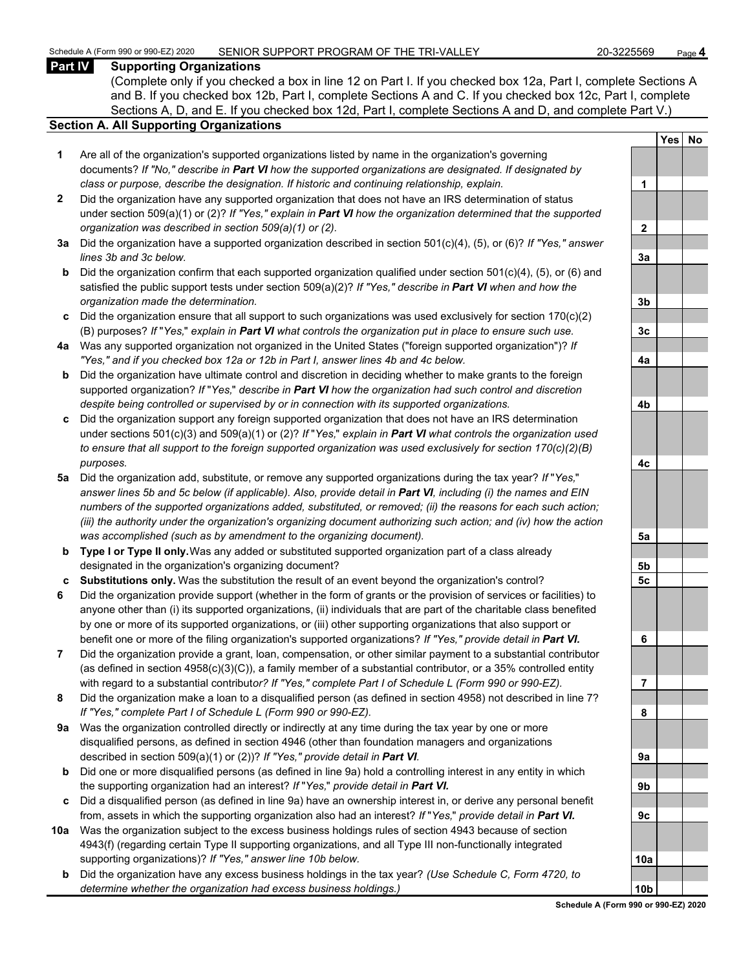#### **Part IV Supporting Organizations**

(Complete only if you checked a box in line 12 on Part I. If you checked box 12a, Part I, complete Sections A and B. If you checked box 12b, Part I, complete Sections A and C. If you checked box 12c, Part I, complete Sections A, D, and E. If you checked box 12d, Part I, complete Sections A and D, and complete Part V.)

#### **Section A. All Supporting Organizations**

- **1** Are all of the organization's supported organizations listed by name in the organization's governing documents? *If "No," describe in Part VI how the supported organizations are designated. If designated by class or purpose, describe the designation. If historic and continuing relationship, explain.* **1**
- **2** Did the organization have any supported organization that does not have an IRS determination of status under section 509(a)(1) or (2)? *If "Yes," explain in Part VI how the organization determined that the supported organization was described in section 509(a)(1) or (2).*
- **3a** Did the organization have a supported organization described in section 501(c)(4), (5), or (6)? *If "Yes," answer*  $lines$  3b and 3c below.
- **b** Did the organization confirm that each supported organization qualified under section 501(c)(4), (5), or (6) and satisfied the public support tests under section 509(a)(2)? *If "Yes," describe in Part VI when and how the organization made the determination.* **3b**
- **c** Did the organization ensure that all support to such organizations was used exclusively for section 170(c)(2) (B) purposes? *If* "*Yes,*" *explain in Part VI what controls the organization put in place to ensure such use.* **3c**
- **4a** Was any supported organization not organized in the United States ("foreign supported organization")? *If "Yes," and if you checked box 12a or 12b in Part I, answer lines 4b and 4c below.* **4a**
- **b** Did the organization have ultimate control and discretion in deciding whether to make grants to the foreign supported organization? *If* "*Yes,*" *describe in Part VI how the organization had such control and discretion despite being controlled or supervised by or in connection with its supported organizations.* **4b**
- **c** Did the organization support any foreign supported organization that does not have an IRS determination under sections 501(c)(3) and 509(a)(1) or (2)? *If* "*Yes,*" *explain in Part VI what controls the organization used to ensure that all support to the foreign supported organization was used exclusively for section 170(c)(2)(B) purposes.* **4c**
- **5a** Did the organization add, substitute, or remove any supported organizations during the tax year? *If* "*Yes,*" *answer lines 5b and 5c below (if applicable). Also, provide detail in Part VI, including (i) the names and EIN numbers of the supported organizations added, substituted, or removed; (ii) the reasons for each such action; (iii) the authority under the organization's organizing document authorizing such action; and (iv) how the action was accomplished (such as by amendment to the organizing document).* **5a**
- **b Type I or Type II only.** Was any added or substituted supported organization part of a class already designated in the organization's organizing document? **5b**
- **c Substitutions only.** Was the substitution the result of an event beyond the organization's control? **5c**
- **6** Did the organization provide support (whether in the form of grants or the provision of services or facilities) to anyone other than (i) its supported organizations, (ii) individuals that are part of the charitable class benefited by one or more of its supported organizations, or (iii) other supporting organizations that also support or benefit one or more of the filing organization's supported organizations? *If "Yes," provide detail in Part VI.* **6**
- **7** Did the organization provide a grant, loan, compensation, or other similar payment to a substantial contributor (as defined in section 4958(c)(3)(C)), a family member of a substantial contributor, or a 35% controlled entity with regard to a substantial contribut*or? If "Yes," complete Part I of Schedule L (Form 990 or 990-EZ).* **7**
- **8** Did the organization make a loan to a disqualified person (as defined in section 4958) not described in line 7? *If "Yes," complete Part I of Schedule L (Form 990 or 990-EZ).* **8**
- **9a** Was the organization controlled directly or indirectly at any time during the tax year by one or more disqualified persons, as defined in section 4946 (other than foundation managers and organizations described in section 509(a)(1) or (2))? If "Yes," provide detail in Part VI.
- **b** Did one or more disqualified persons (as defined in line 9a) hold a controlling interest in any entity in which the supporting organization had an interest? *If* "*Yes,*" *provide detail in Part VI.* **9b**
- **c** Did a disqualified person (as defined in line 9a) have an ownership interest in, or derive any personal benefit from, assets in which the supporting organization also had an interest? *If* "*Yes,*" *provide detail in Part VI.* **9c**
- **10a** Was the organization subject to the excess business holdings rules of section 4943 because of section 4943(f) (regarding certain Type II supporting organizations, and all Type III non-functionally integrated supporting organizations)? If "Yes," answer line 10b below.
	- **b** Did the organization have any excess business holdings in the tax year? *(Use Schedule C, Form 4720, to determine whether the organization had excess business holdings.)*

|                | Yes | No |  |  |  |
|----------------|-----|----|--|--|--|
|                |     |    |  |  |  |
| 1              |     |    |  |  |  |
|                |     |    |  |  |  |
| $\overline{2}$ |     |    |  |  |  |
|                |     |    |  |  |  |
| <u>3a</u>      |     |    |  |  |  |
|                |     |    |  |  |  |
| <u>3b</u>      |     |    |  |  |  |
|                |     |    |  |  |  |
| <u>3c</u>      |     |    |  |  |  |
|                |     |    |  |  |  |
| <u>4a</u>      |     |    |  |  |  |
|                |     |    |  |  |  |
| 4 <sub>b</sub> |     |    |  |  |  |
|                |     |    |  |  |  |
| <u>4c</u>      |     |    |  |  |  |
|                |     |    |  |  |  |
| <u>5a</u>      |     |    |  |  |  |
| <u>5b</u>      |     |    |  |  |  |
| <u>5c</u>      |     |    |  |  |  |
|                |     |    |  |  |  |
| 6              |     |    |  |  |  |
|                |     |    |  |  |  |
| ľ<br>l         |     |    |  |  |  |
|                |     |    |  |  |  |
| 8              |     |    |  |  |  |
|                |     |    |  |  |  |
| 9а             |     |    |  |  |  |
| 9b             |     |    |  |  |  |
|                |     |    |  |  |  |
| 9с             |     |    |  |  |  |
|                |     |    |  |  |  |
| 10a            |     |    |  |  |  |
|                |     |    |  |  |  |
| 1<br>Ωł        |     |    |  |  |  |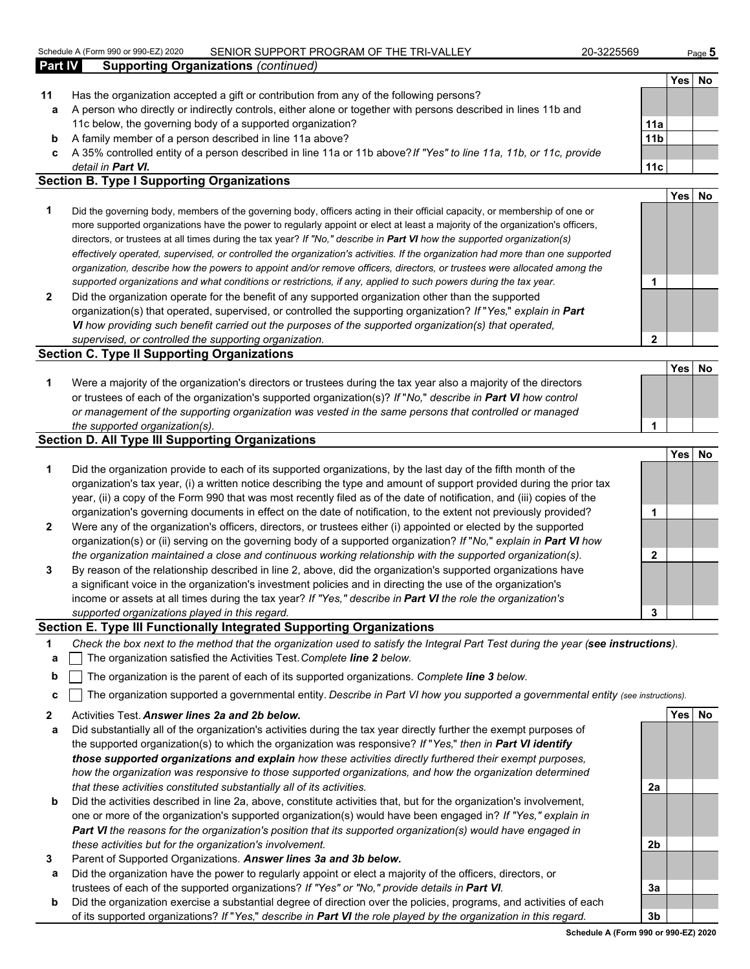#### Schedule A (Form 990 or 990-EZ) 2020 SENIOR SUPPORT PROGRAM OF THE TRI-VALLEY 20-3225569 Page **5**

|                | OCTIGATION IT ONLY 550 OF SSO-LLY 2020<br><u>JENIUN JUFFUNT FNUJNAMI UF THE TNEVALLET</u>                                        | ZU-JZZJJUJ      |          | Page <b>U</b> |
|----------------|----------------------------------------------------------------------------------------------------------------------------------|-----------------|----------|---------------|
| <b>Part IV</b> | <b>Supporting Organizations (continued)</b>                                                                                      |                 |          |               |
|                |                                                                                                                                  |                 | Yes   No |               |
| 11             | Has the organization accepted a gift or contribution from any of the following persons?                                          |                 |          |               |
| a              | A person who directly or indirectly controls, either alone or together with persons described in lines 11b and                   |                 |          |               |
|                | 11c below, the governing body of a supported organization?                                                                       | 11a             |          |               |
| b              | A family member of a person described in line 11a above?                                                                         | 11 <sub>b</sub> |          |               |
| c              | A 35% controlled entity of a person described in line 11a or 11b above? If "Yes" to line 11a, 11b, or 11c, provide               |                 |          |               |
|                | detail in <b>Part VI.</b>                                                                                                        | 11c             |          |               |
|                | <b>Section B. Type I Supporting Organizations</b>                                                                                |                 |          |               |
|                |                                                                                                                                  |                 | Yes No   |               |
|                | Did the proceeding heals, around our of the proceeding heals, officers wathout their official proceeding consequently of our car |                 |          |               |

- **1** Did the governing body, members of the governing body, officers acting in their official capacity, or membership of one or more supported organizations have the power to regularly appoint or elect at least a majority of the organization's officers, directors, or trustees at all times during the tax year? *If "No," describe in Part VI how the supported organization(s) effectively operated, supervised, or controlled the organization's activities. If the organization had more than one supported organization, describe how the powers to appoint and/or remove officers, directors, or trustees were allocated among the supported organizations and what conditions or restrictions, if any, applied to such powers during the tax year.* **1**
- **2** Did the organization operate for the benefit of any supported organization other than the supported organization(s) that operated, supervised, or controlled the supporting organization? *If* "*Yes,*" *explain in Part VI how providing such benefit carried out the purposes of the supported organization(s) that operated, supervised, or controlled the supporting organization.* **2**

#### **Section C. Type II Supporting Organizations**

| Were a majority of the organization's directors or trustees during the tax year also a majority of the directors |  |
|------------------------------------------------------------------------------------------------------------------|--|
| or trustees of each of the organization's supported organization(s)? If "No," describe in Part VI how control    |  |
| or management of the supporting organization was vested in the same persons that controlled or managed           |  |
| the supported organization(s).                                                                                   |  |

#### **Section D. All Type III Supporting Organizations**

|                |                                                                                                                                                                                                                                                                                                                                                                   |   | <b>Yes</b> | No |
|----------------|-------------------------------------------------------------------------------------------------------------------------------------------------------------------------------------------------------------------------------------------------------------------------------------------------------------------------------------------------------------------|---|------------|----|
| 1              | Did the organization provide to each of its supported organizations, by the last day of the fifth month of the<br>organization's tax year, (i) a written notice describing the type and amount of support provided during the prior tax<br>year, (ii) a copy of the Form 990 that was most recently filed as of the date of notification, and (iii) copies of the |   |            |    |
|                | organization's governing documents in effect on the date of notification, to the extent not previously provided?                                                                                                                                                                                                                                                  |   |            |    |
| $\overline{2}$ | Were any of the organization's officers, directors, or trustees either (i) appointed or elected by the supported<br>organization(s) or (ii) serving on the governing body of a supported organization? If "No," explain in Part VI how                                                                                                                            |   |            |    |
|                | the organization maintained a close and continuous working relationship with the supported organization(s).                                                                                                                                                                                                                                                       |   |            |    |
| 3              | By reason of the relationship described in line 2, above, did the organization's supported organizations have<br>a significant voice in the organization's investment policies and in directing the use of the organization's<br>income or assets at all times during the tax year? If "Yes," describe in Part VI the role the organization's                     |   |            |    |
|                | supported organizations played in this regard.                                                                                                                                                                                                                                                                                                                    | 3 |            |    |

#### **Section E. Type III Functionally Integrated Supporting Organizations**

- **1** *Check the box next to the method that the organization used to satisfy the Integral Part Test during the year (see instructions).*
- **a** The organization satisfied the Activities Test. *Complete line 2 below.*
- **b** The organization is the parent of each of its supported organizations. *Complete line 3 below.*
- **c** The organization supported a governmental entity. *Describe in Part VI how you supported a governmental entity (see instructions).*
- **2** Activities Test. *Answer lines 2a and 2b below.* **Yes No**
- **a** Did substantially all of the organization's activities during the tax year directly further the exempt purposes of the supported organization(s) to which the organization was responsive? *If* "*Yes,*" *then in Part VI identify those supported organizations and explain how these activities directly furthered their exempt purposes, how the organization was responsive to those supported organizations, and how the organization determined that these activities constituted substantially all of its activities.* **2a**
- **b** Did the activities described in line 2a, above, constitute activities that, but for the organization's involvement, one or more of the organization's supported organization(s) would have been engaged in? *If "Yes," explain in Part VI the reasons for the organization's position that its supported organization(s) would have engaged in these activities but for the organization's involvement.* **2b**
- **3** Parent of Supported Organizations. *Answer lines 3a and 3b below.*
- **a** Did the organization have the power to regularly appoint or elect a majority of the officers, directors, or trustees of each of the supported organizations? *If "Yes" or "No," provide details in Part VI.* **3a**
- **b** Did the organization exercise a substantial degree of direction over the policies, programs, and activities of each of its supported organizations? *If* "*Yes,*" *describe in Part VI the role played by the organization in this regard.* **3b**

**Schedule A (Form 990 or 990-EZ) 2020**

**Yes No**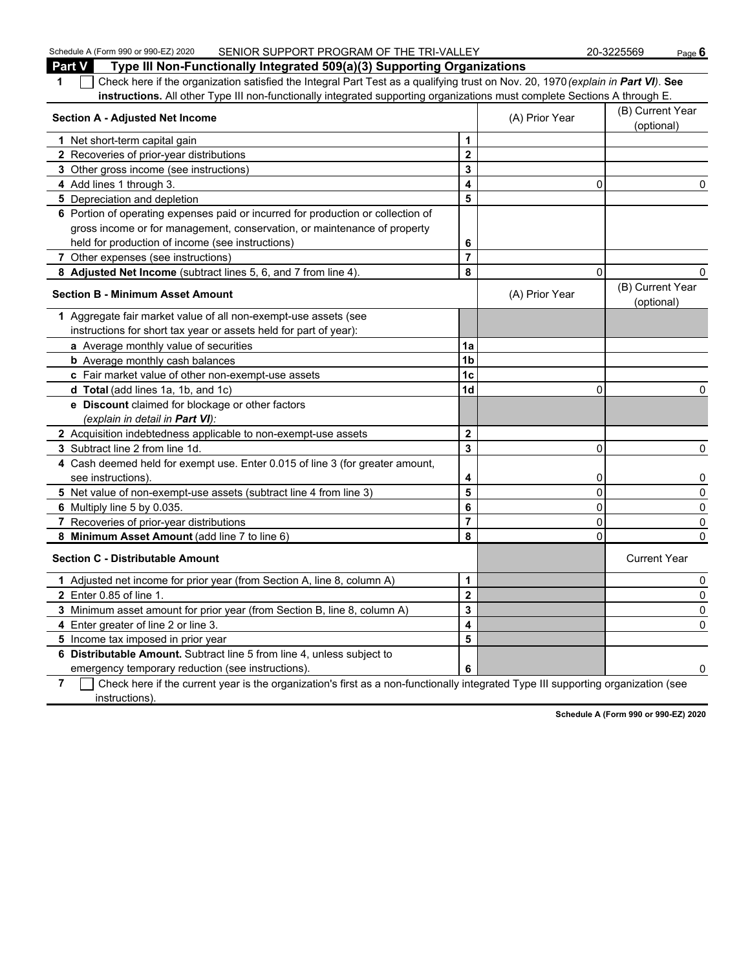| Schedule A (Form 990 or 990-EZ) 2020<br>SENIOR SUPPORT PROGRAM OF THE TRI-VALLEY                                                                 |                         |                | 20-3225569<br>Page 6           |
|--------------------------------------------------------------------------------------------------------------------------------------------------|-------------------------|----------------|--------------------------------|
| Part V<br>Type III Non-Functionally Integrated 509(a)(3) Supporting Organizations                                                                |                         |                |                                |
| Check here if the organization satisfied the Integral Part Test as a qualifying trust on Nov. 20, 1970 (explain in Part VI). See<br>1            |                         |                |                                |
| instructions. All other Type III non-functionally integrated supporting organizations must complete Sections A through E.                        |                         |                |                                |
| <b>Section A - Adjusted Net Income</b>                                                                                                           |                         | (A) Prior Year | (B) Current Year<br>(optional) |
| 1 Net short-term capital gain                                                                                                                    | 1                       |                |                                |
| 2 Recoveries of prior-year distributions                                                                                                         | 2                       |                |                                |
| 3 Other gross income (see instructions)                                                                                                          | 3                       |                |                                |
| 4 Add lines 1 through 3.                                                                                                                         | 4                       | 0              | 0                              |
| 5 Depreciation and depletion                                                                                                                     | 5                       |                |                                |
| 6 Portion of operating expenses paid or incurred for production or collection of                                                                 |                         |                |                                |
| gross income or for management, conservation, or maintenance of property                                                                         |                         |                |                                |
| held for production of income (see instructions)                                                                                                 | 6                       |                |                                |
| 7 Other expenses (see instructions)                                                                                                              | $\overline{7}$          |                |                                |
| 8 Adjusted Net Income (subtract lines 5, 6, and 7 from line 4).                                                                                  | 8                       | $\Omega$       |                                |
| <b>Section B - Minimum Asset Amount</b>                                                                                                          |                         | (A) Prior Year | (B) Current Year<br>(optional) |
| 1 Aggregate fair market value of all non-exempt-use assets (see                                                                                  |                         |                |                                |
| instructions for short tax year or assets held for part of year):                                                                                |                         |                |                                |
| a Average monthly value of securities                                                                                                            | 1a                      |                |                                |
| <b>b</b> Average monthly cash balances                                                                                                           | 1 <sub>b</sub>          |                |                                |
| c Fair market value of other non-exempt-use assets                                                                                               | 1c                      |                |                                |
| d Total (add lines 1a, 1b, and 1c)                                                                                                               | 1 <sub>d</sub>          | $\mathbf{0}$   | 0                              |
| e Discount claimed for blockage or other factors                                                                                                 |                         |                |                                |
| (explain in detail in Part VI):                                                                                                                  |                         |                |                                |
| 2 Acquisition indebtedness applicable to non-exempt-use assets                                                                                   | $\mathbf{2}$            |                |                                |
| 3 Subtract line 2 from line 1d.                                                                                                                  | 3                       | $\mathbf{0}$   | 0                              |
| 4 Cash deemed held for exempt use. Enter 0.015 of line 3 (for greater amount,                                                                    |                         |                |                                |
| see instructions).                                                                                                                               | 4                       | 0              | 0                              |
| 5 Net value of non-exempt-use assets (subtract line 4 from line 3)                                                                               | 5                       | 0              | 0                              |
| 6 Multiply line 5 by 0.035.                                                                                                                      | 6                       | 0              | 0                              |
| 7 Recoveries of prior-year distributions                                                                                                         | 7                       | 0              | 0                              |
| 8 Minimum Asset Amount (add line 7 to line 6)                                                                                                    | 8                       | $\Omega$       | 0                              |
| <b>Section C - Distributable Amount</b>                                                                                                          |                         |                | <b>Current Year</b>            |
| 1 Adjusted net income for prior year (from Section A, line 8, column A)                                                                          | 1                       |                | 0                              |
| 2 Enter 0.85 of line 1.                                                                                                                          | $\overline{\mathbf{2}}$ |                | $\mathbf 0$                    |
| 3 Minimum asset amount for prior year (from Section B, line 8, column A)                                                                         | 3                       |                | 0                              |
| 4 Enter greater of line 2 or line 3.                                                                                                             | 4                       |                | 0                              |
| 5 Income tax imposed in prior year                                                                                                               | 5                       |                |                                |
| 6 Distributable Amount. Subtract line 5 from line 4, unless subject to                                                                           |                         |                |                                |
| emergency temporary reduction (see instructions).                                                                                                | 6                       |                | 0                              |
| Check here if the current year is the organization's first as a non-functionally integrated Type III supporting organization (see<br>$7^{\circ}$ |                         |                |                                |

 $-$  instructions).

**Schedule A (Form 990 or 990-EZ) 2020**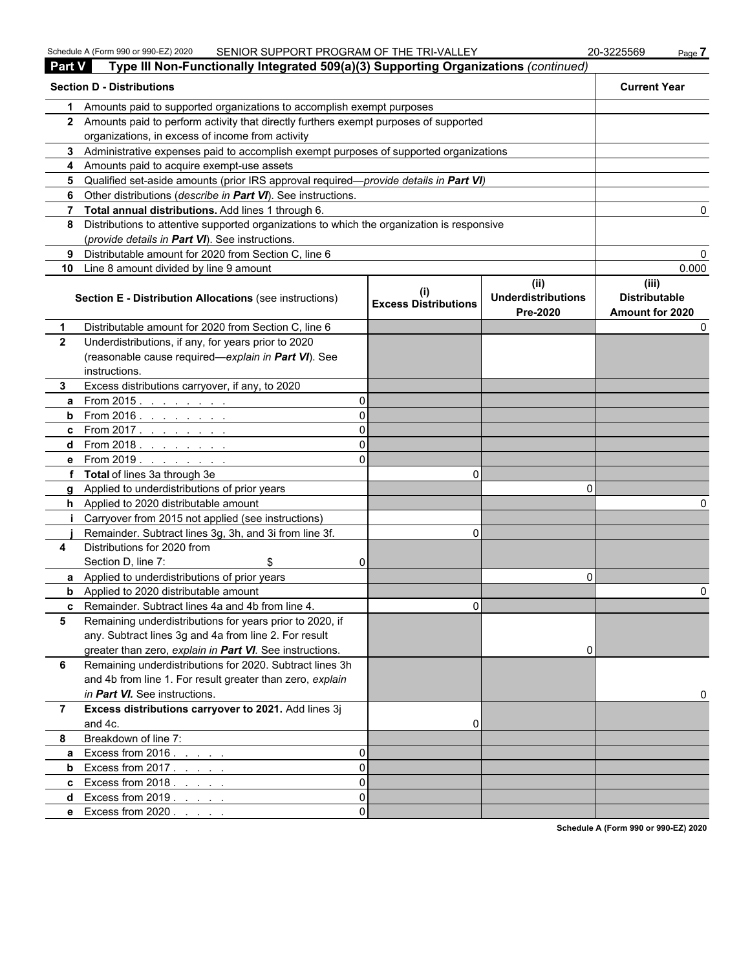| <b>Part V</b> | Type III Non-Functionally Integrated 509(a)(3) Supporting Organizations (continued)          |          |                             |                                               |                                                  |
|---------------|----------------------------------------------------------------------------------------------|----------|-----------------------------|-----------------------------------------------|--------------------------------------------------|
|               | <b>Section D - Distributions</b>                                                             |          |                             |                                               | <b>Current Year</b>                              |
| 1.            | Amounts paid to supported organizations to accomplish exempt purposes                        |          |                             |                                               |                                                  |
|               | 2 Amounts paid to perform activity that directly furthers exempt purposes of supported       |          |                             |                                               |                                                  |
|               | organizations, in excess of income from activity                                             |          |                             |                                               |                                                  |
|               | 3 Administrative expenses paid to accomplish exempt purposes of supported organizations      |          |                             |                                               |                                                  |
|               | 4 Amounts paid to acquire exempt-use assets                                                  |          |                             |                                               |                                                  |
|               | 5 Qualified set-aside amounts (prior IRS approval required—provide details in Part VI)       |          |                             |                                               |                                                  |
|               | 6 Other distributions (describe in Part VI). See instructions.                               |          |                             |                                               |                                                  |
|               | 7 Total annual distributions. Add lines 1 through 6.                                         |          |                             |                                               |                                                  |
|               | 8 Distributions to attentive supported organizations to which the organization is responsive |          |                             |                                               |                                                  |
|               | (provide details in Part VI). See instructions.                                              |          |                             |                                               |                                                  |
| 9             | Distributable amount for 2020 from Section C, line 6                                         |          |                             |                                               |                                                  |
|               | 10 Line 8 amount divided by line 9 amount                                                    |          |                             |                                               | 0.000                                            |
|               | Section E - Distribution Allocations (see instructions)                                      |          | <b>Excess Distributions</b> | (ii)<br><b>Underdistributions</b><br>Pre-2020 | (iii)<br><b>Distributable</b><br>Amount for 2020 |
| 1             | Distributable amount for 2020 from Section C, line 6                                         |          |                             |                                               |                                                  |
| $\mathbf{2}$  | Underdistributions, if any, for years prior to 2020                                          |          |                             |                                               |                                                  |
|               | (reasonable cause required-explain in Part VI). See                                          |          |                             |                                               |                                                  |
|               | instructions.                                                                                |          |                             |                                               |                                                  |
| 3.            | Excess distributions carryover, if any, to 2020                                              |          |                             |                                               |                                                  |
| a             | From 2015 <u>.</u>                                                                           | $\Omega$ |                             |                                               |                                                  |
|               | <b>b</b> From 2016. <u>.</u>                                                                 | ΩI       |                             |                                               |                                                  |
|               | <b>c</b> From 2017. <u>.</u>                                                                 | ΩI       |                             |                                               |                                                  |
|               | <b>d</b> From 2018. <u>.</u>                                                                 | ΩI       |                             |                                               |                                                  |
|               | <b>e</b> From 2019.                                                                          | ΩI       |                             |                                               |                                                  |
|               | f Total of lines 3a through 3e                                                               |          | 0                           |                                               |                                                  |
|               | g Applied to underdistributions of prior years                                               |          |                             | n                                             |                                                  |
|               | h Applied to 2020 distributable amount                                                       |          |                             |                                               |                                                  |
|               | Carryover from 2015 not applied (see instructions)                                           |          |                             |                                               |                                                  |
|               | Remainder. Subtract lines 3g, 3h, and 3i from line 3f.                                       |          | 0                           |                                               |                                                  |
| 4             | Distributions for 2020 from                                                                  |          |                             |                                               |                                                  |
|               | Section D, line 7:<br>\$                                                                     | ΩI       |                             |                                               |                                                  |
|               | a Applied to underdistributions of prior years                                               |          |                             | 0                                             |                                                  |
|               | <b>b</b> Applied to 2020 distributable amount                                                |          |                             |                                               |                                                  |
|               | c Remainder. Subtract lines 4a and 4b from line 4.                                           |          | U.                          |                                               |                                                  |
| 5             | Remaining underdistributions for years prior to 2020, if                                     |          |                             |                                               |                                                  |
|               | any. Subtract lines 3g and 4a from line 2. For result                                        |          |                             |                                               |                                                  |
|               | greater than zero, explain in Part VI. See instructions.                                     |          |                             | 0                                             |                                                  |
| 6             | Remaining underdistributions for 2020. Subtract lines 3h                                     |          |                             |                                               |                                                  |
|               | and 4b from line 1. For result greater than zero, explain                                    |          |                             |                                               |                                                  |
|               | in Part VI. See instructions.                                                                |          |                             |                                               |                                                  |
| $7^{\circ}$   | Excess distributions carryover to 2021. Add lines 3j                                         |          |                             |                                               |                                                  |
|               | and 4c.                                                                                      |          | 0                           |                                               |                                                  |
| 8             | Breakdown of line 7:                                                                         |          |                             |                                               |                                                  |
| a             | Excess from $2016.$ $\ldots$ $\ldots$                                                        | $\Omega$ |                             |                                               |                                                  |
| b             | Excess from $2017$ .                                                                         | $\Omega$ |                             |                                               |                                                  |
|               | <b>c</b> Excess from $2018$ .                                                                | $\Omega$ |                             |                                               |                                                  |
| d             | Excess from $2019$                                                                           | $\Omega$ |                             |                                               |                                                  |
|               | e Excess from 2020                                                                           | ΩI       |                             |                                               |                                                  |

**Schedule A (Form 990 or 990-EZ) 2020**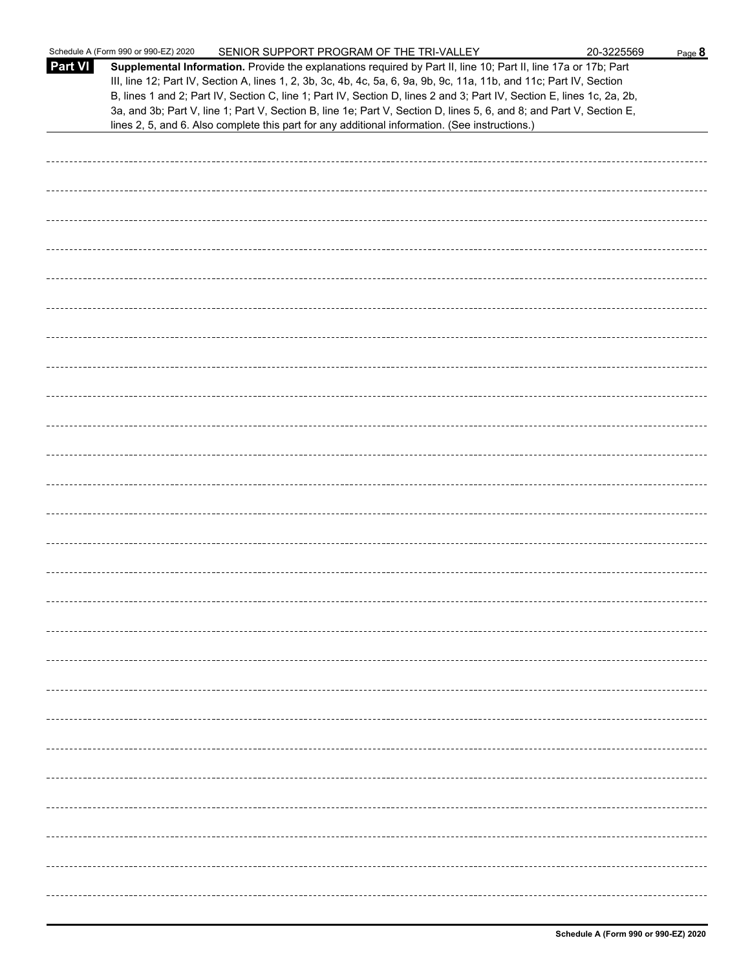|                | Schedule A (Form 990 or 990-EZ) 2020<br>SENIOR SUPPORT PROGRAM OF THE TRI-VALLEY                                                                                                                                                                                                                                                                                                                                                                                                                                                                                                            | 20-3225569 | Page 8 |
|----------------|---------------------------------------------------------------------------------------------------------------------------------------------------------------------------------------------------------------------------------------------------------------------------------------------------------------------------------------------------------------------------------------------------------------------------------------------------------------------------------------------------------------------------------------------------------------------------------------------|------------|--------|
| <b>Part VI</b> | Supplemental Information. Provide the explanations required by Part II, line 10; Part II, line 17a or 17b; Part<br>III, line 12; Part IV, Section A, lines 1, 2, 3b, 3c, 4b, 4c, 5a, 6, 9a, 9b, 9c, 11a, 11b, and 11c; Part IV, Section<br>B, lines 1 and 2; Part IV, Section C, line 1; Part IV, Section D, lines 2 and 3; Part IV, Section E, lines 1c, 2a, 2b,<br>3a, and 3b; Part V, line 1; Part V, Section B, line 1e; Part V, Section D, lines 5, 6, and 8; and Part V, Section E,<br>lines 2, 5, and 6. Also complete this part for any additional information. (See instructions.) |            |        |
|                |                                                                                                                                                                                                                                                                                                                                                                                                                                                                                                                                                                                             |            |        |
|                |                                                                                                                                                                                                                                                                                                                                                                                                                                                                                                                                                                                             |            |        |
|                |                                                                                                                                                                                                                                                                                                                                                                                                                                                                                                                                                                                             |            |        |
|                |                                                                                                                                                                                                                                                                                                                                                                                                                                                                                                                                                                                             |            |        |
|                |                                                                                                                                                                                                                                                                                                                                                                                                                                                                                                                                                                                             |            |        |
|                |                                                                                                                                                                                                                                                                                                                                                                                                                                                                                                                                                                                             |            |        |
|                |                                                                                                                                                                                                                                                                                                                                                                                                                                                                                                                                                                                             |            |        |
|                |                                                                                                                                                                                                                                                                                                                                                                                                                                                                                                                                                                                             |            |        |
|                |                                                                                                                                                                                                                                                                                                                                                                                                                                                                                                                                                                                             |            |        |
|                |                                                                                                                                                                                                                                                                                                                                                                                                                                                                                                                                                                                             |            |        |
|                |                                                                                                                                                                                                                                                                                                                                                                                                                                                                                                                                                                                             |            |        |
|                |                                                                                                                                                                                                                                                                                                                                                                                                                                                                                                                                                                                             |            |        |
|                |                                                                                                                                                                                                                                                                                                                                                                                                                                                                                                                                                                                             |            |        |
|                |                                                                                                                                                                                                                                                                                                                                                                                                                                                                                                                                                                                             |            |        |
|                |                                                                                                                                                                                                                                                                                                                                                                                                                                                                                                                                                                                             |            |        |
|                |                                                                                                                                                                                                                                                                                                                                                                                                                                                                                                                                                                                             |            |        |
|                |                                                                                                                                                                                                                                                                                                                                                                                                                                                                                                                                                                                             |            |        |
|                |                                                                                                                                                                                                                                                                                                                                                                                                                                                                                                                                                                                             |            |        |
|                |                                                                                                                                                                                                                                                                                                                                                                                                                                                                                                                                                                                             |            |        |
|                |                                                                                                                                                                                                                                                                                                                                                                                                                                                                                                                                                                                             |            |        |
|                |                                                                                                                                                                                                                                                                                                                                                                                                                                                                                                                                                                                             |            |        |
|                |                                                                                                                                                                                                                                                                                                                                                                                                                                                                                                                                                                                             |            |        |
|                |                                                                                                                                                                                                                                                                                                                                                                                                                                                                                                                                                                                             |            |        |
|                |                                                                                                                                                                                                                                                                                                                                                                                                                                                                                                                                                                                             |            |        |
|                |                                                                                                                                                                                                                                                                                                                                                                                                                                                                                                                                                                                             |            |        |
|                |                                                                                                                                                                                                                                                                                                                                                                                                                                                                                                                                                                                             |            |        |
|                |                                                                                                                                                                                                                                                                                                                                                                                                                                                                                                                                                                                             |            |        |
|                |                                                                                                                                                                                                                                                                                                                                                                                                                                                                                                                                                                                             |            |        |
|                |                                                                                                                                                                                                                                                                                                                                                                                                                                                                                                                                                                                             |            |        |
|                |                                                                                                                                                                                                                                                                                                                                                                                                                                                                                                                                                                                             |            |        |
|                |                                                                                                                                                                                                                                                                                                                                                                                                                                                                                                                                                                                             |            |        |
|                |                                                                                                                                                                                                                                                                                                                                                                                                                                                                                                                                                                                             |            |        |
|                |                                                                                                                                                                                                                                                                                                                                                                                                                                                                                                                                                                                             |            |        |
|                |                                                                                                                                                                                                                                                                                                                                                                                                                                                                                                                                                                                             |            |        |
|                |                                                                                                                                                                                                                                                                                                                                                                                                                                                                                                                                                                                             |            |        |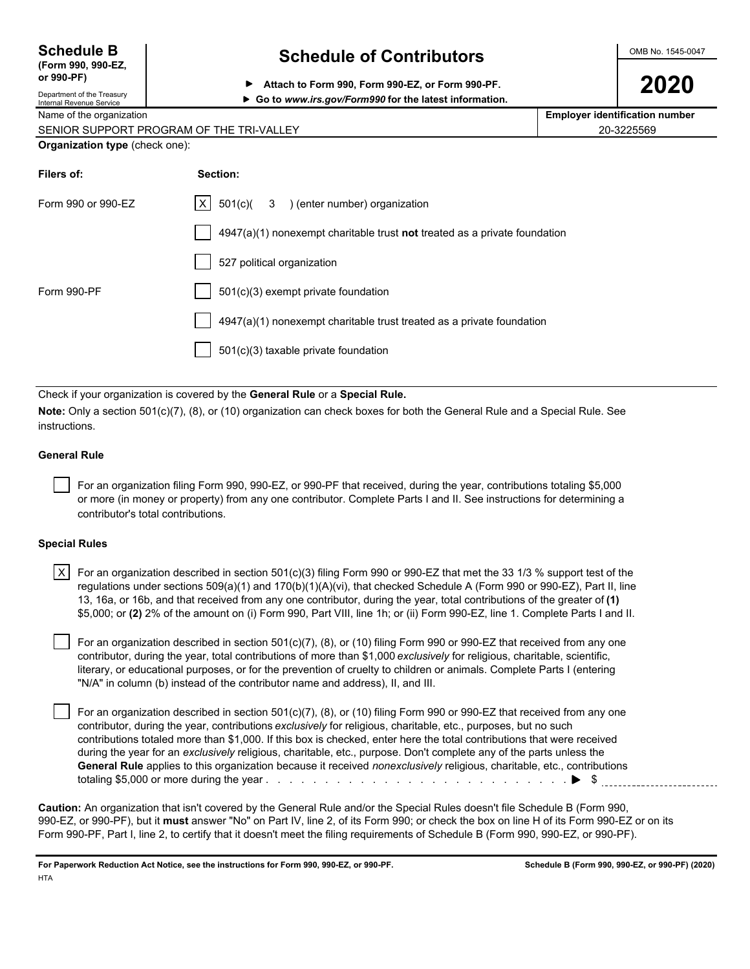| <b>Schedule B</b>  |  |
|--------------------|--|
| (Form 990, 990-EZ, |  |

### **Schedule of Contributors**  $\frac{\text{OMB No. 1545-0047}}{}$

**2020 PP** Attach to Form 990, Form 990-EZ, or Form 990-PF.<br>Department of the Treasury

| Department of the Treasury |
|----------------------------|
| Internal Revenue Service   |

| Go to www.irs.gov/Form990 for the latest information. |
|-------------------------------------------------------|
|                                                       |

Name of the organization **Employer identification number Employer identification number** 

| SENIOR SUPPORT PROGRAM OF THE TRI-VALLEY | 20-3225569 |
|------------------------------------------|------------|
|                                          |            |

| <b>Organization type (check one):</b> |
|---------------------------------------|
|---------------------------------------|

| Filers of:         | Section:                                                                           |
|--------------------|------------------------------------------------------------------------------------|
| Form 990 or 990-EZ | $ X $ 501(c)( 3 ) (enter number) organization                                      |
|                    | $4947(a)(1)$ nonexempt charitable trust <b>not</b> treated as a private foundation |
|                    | 527 political organization                                                         |
| Form 990-PF        | 501(c)(3) exempt private foundation                                                |
|                    | 4947(a)(1) nonexempt charitable trust treated as a private foundation              |
|                    | $501(c)(3)$ taxable private foundation                                             |
|                    |                                                                                    |

Check if your organization is covered by the **General Rule** or a **Special Rule.**

**Note:** Only a section 501(c)(7), (8), or (10) organization can check boxes for both the General Rule and a Special Rule. See instructions.

#### **General Rule**

 For an organization filing Form 990, 990-EZ, or 990-PF that received, during the year, contributions totaling \$5,000 or more (in money or property) from any one contributor. Complete Parts I and II. See instructions for determining a contributor's total contributions.

#### **Special Rules**

| X $\mid$ For an organization described in section 501(c)(3) filing Form 990 or 990-EZ that met the 33 1/3 % support test of the |
|---------------------------------------------------------------------------------------------------------------------------------|
| regulations under sections 509(a)(1) and 170(b)(1)(A)(vi), that checked Schedule A (Form 990 or 990-EZ), Part II, line          |
| 13, 16a, or 16b, and that received from any one contributor, during the year, total contributions of the greater of (1)         |
| \$5,000; or (2) 2% of the amount on (i) Form 990, Part VIII, line 1h; or (ii) Form 990-EZ, line 1. Complete Parts I and II.     |

 For an organization described in section 501(c)(7), (8), or (10) filing Form 990 or 990-EZ that received from any one contributor, during the year, total contributions of more than \$1,000 *exclusively* for religious, charitable, scientific, literary, or educational purposes, or for the prevention of cruelty to children or animals. Complete Parts I (entering "N/A" in column (b) instead of the contributor name and address), II, and III.

 For an organization described in section 501(c)(7), (8), or (10) filing Form 990 or 990-EZ that received from any one contributor, during the year, contributions *exclusively* for religious, charitable, etc., purposes, but no such contributions totaled more than \$1,000. If this box is checked, enter here the total contributions that were received during the year for an *exclusively* religious, charitable, etc., purpose. Don't complete any of the parts unless the **General Rule** applies to this organization because it received *nonexclusively* religious, charitable, etc., contributions totaling \$5,000 or more during the year . . . . . . . . . . . . . . . . . . . . . . . . . . . . . . . . . . . . . . . . . . . . . . . . . . . \$

**Caution:** An organization that isn't covered by the General Rule and/or the Special Rules doesn't file Schedule B (Form 990, 990-EZ, or 990-PF), but it **must** answer "No" on Part IV, line 2, of its Form 990; or check the box on line H of its Form 990-EZ or on its Form 990-PF, Part I, line 2, to certify that it doesn't meet the filing requirements of Schedule B (Form 990, 990-EZ, or 990-PF).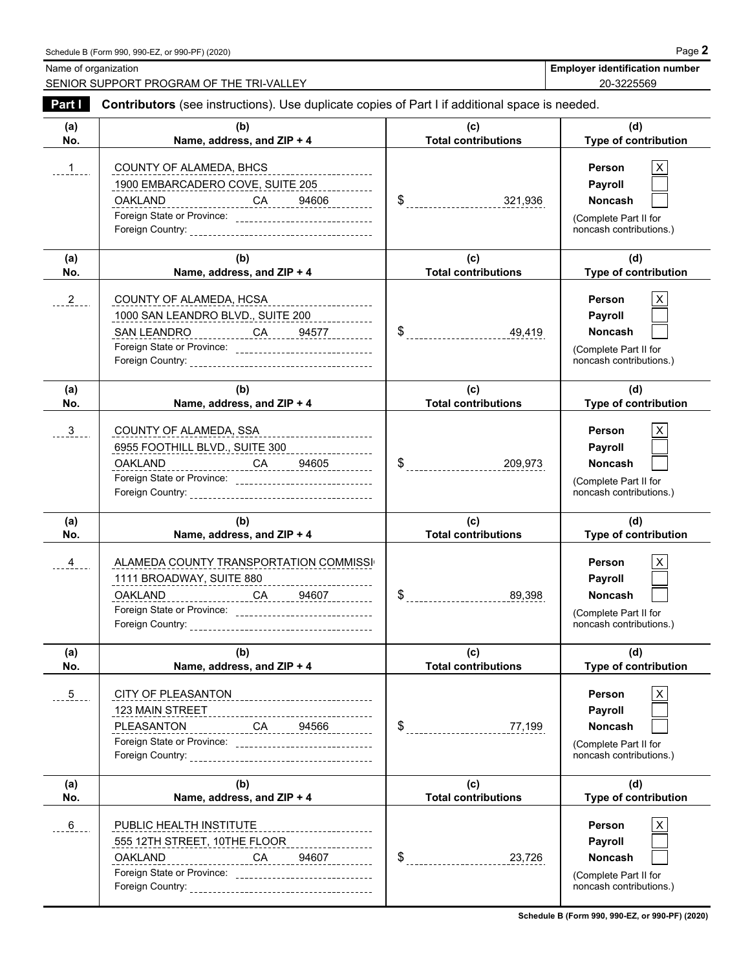Name of organization **Employer identification number** Name of organization **number** 

SENIOR SUPPORT PROGRAM OF THE TRI-VALLEY **20-3225569** 20-3225569

| Part I          | Contributors (see instructions). Use duplicate copies of Part I if additional space is needed.                                                                                                                              |                                   |                                                                                                               |
|-----------------|-----------------------------------------------------------------------------------------------------------------------------------------------------------------------------------------------------------------------------|-----------------------------------|---------------------------------------------------------------------------------------------------------------|
| (a)<br>No.      | (b)<br>Name, address, and ZIP + 4                                                                                                                                                                                           | (c)<br><b>Total contributions</b> | (d)<br>Type of contribution                                                                                   |
| $-1$            | COUNTY OF ALAMEDA, BHCS<br>1900 EMBARCADERO COVE, SUITE 205<br><u>OAKLAND__________________CA______94606___________</u><br>Foreign State or Province: ________________________________                                      |                                   | <b>Person</b><br>X<br>Payroll<br>Noncash<br>(Complete Part II for<br>noncash contributions.)                  |
| (a)<br>No.      | (b)<br>Name, address, and ZIP + 4                                                                                                                                                                                           | (c)<br><b>Total contributions</b> | (d)<br>Type of contribution                                                                                   |
| $2 -$           | COUNTY OF ALAMEDA, HCSA<br>1000 SAN LEANDRO BLVD., SUITE 200<br>Foreign State or Province: _________________________________                                                                                                |                                   | X<br><b>Person</b><br>Payroll<br><b>Noncash</b><br>(Complete Part II for<br>noncash contributions.)           |
| (a)<br>No.      | (b)<br>Name, address, and ZIP + 4                                                                                                                                                                                           | (c)<br><b>Total contributions</b> | (d)<br>Type of contribution                                                                                   |
| 3 <sup>1</sup>  | COUNTY OF ALAMEDA, SSA<br>---------------------<br>6955 FOOTHILL BLVD., SUITE 300 _________________<br><u>OAKLAND__________________CA_____94605__________</u><br>Foreign State or Province: _______________________________ |                                   | $\mathsf X$<br><b>Person</b><br>Payroll<br><b>Noncash</b><br>(Complete Part II for<br>noncash contributions.) |
|                 |                                                                                                                                                                                                                             |                                   |                                                                                                               |
| (a)<br>No.      | (b)<br>Name, address, and ZIP + 4                                                                                                                                                                                           | (c)<br><b>Total contributions</b> | (d)<br>Type of contribution                                                                                   |
| $4\overline{ }$ | ALAMEDA COUNTY TRANSPORTATION COMMISSI<br>1111 BROADWAY, SUITE 880 ________________________<br><u>OAKLAND CA 94607</u><br>Foreign State or Province: ______________________________                                         |                                   | Person<br>Payroll<br><b>Noncash</b><br>(Complete Part II for<br>noncash contributions.)                       |
| (a)<br>No.      | (b)<br>Name, address, and ZIP + 4                                                                                                                                                                                           | (c)<br><b>Total contributions</b> | (d)<br>Type of contribution                                                                                   |
| $5 - 5$         | 123 MAIN STREET<br>_______________CA_______94566__________<br>PLEASANTON<br>Foreign State or Province: _________________________________                                                                                    | \$<br>77,199                      | Person<br>Payroll<br><b>Noncash</b><br>(Complete Part II for<br>noncash contributions.)                       |
| (a)<br>No.      | (b)<br>Name, address, and ZIP + 4                                                                                                                                                                                           | (c)<br><b>Total contributions</b> | (d)<br><b>Type of contribution</b>                                                                            |

**Schedule B (Form 990, 990-EZ, or 990-PF) (2020)**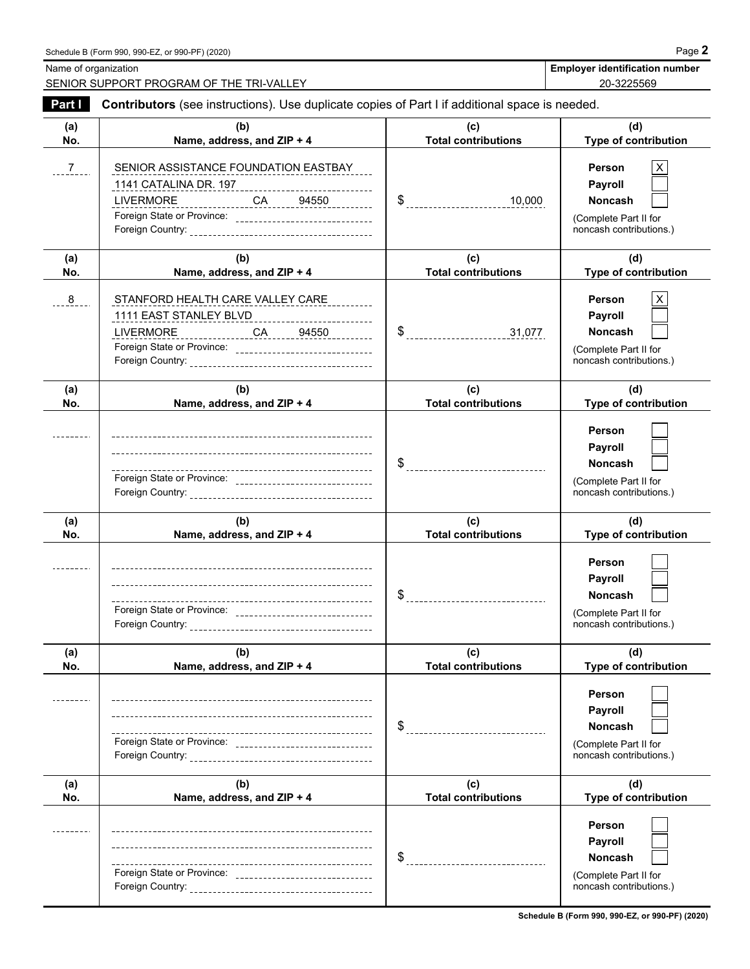Name of organization **Employer identification number** Name of organization **number** 

SENIOR SUPPORT PROGRAM OF THE TRI-VALLEY 20-3225569

| Part I        | Contributors (see instructions). Use duplicate copies of Part I if additional space is needed.                                                                                                                |                                   |                                                                                                |  |  |  |  |  |
|---------------|---------------------------------------------------------------------------------------------------------------------------------------------------------------------------------------------------------------|-----------------------------------|------------------------------------------------------------------------------------------------|--|--|--|--|--|
| (a)<br>No.    | (b)<br>Name, address, and ZIP + 4                                                                                                                                                                             | (c)<br><b>Total contributions</b> | (d)<br>Type of contribution                                                                    |  |  |  |  |  |
| $\frac{7}{2}$ | SENIOR ASSISTANCE FOUNDATION EASTBAY<br>1141 CATALINA DR. 197<br>1971 - Paris Patricia (197)<br>LIVERMORE ________________CA______94550_________<br>Foreign State or Province: ______________________________ |                                   | <b>Person</b><br>Payroll<br><b>Noncash</b><br>(Complete Part II for<br>noncash contributions.) |  |  |  |  |  |
| (a)<br>No.    | (b)<br>Name, address, and ZIP + 4                                                                                                                                                                             | (c)<br><b>Total contributions</b> | (d)<br>Type of contribution                                                                    |  |  |  |  |  |
| 8             | STANFORD HEALTH CARE VALLEY CARE<br>1111 EAST STANLEY BLVD_________________________<br>LIVERMORE ________________CA _____ 94550_________                                                                      |                                   | X<br><b>Person</b><br>Payroll<br>Noncash<br>(Complete Part II for<br>noncash contributions.)   |  |  |  |  |  |
| (a)<br>No.    | (b)<br>Name, address, and ZIP + 4                                                                                                                                                                             | (c)<br><b>Total contributions</b> | (d)<br>Type of contribution                                                                    |  |  |  |  |  |
|               | Foreign State or Province: _________________________________                                                                                                                                                  |                                   | Person<br>Payroll<br><b>Noncash</b><br>(Complete Part II for<br>noncash contributions.)        |  |  |  |  |  |
| (a)<br>No.    | (b)<br>Name, address, and ZIP + 4                                                                                                                                                                             | (c)<br><b>Total contributions</b> | (d)<br>Type of contribution                                                                    |  |  |  |  |  |
|               | Foreign State or Province: _______________________________                                                                                                                                                    |                                   | Person<br>Payroll<br><b>Noncash</b><br>(Complete Part II for<br>noncash contributions.)        |  |  |  |  |  |
| (a)<br>No.    | (b)<br>Name, address, and ZIP + 4                                                                                                                                                                             | (c)<br><b>Total contributions</b> | (d)<br>Type of contribution                                                                    |  |  |  |  |  |
|               |                                                                                                                                                                                                               | \$                                | Person<br>Payroll<br><b>Noncash</b><br>(Complete Part II for<br>noncash contributions.)        |  |  |  |  |  |
| (a)<br>No.    | (b)<br>Name, address, and ZIP + 4                                                                                                                                                                             | (c)<br><b>Total contributions</b> | (d)<br>Type of contribution                                                                    |  |  |  |  |  |
|               | ----------------------------------<br>Foreign State or Province: __________________________________                                                                                                           | S<br>----------------------       | Person<br>Payroll<br><b>Noncash</b><br>(Complete Part II for<br>noncash contributions.)        |  |  |  |  |  |

**Schedule B (Form 990, 990-EZ, or 990-PF) (2020)**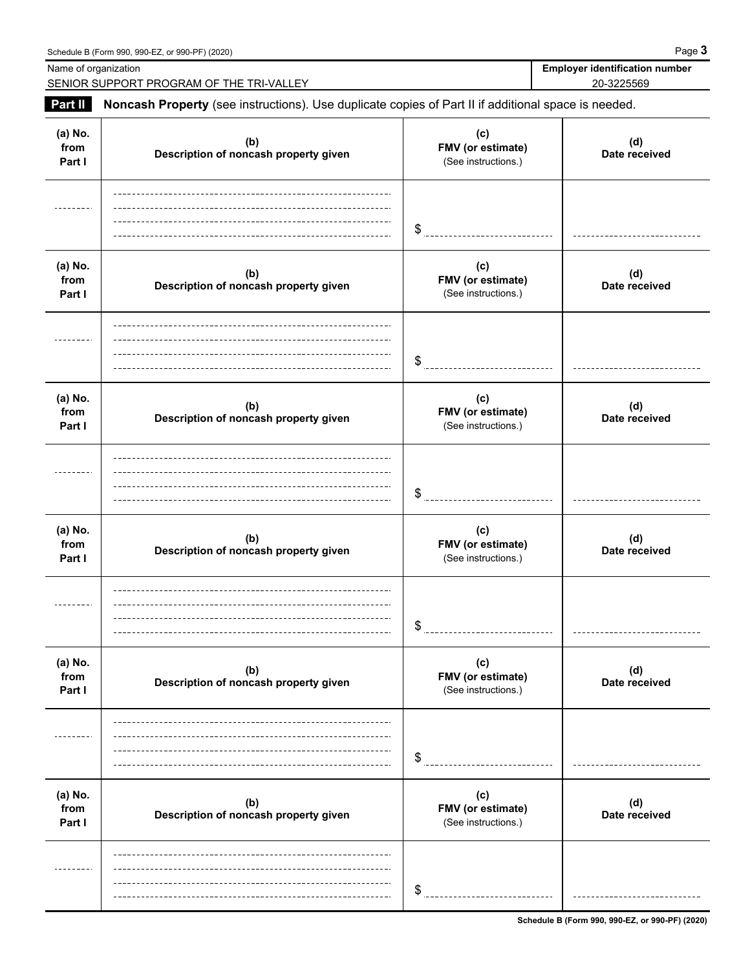| SENIOR SUPPORT PROGRAM OF THE TRI-VALLEY                                                            |                                                 | 20-3225569           |
|-----------------------------------------------------------------------------------------------------|-------------------------------------------------|----------------------|
| Noncash Property (see instructions). Use duplicate copies of Part II if additional space is needed. |                                                 |                      |
| (b)<br>Description of noncash property given                                                        | (c)<br>FMV (or estimate)<br>(See instructions.) | (d)<br>Date received |
|                                                                                                     | \$                                              |                      |
| (b)<br>Description of noncash property given                                                        | (c)<br>FMV (or estimate)<br>(See instructions.) | (d)<br>Date received |
|                                                                                                     | \$                                              |                      |
| (b)<br>Description of noncash property given                                                        | (c)<br>FMV (or estimate)<br>(See instructions.) | (d)<br>Date received |
|                                                                                                     | \$                                              |                      |
| (b)<br>Description of noncash property given                                                        | (c)<br>FMV (or estimate)<br>(See instructions.) | (d)<br>Date received |
|                                                                                                     | \$                                              |                      |
| (b)<br>Description of noncash property given                                                        | (c)<br>FMV (or estimate)<br>(See instructions.) | (d)<br>Date received |
|                                                                                                     | \$                                              |                      |
| (b)<br>Description of noncash property given                                                        | (c)<br>FMV (or estimate)<br>(See instructions.) | (d)<br>Date received |
|                                                                                                     |                                                 |                      |
|                                                                                                     |                                                 | \$                   |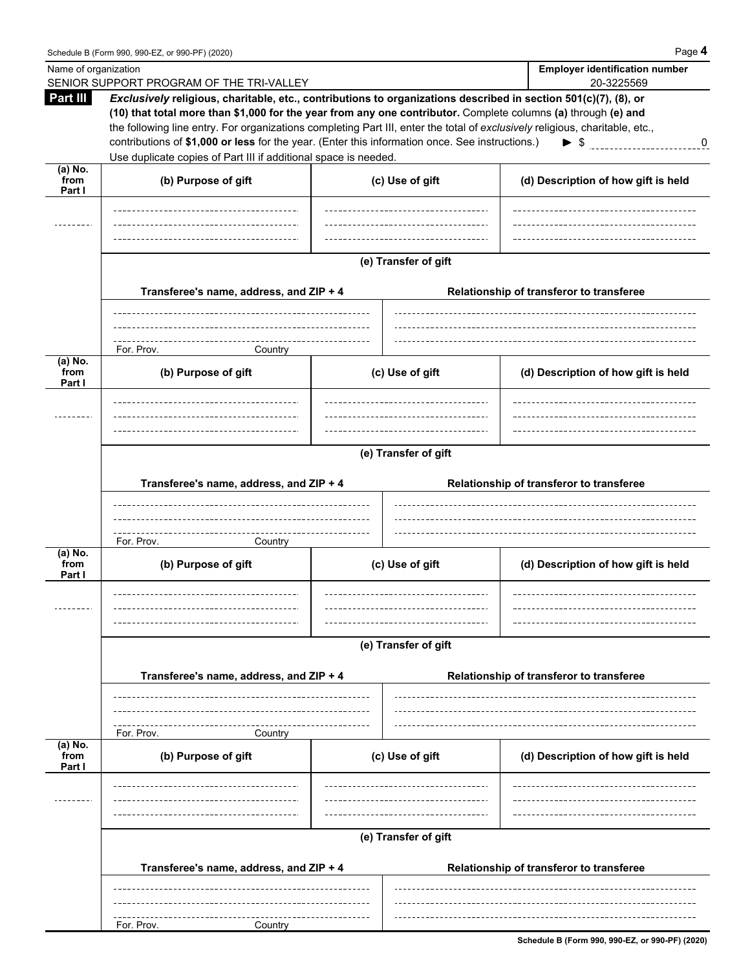| <b>Part III</b>           | Exclusively religious, charitable, etc., contributions to organizations described in section 501(c)(7), (8), or<br>(10) that total more than \$1,000 for the year from any one contributor. Complete columns (a) through (e) and |  |                                          |                                                                     |  |  |  |  |  |  |
|---------------------------|----------------------------------------------------------------------------------------------------------------------------------------------------------------------------------------------------------------------------------|--|------------------------------------------|---------------------------------------------------------------------|--|--|--|--|--|--|
|                           | the following line entry. For organizations completing Part III, enter the total of exclusively religious, charitable, etc.,                                                                                                     |  |                                          |                                                                     |  |  |  |  |  |  |
|                           | contributions of \$1,000 or less for the year. (Enter this information once. See instructions.)<br>$\blacktriangleright$ \$<br>$\bf{0}$                                                                                          |  |                                          |                                                                     |  |  |  |  |  |  |
| (a) No.                   | Use duplicate copies of Part III if additional space is needed.                                                                                                                                                                  |  |                                          |                                                                     |  |  |  |  |  |  |
| from<br>Part I            | (b) Purpose of gift                                                                                                                                                                                                              |  | (c) Use of gift                          | (d) Description of how gift is held                                 |  |  |  |  |  |  |
|                           |                                                                                                                                                                                                                                  |  | ---------------------------------        |                                                                     |  |  |  |  |  |  |
|                           |                                                                                                                                                                                                                                  |  |                                          |                                                                     |  |  |  |  |  |  |
|                           | (e) Transfer of gift                                                                                                                                                                                                             |  |                                          |                                                                     |  |  |  |  |  |  |
|                           | Transferee's name, address, and ZIP + 4                                                                                                                                                                                          |  | Relationship of transferor to transferee |                                                                     |  |  |  |  |  |  |
|                           |                                                                                                                                                                                                                                  |  |                                          |                                                                     |  |  |  |  |  |  |
|                           | For. Prov.<br>Country                                                                                                                                                                                                            |  |                                          |                                                                     |  |  |  |  |  |  |
| (a) No.<br>from<br>Part I | (b) Purpose of gift                                                                                                                                                                                                              |  | (c) Use of gift                          | (d) Description of how gift is held                                 |  |  |  |  |  |  |
|                           |                                                                                                                                                                                                                                  |  |                                          |                                                                     |  |  |  |  |  |  |
|                           |                                                                                                                                                                                                                                  |  |                                          |                                                                     |  |  |  |  |  |  |
|                           | (e) Transfer of gift                                                                                                                                                                                                             |  |                                          |                                                                     |  |  |  |  |  |  |
|                           | Transferee's name, address, and ZIP + 4                                                                                                                                                                                          |  | Relationship of transferor to transferee |                                                                     |  |  |  |  |  |  |
|                           |                                                                                                                                                                                                                                  |  |                                          |                                                                     |  |  |  |  |  |  |
|                           |                                                                                                                                                                                                                                  |  |                                          |                                                                     |  |  |  |  |  |  |
| (a) No.                   | For. Prov.<br>Country                                                                                                                                                                                                            |  |                                          |                                                                     |  |  |  |  |  |  |
| from<br>Part I            | (b) Purpose of gift                                                                                                                                                                                                              |  | (c) Use of gift                          | (d) Description of how gift is held                                 |  |  |  |  |  |  |
|                           | -------------------------------------                                                                                                                                                                                            |  | ------------------------                 | ----------------------------------<br>_____________________________ |  |  |  |  |  |  |
|                           |                                                                                                                                                                                                                                  |  |                                          |                                                                     |  |  |  |  |  |  |
|                           | (e) Transfer of gift                                                                                                                                                                                                             |  |                                          |                                                                     |  |  |  |  |  |  |
|                           | Transferee's name, address, and ZIP + 4                                                                                                                                                                                          |  | Relationship of transferor to transferee |                                                                     |  |  |  |  |  |  |
|                           |                                                                                                                                                                                                                                  |  |                                          |                                                                     |  |  |  |  |  |  |
|                           | For. Prov.<br>Country                                                                                                                                                                                                            |  |                                          |                                                                     |  |  |  |  |  |  |
| (a) No.<br>from<br>Part I | (b) Purpose of gift                                                                                                                                                                                                              |  | (c) Use of gift                          | (d) Description of how gift is held                                 |  |  |  |  |  |  |
|                           |                                                                                                                                                                                                                                  |  |                                          |                                                                     |  |  |  |  |  |  |
|                           |                                                                                                                                                                                                                                  |  |                                          |                                                                     |  |  |  |  |  |  |
|                           |                                                                                                                                                                                                                                  |  | (e) Transfer of gift                     |                                                                     |  |  |  |  |  |  |
|                           | Transferee's name, address, and ZIP + 4                                                                                                                                                                                          |  | Relationship of transferor to transferee |                                                                     |  |  |  |  |  |  |
|                           |                                                                                                                                                                                                                                  |  |                                          |                                                                     |  |  |  |  |  |  |
|                           | For. Prov.<br>Country                                                                                                                                                                                                            |  |                                          |                                                                     |  |  |  |  |  |  |

**Schedule B (Form 990, 990-EZ, or 990-PF) (2020)**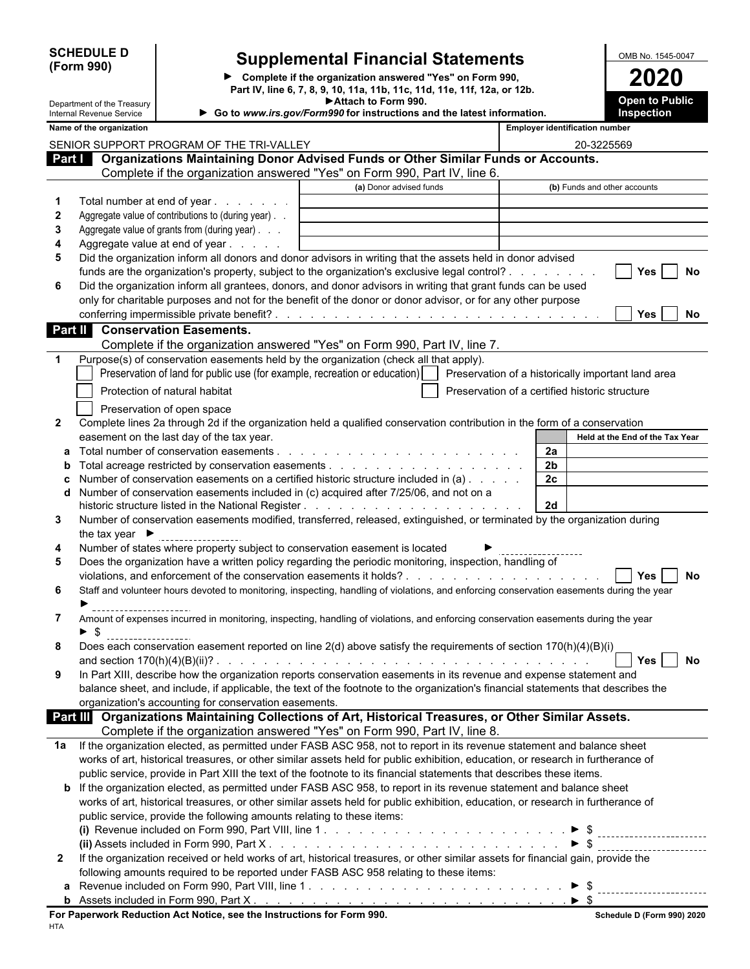| <b>SCHEDULE D</b> |  |
|-------------------|--|
| (Form 990)        |  |

### **D Supplemental Financial Statements OMB No. 1545-0047**

**Complete if the organization answered "Yes" on Form 990, 2020 Part IV, line 6, 7, 8, 9, 10, 11a, 11b, 11c, 11d, 11e, 11f, 12a, or 12b. Attach to Form 990.**

|              | Department of the Treasury<br>Internal Revenue Service |                                                                        | ► Attach to Form 990.<br>Go to www.irs.gov/Form990 for instructions and the latest information.                                           |                                                |                                       |                    | <b>Open to Public</b><br>Inspection |           |
|--------------|--------------------------------------------------------|------------------------------------------------------------------------|-------------------------------------------------------------------------------------------------------------------------------------------|------------------------------------------------|---------------------------------------|--------------------|-------------------------------------|-----------|
|              | Name of the organization                               |                                                                        |                                                                                                                                           |                                                | <b>Employer identification number</b> |                    |                                     |           |
|              |                                                        |                                                                        |                                                                                                                                           |                                                |                                       |                    |                                     |           |
|              |                                                        | SENIOR SUPPORT PROGRAM OF THE TRI-VALLEY                               | Part   Organizations Maintaining Donor Advised Funds or Other Similar Funds or Accounts.                                                  |                                                |                                       | 20-3225569         |                                     |           |
|              |                                                        |                                                                        | Complete if the organization answered "Yes" on Form 990, Part IV, line 6.                                                                 |                                                |                                       |                    |                                     |           |
|              |                                                        |                                                                        | (a) Donor advised funds                                                                                                                   |                                                |                                       |                    | (b) Funds and other accounts        |           |
| 1            |                                                        | Total number at end of year                                            |                                                                                                                                           |                                                |                                       |                    |                                     |           |
| 2            |                                                        | Aggregate value of contributions to (during year).                     |                                                                                                                                           |                                                |                                       |                    |                                     |           |
| 3            |                                                        | Aggregate value of grants from (during year)                           |                                                                                                                                           |                                                |                                       |                    |                                     |           |
| 4            |                                                        | Aggregate value at end of year                                         |                                                                                                                                           |                                                |                                       |                    |                                     |           |
| 5            |                                                        |                                                                        | Did the organization inform all donors and donor advisors in writing that the assets held in donor advised                                |                                                |                                       |                    |                                     |           |
|              |                                                        |                                                                        | funds are the organization's property, subject to the organization's exclusive legal control?                                             |                                                |                                       |                    | Yes                                 | <b>No</b> |
| 6            |                                                        |                                                                        | Did the organization inform all grantees, donors, and donor advisors in writing that grant funds can be used                              |                                                |                                       |                    |                                     |           |
|              |                                                        |                                                                        | only for charitable purposes and not for the benefit of the donor or donor advisor, or for any other purpose                              |                                                |                                       |                    |                                     |           |
|              |                                                        |                                                                        |                                                                                                                                           |                                                |                                       |                    | Yes                                 | No        |
| Part II      |                                                        | <b>Conservation Easements.</b>                                         |                                                                                                                                           |                                                |                                       |                    |                                     |           |
|              |                                                        |                                                                        | Complete if the organization answered "Yes" on Form 990, Part IV, line 7.                                                                 |                                                |                                       |                    |                                     |           |
| 1            |                                                        |                                                                        | Purpose(s) of conservation easements held by the organization (check all that apply).                                                     |                                                |                                       |                    |                                     |           |
|              |                                                        |                                                                        | Preservation of land for public use (for example, recreation or education)   Preservation of a historically important land area           |                                                |                                       |                    |                                     |           |
|              |                                                        |                                                                        |                                                                                                                                           |                                                |                                       |                    |                                     |           |
|              |                                                        | Protection of natural habitat                                          |                                                                                                                                           | Preservation of a certified historic structure |                                       |                    |                                     |           |
|              |                                                        | Preservation of open space                                             |                                                                                                                                           |                                                |                                       |                    |                                     |           |
| $\mathbf{2}$ |                                                        |                                                                        | Complete lines 2a through 2d if the organization held a qualified conservation contribution in the form of a conservation                 |                                                |                                       |                    |                                     |           |
|              |                                                        | easement on the last day of the tax year.                              |                                                                                                                                           |                                                |                                       |                    | Held at the End of the Tax Year     |           |
| а            |                                                        |                                                                        |                                                                                                                                           |                                                | 2a                                    |                    |                                     |           |
|              |                                                        |                                                                        |                                                                                                                                           |                                                | 2 <sub>b</sub>                        |                    |                                     |           |
|              |                                                        |                                                                        | Number of conservation easements on a certified historic structure included in (a)                                                        |                                                | 2c                                    |                    |                                     |           |
|              |                                                        |                                                                        | Number of conservation easements included in (c) acquired after 7/25/06, and not on a                                                     |                                                |                                       |                    |                                     |           |
|              |                                                        |                                                                        |                                                                                                                                           |                                                | 2d                                    |                    |                                     |           |
| 3            |                                                        |                                                                        | Number of conservation easements modified, transferred, released, extinguished, or terminated by the organization during                  |                                                |                                       |                    |                                     |           |
|              | the tax year $\blacktriangleright$                     |                                                                        |                                                                                                                                           |                                                |                                       |                    |                                     |           |
| 4            |                                                        |                                                                        | Number of states where property subject to conservation easement is located                                                               |                                                |                                       |                    |                                     |           |
| 5            |                                                        |                                                                        | Does the organization have a written policy regarding the periodic monitoring, inspection, handling of                                    |                                                |                                       |                    |                                     |           |
|              |                                                        |                                                                        |                                                                                                                                           |                                                |                                       |                    | Yes                                 | No        |
| 6            |                                                        |                                                                        | Staff and volunteer hours devoted to monitoring, inspecting, handling of violations, and enforcing conservation easements during the year |                                                |                                       |                    |                                     |           |
|              |                                                        |                                                                        |                                                                                                                                           |                                                |                                       |                    |                                     |           |
| 7            |                                                        |                                                                        | Amount of expenses incurred in monitoring, inspecting, handling of violations, and enforcing conservation easements during the year       |                                                |                                       |                    |                                     |           |
|              | $\blacktriangleright$ \$<br>____________________       |                                                                        |                                                                                                                                           |                                                |                                       |                    |                                     |           |
| 8            |                                                        |                                                                        | Does each conservation easement reported on line 2(d) above satisfy the requirements of section 170(h)(4)(B)(i)                           |                                                |                                       |                    |                                     |           |
|              |                                                        |                                                                        |                                                                                                                                           |                                                |                                       |                    | Yes                                 | <b>No</b> |
| 9            |                                                        |                                                                        | In Part XIII, describe how the organization reports conservation easements in its revenue and expense statement and                       |                                                |                                       |                    |                                     |           |
|              |                                                        |                                                                        | balance sheet, and include, if applicable, the text of the footnote to the organization's financial statements that describes the         |                                                |                                       |                    |                                     |           |
|              |                                                        | organization's accounting for conservation easements.                  |                                                                                                                                           |                                                |                                       |                    |                                     |           |
|              |                                                        |                                                                        | Part III Organizations Maintaining Collections of Art, Historical Treasures, or Other Similar Assets.                                     |                                                |                                       |                    |                                     |           |
|              |                                                        |                                                                        | Complete if the organization answered "Yes" on Form 990, Part IV, line 8.                                                                 |                                                |                                       |                    |                                     |           |
|              |                                                        |                                                                        | 1a If the organization elected, as permitted under FASB ASC 958, not to report in its revenue statement and balance sheet                 |                                                |                                       |                    |                                     |           |
|              |                                                        |                                                                        | works of art, historical treasures, or other similar assets held for public exhibition, education, or research in furtherance of          |                                                |                                       |                    |                                     |           |
|              |                                                        |                                                                        | public service, provide in Part XIII the text of the footnote to its financial statements that describes these items.                     |                                                |                                       |                    |                                     |           |
|              |                                                        |                                                                        | <b>b</b> If the organization elected, as permitted under FASB ASC 958, to report in its revenue statement and balance sheet               |                                                |                                       |                    |                                     |           |
|              |                                                        |                                                                        | works of art, historical treasures, or other similar assets held for public exhibition, education, or research in furtherance of          |                                                |                                       |                    |                                     |           |
|              |                                                        | public service, provide the following amounts relating to these items: |                                                                                                                                           |                                                |                                       |                    |                                     |           |
|              |                                                        |                                                                        |                                                                                                                                           |                                                |                                       |                    |                                     |           |
|              |                                                        |                                                                        |                                                                                                                                           |                                                |                                       |                    |                                     |           |
| $\mathbf{2}$ |                                                        |                                                                        | If the organization received or held works of art, historical treasures, or other similar assets for financial gain, provide the          |                                                |                                       |                    |                                     |           |
|              |                                                        |                                                                        | following amounts required to be reported under FASB ASC 958 relating to these items:                                                     |                                                |                                       |                    |                                     |           |
|              |                                                        |                                                                        |                                                                                                                                           |                                                |                                       | $\triangleright$ s |                                     |           |

| uur<br>line<br>$\overline{\phantom{a}}$<br>-orm<br>° VIII.<br>included<br>on<br>-ar<br>- 999 | ____<br>_______ |  |
|----------------------------------------------------------------------------------------------|-----------------|--|
| orm '<br>10m<br>included<br>11000TC<br>ΉΙ<br>.ສສບ.                                           |                 |  |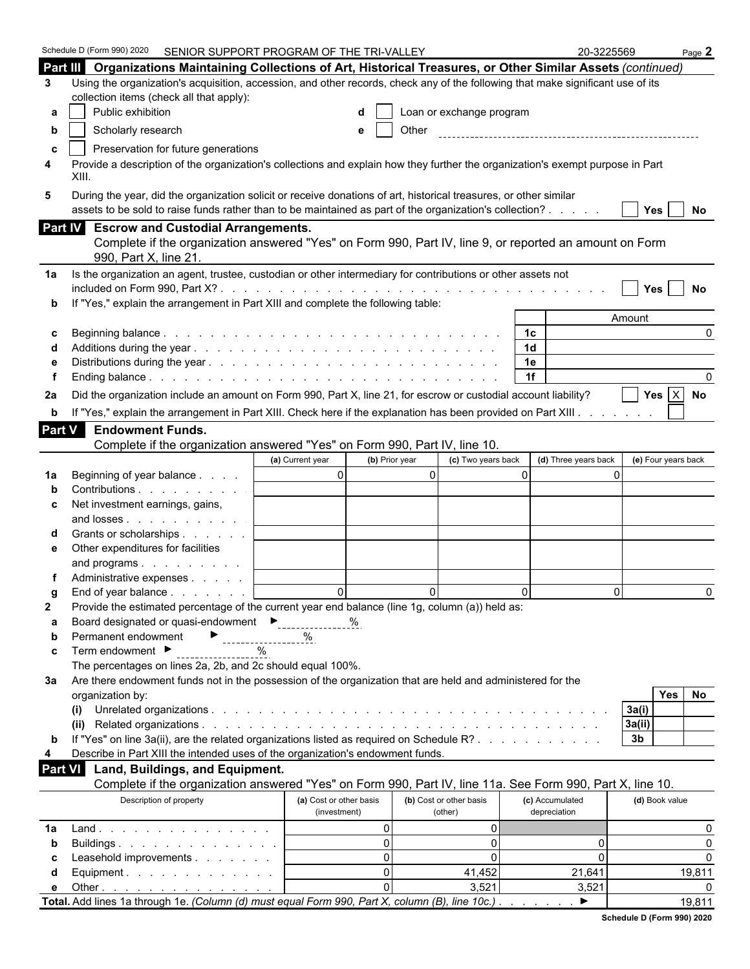| Part III Organizations Maintaining Collections of Art, Historical Treasures, or Other Similar Assets (continued)<br>Using the organization's acquisition, accession, and other records, check any of the following that make significant use of its<br>3<br>collection items (check all that apply):<br>Public exhibition<br>Loan or exchange program<br>a<br>Scholarly research<br>Other<br>e<br>b<br>Preservation for future generations<br>C<br>Provide a description of the organization's collections and explain how they further the organization's exempt purpose in Part<br>4<br>XIII.<br>During the year, did the organization solicit or receive donations of art, historical treasures, or other similar<br>5<br>assets to be sold to raise funds rather than to be maintained as part of the organization's collection?<br>Yes  <br>No<br>Part IV Escrow and Custodial Arrangements.<br>Complete if the organization answered "Yes" on Form 990, Part IV, line 9, or reported an amount on Form<br>990, Part X, line 21.<br>Is the organization an agent, trustee, custodian or other intermediary for contributions or other assets not<br>1a<br>Yes<br>No<br>If "Yes," explain the arrangement in Part XIII and complete the following table:<br>Amount<br>1 <sup>c</sup><br>$\Omega$<br>1 <sub>d</sub><br>1e<br>1f<br>Yes $X$ No<br>Did the organization include an amount on Form 990, Part X, line 21, for escrow or custodial account liability?<br>2a<br>If "Yes," explain the arrangement in Part XIII. Check here if the explanation has been provided on Part XIII.<br>b<br><b>Part V</b><br><b>Endowment Funds.</b><br>Complete if the organization answered "Yes" on Form 990, Part IV, line 10.<br>(b) Prior year<br>(c) Two years back<br>(d) Three years back<br>(e) Four years back<br>(a) Current year<br>$\overline{0}$<br>$\overline{0}$<br>$\Omega$<br>$\Omega$<br>Beginning of year balance<br>1a<br>Contributions<br>Net investment earnings, gains,<br>c<br>and losses<br>Grants or scholarships<br>Other expenditures for facilities<br>е<br>and programs<br>Administrative expenses<br>$\Omega$<br>$\Omega$<br>$\Omega$<br>$\Omega$<br>$\Omega$<br>End of year balance<br>Provide the estimated percentage of the current year end balance (line 1g, column (a)) held as:<br>2<br>Board designated or quasi-endowment<br>Figures 2011<br>%<br>а<br>Permanent endowment<br>%<br>------------------<br>b<br>Term endowment ▶<br>$\%$<br>c<br>The percentages on lines 2a, 2b, and 2c should equal 100%.<br>Are there endowment funds not in the possession of the organization that are held and administered for the<br>За<br>No<br><b>Yes</b><br>organization by:<br>3a(i)<br>(i)<br>3a(ii)<br>If "Yes" on line 3a(ii), are the related organizations listed as required on Schedule R?<br>3 <sub>b</sub><br>b<br>Describe in Part XIII the intended uses of the organization's endowment funds.<br>4<br>Land, Buildings, and Equipment.<br>Part VI<br>Complete if the organization answered "Yes" on Form 990, Part IV, line 11a. See Form 990, Part X, line 10.<br>Description of property<br>(a) Cost or other basis<br>(b) Cost or other basis<br>(d) Book value<br>(c) Accumulated<br>(investment)<br>depreciation<br>(other)<br>$\Omega$<br>0<br>0<br>Land.<br>1a<br>$\Omega$<br>$\overline{0}$<br>0<br>$\Omega$<br>Buildings<br>b<br>$\Omega$<br>$\Omega$<br>Leasehold improvements<br>0<br>$\Omega$<br>С<br>$\Omega$<br>41,452<br>21,641<br>19,811<br>Equipment.<br>d<br>$\Omega$<br>3,521<br>3,521<br>Other $\ldots$ $\ldots$ $\ldots$ $\ldots$ $\ldots$ $\ldots$ $\ldots$<br>е<br>Total. Add lines 1a through 1e. (Column (d) must equal Form 990, Part X, column (B), line 10c.)<br>▶<br>19,811 | Schedule D (Form 990) 2020<br>SENIOR SUPPORT PROGRAM OF THE TRI-VALLEY |  | 20-3225569 | Page $2$ |
|--------------------------------------------------------------------------------------------------------------------------------------------------------------------------------------------------------------------------------------------------------------------------------------------------------------------------------------------------------------------------------------------------------------------------------------------------------------------------------------------------------------------------------------------------------------------------------------------------------------------------------------------------------------------------------------------------------------------------------------------------------------------------------------------------------------------------------------------------------------------------------------------------------------------------------------------------------------------------------------------------------------------------------------------------------------------------------------------------------------------------------------------------------------------------------------------------------------------------------------------------------------------------------------------------------------------------------------------------------------------------------------------------------------------------------------------------------------------------------------------------------------------------------------------------------------------------------------------------------------------------------------------------------------------------------------------------------------------------------------------------------------------------------------------------------------------------------------------------------------------------------------------------------------------------------------------------------------------------------------------------------------------------------------------------------------------------------------------------------------------------------------------------------------------------------------------------------------------------------------------------------------------------------------------------------------------------------------------------------------------------------------------------------------------------------------------------------------------------------------------------------------------------------------------------------------------------------------------------------------------------------------------------------------------------------------------------------------------------------------------------------------------------------------------------------------------------------------------------------------------------------------------------------------------------------------------------------------------------------------------------------------------------------------------------------------------------------------------------------------------------------------------------------------------------------------------------------------------------------------------------------------------------------------------------------------------------------------------------------------------------------------------------------------------------------------------------------------------------------------------------------------------------------------------------------------------------------------------------------------------------------------------------------------------------------------------------------------------------------------------------|------------------------------------------------------------------------|--|------------|----------|
|                                                                                                                                                                                                                                                                                                                                                                                                                                                                                                                                                                                                                                                                                                                                                                                                                                                                                                                                                                                                                                                                                                                                                                                                                                                                                                                                                                                                                                                                                                                                                                                                                                                                                                                                                                                                                                                                                                                                                                                                                                                                                                                                                                                                                                                                                                                                                                                                                                                                                                                                                                                                                                                                                                                                                                                                                                                                                                                                                                                                                                                                                                                                                                                                                                                                                                                                                                                                                                                                                                                                                                                                                                                                                                                                                  |                                                                        |  |            |          |
|                                                                                                                                                                                                                                                                                                                                                                                                                                                                                                                                                                                                                                                                                                                                                                                                                                                                                                                                                                                                                                                                                                                                                                                                                                                                                                                                                                                                                                                                                                                                                                                                                                                                                                                                                                                                                                                                                                                                                                                                                                                                                                                                                                                                                                                                                                                                                                                                                                                                                                                                                                                                                                                                                                                                                                                                                                                                                                                                                                                                                                                                                                                                                                                                                                                                                                                                                                                                                                                                                                                                                                                                                                                                                                                                                  |                                                                        |  |            |          |
|                                                                                                                                                                                                                                                                                                                                                                                                                                                                                                                                                                                                                                                                                                                                                                                                                                                                                                                                                                                                                                                                                                                                                                                                                                                                                                                                                                                                                                                                                                                                                                                                                                                                                                                                                                                                                                                                                                                                                                                                                                                                                                                                                                                                                                                                                                                                                                                                                                                                                                                                                                                                                                                                                                                                                                                                                                                                                                                                                                                                                                                                                                                                                                                                                                                                                                                                                                                                                                                                                                                                                                                                                                                                                                                                                  |                                                                        |  |            |          |
|                                                                                                                                                                                                                                                                                                                                                                                                                                                                                                                                                                                                                                                                                                                                                                                                                                                                                                                                                                                                                                                                                                                                                                                                                                                                                                                                                                                                                                                                                                                                                                                                                                                                                                                                                                                                                                                                                                                                                                                                                                                                                                                                                                                                                                                                                                                                                                                                                                                                                                                                                                                                                                                                                                                                                                                                                                                                                                                                                                                                                                                                                                                                                                                                                                                                                                                                                                                                                                                                                                                                                                                                                                                                                                                                                  |                                                                        |  |            |          |
|                                                                                                                                                                                                                                                                                                                                                                                                                                                                                                                                                                                                                                                                                                                                                                                                                                                                                                                                                                                                                                                                                                                                                                                                                                                                                                                                                                                                                                                                                                                                                                                                                                                                                                                                                                                                                                                                                                                                                                                                                                                                                                                                                                                                                                                                                                                                                                                                                                                                                                                                                                                                                                                                                                                                                                                                                                                                                                                                                                                                                                                                                                                                                                                                                                                                                                                                                                                                                                                                                                                                                                                                                                                                                                                                                  |                                                                        |  |            |          |
|                                                                                                                                                                                                                                                                                                                                                                                                                                                                                                                                                                                                                                                                                                                                                                                                                                                                                                                                                                                                                                                                                                                                                                                                                                                                                                                                                                                                                                                                                                                                                                                                                                                                                                                                                                                                                                                                                                                                                                                                                                                                                                                                                                                                                                                                                                                                                                                                                                                                                                                                                                                                                                                                                                                                                                                                                                                                                                                                                                                                                                                                                                                                                                                                                                                                                                                                                                                                                                                                                                                                                                                                                                                                                                                                                  |                                                                        |  |            |          |
|                                                                                                                                                                                                                                                                                                                                                                                                                                                                                                                                                                                                                                                                                                                                                                                                                                                                                                                                                                                                                                                                                                                                                                                                                                                                                                                                                                                                                                                                                                                                                                                                                                                                                                                                                                                                                                                                                                                                                                                                                                                                                                                                                                                                                                                                                                                                                                                                                                                                                                                                                                                                                                                                                                                                                                                                                                                                                                                                                                                                                                                                                                                                                                                                                                                                                                                                                                                                                                                                                                                                                                                                                                                                                                                                                  |                                                                        |  |            |          |
|                                                                                                                                                                                                                                                                                                                                                                                                                                                                                                                                                                                                                                                                                                                                                                                                                                                                                                                                                                                                                                                                                                                                                                                                                                                                                                                                                                                                                                                                                                                                                                                                                                                                                                                                                                                                                                                                                                                                                                                                                                                                                                                                                                                                                                                                                                                                                                                                                                                                                                                                                                                                                                                                                                                                                                                                                                                                                                                                                                                                                                                                                                                                                                                                                                                                                                                                                                                                                                                                                                                                                                                                                                                                                                                                                  |                                                                        |  |            |          |
|                                                                                                                                                                                                                                                                                                                                                                                                                                                                                                                                                                                                                                                                                                                                                                                                                                                                                                                                                                                                                                                                                                                                                                                                                                                                                                                                                                                                                                                                                                                                                                                                                                                                                                                                                                                                                                                                                                                                                                                                                                                                                                                                                                                                                                                                                                                                                                                                                                                                                                                                                                                                                                                                                                                                                                                                                                                                                                                                                                                                                                                                                                                                                                                                                                                                                                                                                                                                                                                                                                                                                                                                                                                                                                                                                  |                                                                        |  |            |          |
|                                                                                                                                                                                                                                                                                                                                                                                                                                                                                                                                                                                                                                                                                                                                                                                                                                                                                                                                                                                                                                                                                                                                                                                                                                                                                                                                                                                                                                                                                                                                                                                                                                                                                                                                                                                                                                                                                                                                                                                                                                                                                                                                                                                                                                                                                                                                                                                                                                                                                                                                                                                                                                                                                                                                                                                                                                                                                                                                                                                                                                                                                                                                                                                                                                                                                                                                                                                                                                                                                                                                                                                                                                                                                                                                                  |                                                                        |  |            |          |
|                                                                                                                                                                                                                                                                                                                                                                                                                                                                                                                                                                                                                                                                                                                                                                                                                                                                                                                                                                                                                                                                                                                                                                                                                                                                                                                                                                                                                                                                                                                                                                                                                                                                                                                                                                                                                                                                                                                                                                                                                                                                                                                                                                                                                                                                                                                                                                                                                                                                                                                                                                                                                                                                                                                                                                                                                                                                                                                                                                                                                                                                                                                                                                                                                                                                                                                                                                                                                                                                                                                                                                                                                                                                                                                                                  |                                                                        |  |            |          |
|                                                                                                                                                                                                                                                                                                                                                                                                                                                                                                                                                                                                                                                                                                                                                                                                                                                                                                                                                                                                                                                                                                                                                                                                                                                                                                                                                                                                                                                                                                                                                                                                                                                                                                                                                                                                                                                                                                                                                                                                                                                                                                                                                                                                                                                                                                                                                                                                                                                                                                                                                                                                                                                                                                                                                                                                                                                                                                                                                                                                                                                                                                                                                                                                                                                                                                                                                                                                                                                                                                                                                                                                                                                                                                                                                  |                                                                        |  |            |          |
|                                                                                                                                                                                                                                                                                                                                                                                                                                                                                                                                                                                                                                                                                                                                                                                                                                                                                                                                                                                                                                                                                                                                                                                                                                                                                                                                                                                                                                                                                                                                                                                                                                                                                                                                                                                                                                                                                                                                                                                                                                                                                                                                                                                                                                                                                                                                                                                                                                                                                                                                                                                                                                                                                                                                                                                                                                                                                                                                                                                                                                                                                                                                                                                                                                                                                                                                                                                                                                                                                                                                                                                                                                                                                                                                                  |                                                                        |  |            |          |
|                                                                                                                                                                                                                                                                                                                                                                                                                                                                                                                                                                                                                                                                                                                                                                                                                                                                                                                                                                                                                                                                                                                                                                                                                                                                                                                                                                                                                                                                                                                                                                                                                                                                                                                                                                                                                                                                                                                                                                                                                                                                                                                                                                                                                                                                                                                                                                                                                                                                                                                                                                                                                                                                                                                                                                                                                                                                                                                                                                                                                                                                                                                                                                                                                                                                                                                                                                                                                                                                                                                                                                                                                                                                                                                                                  |                                                                        |  |            |          |
|                                                                                                                                                                                                                                                                                                                                                                                                                                                                                                                                                                                                                                                                                                                                                                                                                                                                                                                                                                                                                                                                                                                                                                                                                                                                                                                                                                                                                                                                                                                                                                                                                                                                                                                                                                                                                                                                                                                                                                                                                                                                                                                                                                                                                                                                                                                                                                                                                                                                                                                                                                                                                                                                                                                                                                                                                                                                                                                                                                                                                                                                                                                                                                                                                                                                                                                                                                                                                                                                                                                                                                                                                                                                                                                                                  |                                                                        |  |            |          |
|                                                                                                                                                                                                                                                                                                                                                                                                                                                                                                                                                                                                                                                                                                                                                                                                                                                                                                                                                                                                                                                                                                                                                                                                                                                                                                                                                                                                                                                                                                                                                                                                                                                                                                                                                                                                                                                                                                                                                                                                                                                                                                                                                                                                                                                                                                                                                                                                                                                                                                                                                                                                                                                                                                                                                                                                                                                                                                                                                                                                                                                                                                                                                                                                                                                                                                                                                                                                                                                                                                                                                                                                                                                                                                                                                  |                                                                        |  |            |          |
|                                                                                                                                                                                                                                                                                                                                                                                                                                                                                                                                                                                                                                                                                                                                                                                                                                                                                                                                                                                                                                                                                                                                                                                                                                                                                                                                                                                                                                                                                                                                                                                                                                                                                                                                                                                                                                                                                                                                                                                                                                                                                                                                                                                                                                                                                                                                                                                                                                                                                                                                                                                                                                                                                                                                                                                                                                                                                                                                                                                                                                                                                                                                                                                                                                                                                                                                                                                                                                                                                                                                                                                                                                                                                                                                                  |                                                                        |  |            |          |
|                                                                                                                                                                                                                                                                                                                                                                                                                                                                                                                                                                                                                                                                                                                                                                                                                                                                                                                                                                                                                                                                                                                                                                                                                                                                                                                                                                                                                                                                                                                                                                                                                                                                                                                                                                                                                                                                                                                                                                                                                                                                                                                                                                                                                                                                                                                                                                                                                                                                                                                                                                                                                                                                                                                                                                                                                                                                                                                                                                                                                                                                                                                                                                                                                                                                                                                                                                                                                                                                                                                                                                                                                                                                                                                                                  |                                                                        |  |            |          |
|                                                                                                                                                                                                                                                                                                                                                                                                                                                                                                                                                                                                                                                                                                                                                                                                                                                                                                                                                                                                                                                                                                                                                                                                                                                                                                                                                                                                                                                                                                                                                                                                                                                                                                                                                                                                                                                                                                                                                                                                                                                                                                                                                                                                                                                                                                                                                                                                                                                                                                                                                                                                                                                                                                                                                                                                                                                                                                                                                                                                                                                                                                                                                                                                                                                                                                                                                                                                                                                                                                                                                                                                                                                                                                                                                  |                                                                        |  |            |          |
|                                                                                                                                                                                                                                                                                                                                                                                                                                                                                                                                                                                                                                                                                                                                                                                                                                                                                                                                                                                                                                                                                                                                                                                                                                                                                                                                                                                                                                                                                                                                                                                                                                                                                                                                                                                                                                                                                                                                                                                                                                                                                                                                                                                                                                                                                                                                                                                                                                                                                                                                                                                                                                                                                                                                                                                                                                                                                                                                                                                                                                                                                                                                                                                                                                                                                                                                                                                                                                                                                                                                                                                                                                                                                                                                                  |                                                                        |  |            |          |
|                                                                                                                                                                                                                                                                                                                                                                                                                                                                                                                                                                                                                                                                                                                                                                                                                                                                                                                                                                                                                                                                                                                                                                                                                                                                                                                                                                                                                                                                                                                                                                                                                                                                                                                                                                                                                                                                                                                                                                                                                                                                                                                                                                                                                                                                                                                                                                                                                                                                                                                                                                                                                                                                                                                                                                                                                                                                                                                                                                                                                                                                                                                                                                                                                                                                                                                                                                                                                                                                                                                                                                                                                                                                                                                                                  |                                                                        |  |            |          |
|                                                                                                                                                                                                                                                                                                                                                                                                                                                                                                                                                                                                                                                                                                                                                                                                                                                                                                                                                                                                                                                                                                                                                                                                                                                                                                                                                                                                                                                                                                                                                                                                                                                                                                                                                                                                                                                                                                                                                                                                                                                                                                                                                                                                                                                                                                                                                                                                                                                                                                                                                                                                                                                                                                                                                                                                                                                                                                                                                                                                                                                                                                                                                                                                                                                                                                                                                                                                                                                                                                                                                                                                                                                                                                                                                  |                                                                        |  |            |          |
|                                                                                                                                                                                                                                                                                                                                                                                                                                                                                                                                                                                                                                                                                                                                                                                                                                                                                                                                                                                                                                                                                                                                                                                                                                                                                                                                                                                                                                                                                                                                                                                                                                                                                                                                                                                                                                                                                                                                                                                                                                                                                                                                                                                                                                                                                                                                                                                                                                                                                                                                                                                                                                                                                                                                                                                                                                                                                                                                                                                                                                                                                                                                                                                                                                                                                                                                                                                                                                                                                                                                                                                                                                                                                                                                                  |                                                                        |  |            |          |
|                                                                                                                                                                                                                                                                                                                                                                                                                                                                                                                                                                                                                                                                                                                                                                                                                                                                                                                                                                                                                                                                                                                                                                                                                                                                                                                                                                                                                                                                                                                                                                                                                                                                                                                                                                                                                                                                                                                                                                                                                                                                                                                                                                                                                                                                                                                                                                                                                                                                                                                                                                                                                                                                                                                                                                                                                                                                                                                                                                                                                                                                                                                                                                                                                                                                                                                                                                                                                                                                                                                                                                                                                                                                                                                                                  |                                                                        |  |            |          |
|                                                                                                                                                                                                                                                                                                                                                                                                                                                                                                                                                                                                                                                                                                                                                                                                                                                                                                                                                                                                                                                                                                                                                                                                                                                                                                                                                                                                                                                                                                                                                                                                                                                                                                                                                                                                                                                                                                                                                                                                                                                                                                                                                                                                                                                                                                                                                                                                                                                                                                                                                                                                                                                                                                                                                                                                                                                                                                                                                                                                                                                                                                                                                                                                                                                                                                                                                                                                                                                                                                                                                                                                                                                                                                                                                  |                                                                        |  |            |          |
|                                                                                                                                                                                                                                                                                                                                                                                                                                                                                                                                                                                                                                                                                                                                                                                                                                                                                                                                                                                                                                                                                                                                                                                                                                                                                                                                                                                                                                                                                                                                                                                                                                                                                                                                                                                                                                                                                                                                                                                                                                                                                                                                                                                                                                                                                                                                                                                                                                                                                                                                                                                                                                                                                                                                                                                                                                                                                                                                                                                                                                                                                                                                                                                                                                                                                                                                                                                                                                                                                                                                                                                                                                                                                                                                                  |                                                                        |  |            |          |
|                                                                                                                                                                                                                                                                                                                                                                                                                                                                                                                                                                                                                                                                                                                                                                                                                                                                                                                                                                                                                                                                                                                                                                                                                                                                                                                                                                                                                                                                                                                                                                                                                                                                                                                                                                                                                                                                                                                                                                                                                                                                                                                                                                                                                                                                                                                                                                                                                                                                                                                                                                                                                                                                                                                                                                                                                                                                                                                                                                                                                                                                                                                                                                                                                                                                                                                                                                                                                                                                                                                                                                                                                                                                                                                                                  |                                                                        |  |            |          |
|                                                                                                                                                                                                                                                                                                                                                                                                                                                                                                                                                                                                                                                                                                                                                                                                                                                                                                                                                                                                                                                                                                                                                                                                                                                                                                                                                                                                                                                                                                                                                                                                                                                                                                                                                                                                                                                                                                                                                                                                                                                                                                                                                                                                                                                                                                                                                                                                                                                                                                                                                                                                                                                                                                                                                                                                                                                                                                                                                                                                                                                                                                                                                                                                                                                                                                                                                                                                                                                                                                                                                                                                                                                                                                                                                  |                                                                        |  |            |          |
|                                                                                                                                                                                                                                                                                                                                                                                                                                                                                                                                                                                                                                                                                                                                                                                                                                                                                                                                                                                                                                                                                                                                                                                                                                                                                                                                                                                                                                                                                                                                                                                                                                                                                                                                                                                                                                                                                                                                                                                                                                                                                                                                                                                                                                                                                                                                                                                                                                                                                                                                                                                                                                                                                                                                                                                                                                                                                                                                                                                                                                                                                                                                                                                                                                                                                                                                                                                                                                                                                                                                                                                                                                                                                                                                                  |                                                                        |  |            |          |
|                                                                                                                                                                                                                                                                                                                                                                                                                                                                                                                                                                                                                                                                                                                                                                                                                                                                                                                                                                                                                                                                                                                                                                                                                                                                                                                                                                                                                                                                                                                                                                                                                                                                                                                                                                                                                                                                                                                                                                                                                                                                                                                                                                                                                                                                                                                                                                                                                                                                                                                                                                                                                                                                                                                                                                                                                                                                                                                                                                                                                                                                                                                                                                                                                                                                                                                                                                                                                                                                                                                                                                                                                                                                                                                                                  |                                                                        |  |            |          |
|                                                                                                                                                                                                                                                                                                                                                                                                                                                                                                                                                                                                                                                                                                                                                                                                                                                                                                                                                                                                                                                                                                                                                                                                                                                                                                                                                                                                                                                                                                                                                                                                                                                                                                                                                                                                                                                                                                                                                                                                                                                                                                                                                                                                                                                                                                                                                                                                                                                                                                                                                                                                                                                                                                                                                                                                                                                                                                                                                                                                                                                                                                                                                                                                                                                                                                                                                                                                                                                                                                                                                                                                                                                                                                                                                  |                                                                        |  |            |          |
|                                                                                                                                                                                                                                                                                                                                                                                                                                                                                                                                                                                                                                                                                                                                                                                                                                                                                                                                                                                                                                                                                                                                                                                                                                                                                                                                                                                                                                                                                                                                                                                                                                                                                                                                                                                                                                                                                                                                                                                                                                                                                                                                                                                                                                                                                                                                                                                                                                                                                                                                                                                                                                                                                                                                                                                                                                                                                                                                                                                                                                                                                                                                                                                                                                                                                                                                                                                                                                                                                                                                                                                                                                                                                                                                                  |                                                                        |  |            |          |
|                                                                                                                                                                                                                                                                                                                                                                                                                                                                                                                                                                                                                                                                                                                                                                                                                                                                                                                                                                                                                                                                                                                                                                                                                                                                                                                                                                                                                                                                                                                                                                                                                                                                                                                                                                                                                                                                                                                                                                                                                                                                                                                                                                                                                                                                                                                                                                                                                                                                                                                                                                                                                                                                                                                                                                                                                                                                                                                                                                                                                                                                                                                                                                                                                                                                                                                                                                                                                                                                                                                                                                                                                                                                                                                                                  |                                                                        |  |            |          |
|                                                                                                                                                                                                                                                                                                                                                                                                                                                                                                                                                                                                                                                                                                                                                                                                                                                                                                                                                                                                                                                                                                                                                                                                                                                                                                                                                                                                                                                                                                                                                                                                                                                                                                                                                                                                                                                                                                                                                                                                                                                                                                                                                                                                                                                                                                                                                                                                                                                                                                                                                                                                                                                                                                                                                                                                                                                                                                                                                                                                                                                                                                                                                                                                                                                                                                                                                                                                                                                                                                                                                                                                                                                                                                                                                  |                                                                        |  |            |          |
|                                                                                                                                                                                                                                                                                                                                                                                                                                                                                                                                                                                                                                                                                                                                                                                                                                                                                                                                                                                                                                                                                                                                                                                                                                                                                                                                                                                                                                                                                                                                                                                                                                                                                                                                                                                                                                                                                                                                                                                                                                                                                                                                                                                                                                                                                                                                                                                                                                                                                                                                                                                                                                                                                                                                                                                                                                                                                                                                                                                                                                                                                                                                                                                                                                                                                                                                                                                                                                                                                                                                                                                                                                                                                                                                                  |                                                                        |  |            |          |
|                                                                                                                                                                                                                                                                                                                                                                                                                                                                                                                                                                                                                                                                                                                                                                                                                                                                                                                                                                                                                                                                                                                                                                                                                                                                                                                                                                                                                                                                                                                                                                                                                                                                                                                                                                                                                                                                                                                                                                                                                                                                                                                                                                                                                                                                                                                                                                                                                                                                                                                                                                                                                                                                                                                                                                                                                                                                                                                                                                                                                                                                                                                                                                                                                                                                                                                                                                                                                                                                                                                                                                                                                                                                                                                                                  |                                                                        |  |            |          |
|                                                                                                                                                                                                                                                                                                                                                                                                                                                                                                                                                                                                                                                                                                                                                                                                                                                                                                                                                                                                                                                                                                                                                                                                                                                                                                                                                                                                                                                                                                                                                                                                                                                                                                                                                                                                                                                                                                                                                                                                                                                                                                                                                                                                                                                                                                                                                                                                                                                                                                                                                                                                                                                                                                                                                                                                                                                                                                                                                                                                                                                                                                                                                                                                                                                                                                                                                                                                                                                                                                                                                                                                                                                                                                                                                  |                                                                        |  |            |          |
|                                                                                                                                                                                                                                                                                                                                                                                                                                                                                                                                                                                                                                                                                                                                                                                                                                                                                                                                                                                                                                                                                                                                                                                                                                                                                                                                                                                                                                                                                                                                                                                                                                                                                                                                                                                                                                                                                                                                                                                                                                                                                                                                                                                                                                                                                                                                                                                                                                                                                                                                                                                                                                                                                                                                                                                                                                                                                                                                                                                                                                                                                                                                                                                                                                                                                                                                                                                                                                                                                                                                                                                                                                                                                                                                                  |                                                                        |  |            |          |
|                                                                                                                                                                                                                                                                                                                                                                                                                                                                                                                                                                                                                                                                                                                                                                                                                                                                                                                                                                                                                                                                                                                                                                                                                                                                                                                                                                                                                                                                                                                                                                                                                                                                                                                                                                                                                                                                                                                                                                                                                                                                                                                                                                                                                                                                                                                                                                                                                                                                                                                                                                                                                                                                                                                                                                                                                                                                                                                                                                                                                                                                                                                                                                                                                                                                                                                                                                                                                                                                                                                                                                                                                                                                                                                                                  |                                                                        |  |            |          |
|                                                                                                                                                                                                                                                                                                                                                                                                                                                                                                                                                                                                                                                                                                                                                                                                                                                                                                                                                                                                                                                                                                                                                                                                                                                                                                                                                                                                                                                                                                                                                                                                                                                                                                                                                                                                                                                                                                                                                                                                                                                                                                                                                                                                                                                                                                                                                                                                                                                                                                                                                                                                                                                                                                                                                                                                                                                                                                                                                                                                                                                                                                                                                                                                                                                                                                                                                                                                                                                                                                                                                                                                                                                                                                                                                  |                                                                        |  |            |          |
|                                                                                                                                                                                                                                                                                                                                                                                                                                                                                                                                                                                                                                                                                                                                                                                                                                                                                                                                                                                                                                                                                                                                                                                                                                                                                                                                                                                                                                                                                                                                                                                                                                                                                                                                                                                                                                                                                                                                                                                                                                                                                                                                                                                                                                                                                                                                                                                                                                                                                                                                                                                                                                                                                                                                                                                                                                                                                                                                                                                                                                                                                                                                                                                                                                                                                                                                                                                                                                                                                                                                                                                                                                                                                                                                                  |                                                                        |  |            |          |
|                                                                                                                                                                                                                                                                                                                                                                                                                                                                                                                                                                                                                                                                                                                                                                                                                                                                                                                                                                                                                                                                                                                                                                                                                                                                                                                                                                                                                                                                                                                                                                                                                                                                                                                                                                                                                                                                                                                                                                                                                                                                                                                                                                                                                                                                                                                                                                                                                                                                                                                                                                                                                                                                                                                                                                                                                                                                                                                                                                                                                                                                                                                                                                                                                                                                                                                                                                                                                                                                                                                                                                                                                                                                                                                                                  |                                                                        |  |            |          |
|                                                                                                                                                                                                                                                                                                                                                                                                                                                                                                                                                                                                                                                                                                                                                                                                                                                                                                                                                                                                                                                                                                                                                                                                                                                                                                                                                                                                                                                                                                                                                                                                                                                                                                                                                                                                                                                                                                                                                                                                                                                                                                                                                                                                                                                                                                                                                                                                                                                                                                                                                                                                                                                                                                                                                                                                                                                                                                                                                                                                                                                                                                                                                                                                                                                                                                                                                                                                                                                                                                                                                                                                                                                                                                                                                  |                                                                        |  |            |          |
|                                                                                                                                                                                                                                                                                                                                                                                                                                                                                                                                                                                                                                                                                                                                                                                                                                                                                                                                                                                                                                                                                                                                                                                                                                                                                                                                                                                                                                                                                                                                                                                                                                                                                                                                                                                                                                                                                                                                                                                                                                                                                                                                                                                                                                                                                                                                                                                                                                                                                                                                                                                                                                                                                                                                                                                                                                                                                                                                                                                                                                                                                                                                                                                                                                                                                                                                                                                                                                                                                                                                                                                                                                                                                                                                                  |                                                                        |  |            |          |
|                                                                                                                                                                                                                                                                                                                                                                                                                                                                                                                                                                                                                                                                                                                                                                                                                                                                                                                                                                                                                                                                                                                                                                                                                                                                                                                                                                                                                                                                                                                                                                                                                                                                                                                                                                                                                                                                                                                                                                                                                                                                                                                                                                                                                                                                                                                                                                                                                                                                                                                                                                                                                                                                                                                                                                                                                                                                                                                                                                                                                                                                                                                                                                                                                                                                                                                                                                                                                                                                                                                                                                                                                                                                                                                                                  |                                                                        |  |            |          |
|                                                                                                                                                                                                                                                                                                                                                                                                                                                                                                                                                                                                                                                                                                                                                                                                                                                                                                                                                                                                                                                                                                                                                                                                                                                                                                                                                                                                                                                                                                                                                                                                                                                                                                                                                                                                                                                                                                                                                                                                                                                                                                                                                                                                                                                                                                                                                                                                                                                                                                                                                                                                                                                                                                                                                                                                                                                                                                                                                                                                                                                                                                                                                                                                                                                                                                                                                                                                                                                                                                                                                                                                                                                                                                                                                  |                                                                        |  |            |          |
|                                                                                                                                                                                                                                                                                                                                                                                                                                                                                                                                                                                                                                                                                                                                                                                                                                                                                                                                                                                                                                                                                                                                                                                                                                                                                                                                                                                                                                                                                                                                                                                                                                                                                                                                                                                                                                                                                                                                                                                                                                                                                                                                                                                                                                                                                                                                                                                                                                                                                                                                                                                                                                                                                                                                                                                                                                                                                                                                                                                                                                                                                                                                                                                                                                                                                                                                                                                                                                                                                                                                                                                                                                                                                                                                                  |                                                                        |  |            |          |
|                                                                                                                                                                                                                                                                                                                                                                                                                                                                                                                                                                                                                                                                                                                                                                                                                                                                                                                                                                                                                                                                                                                                                                                                                                                                                                                                                                                                                                                                                                                                                                                                                                                                                                                                                                                                                                                                                                                                                                                                                                                                                                                                                                                                                                                                                                                                                                                                                                                                                                                                                                                                                                                                                                                                                                                                                                                                                                                                                                                                                                                                                                                                                                                                                                                                                                                                                                                                                                                                                                                                                                                                                                                                                                                                                  |                                                                        |  |            |          |
|                                                                                                                                                                                                                                                                                                                                                                                                                                                                                                                                                                                                                                                                                                                                                                                                                                                                                                                                                                                                                                                                                                                                                                                                                                                                                                                                                                                                                                                                                                                                                                                                                                                                                                                                                                                                                                                                                                                                                                                                                                                                                                                                                                                                                                                                                                                                                                                                                                                                                                                                                                                                                                                                                                                                                                                                                                                                                                                                                                                                                                                                                                                                                                                                                                                                                                                                                                                                                                                                                                                                                                                                                                                                                                                                                  |                                                                        |  |            |          |
|                                                                                                                                                                                                                                                                                                                                                                                                                                                                                                                                                                                                                                                                                                                                                                                                                                                                                                                                                                                                                                                                                                                                                                                                                                                                                                                                                                                                                                                                                                                                                                                                                                                                                                                                                                                                                                                                                                                                                                                                                                                                                                                                                                                                                                                                                                                                                                                                                                                                                                                                                                                                                                                                                                                                                                                                                                                                                                                                                                                                                                                                                                                                                                                                                                                                                                                                                                                                                                                                                                                                                                                                                                                                                                                                                  |                                                                        |  |            |          |
|                                                                                                                                                                                                                                                                                                                                                                                                                                                                                                                                                                                                                                                                                                                                                                                                                                                                                                                                                                                                                                                                                                                                                                                                                                                                                                                                                                                                                                                                                                                                                                                                                                                                                                                                                                                                                                                                                                                                                                                                                                                                                                                                                                                                                                                                                                                                                                                                                                                                                                                                                                                                                                                                                                                                                                                                                                                                                                                                                                                                                                                                                                                                                                                                                                                                                                                                                                                                                                                                                                                                                                                                                                                                                                                                                  |                                                                        |  |            |          |
|                                                                                                                                                                                                                                                                                                                                                                                                                                                                                                                                                                                                                                                                                                                                                                                                                                                                                                                                                                                                                                                                                                                                                                                                                                                                                                                                                                                                                                                                                                                                                                                                                                                                                                                                                                                                                                                                                                                                                                                                                                                                                                                                                                                                                                                                                                                                                                                                                                                                                                                                                                                                                                                                                                                                                                                                                                                                                                                                                                                                                                                                                                                                                                                                                                                                                                                                                                                                                                                                                                                                                                                                                                                                                                                                                  |                                                                        |  |            |          |
|                                                                                                                                                                                                                                                                                                                                                                                                                                                                                                                                                                                                                                                                                                                                                                                                                                                                                                                                                                                                                                                                                                                                                                                                                                                                                                                                                                                                                                                                                                                                                                                                                                                                                                                                                                                                                                                                                                                                                                                                                                                                                                                                                                                                                                                                                                                                                                                                                                                                                                                                                                                                                                                                                                                                                                                                                                                                                                                                                                                                                                                                                                                                                                                                                                                                                                                                                                                                                                                                                                                                                                                                                                                                                                                                                  |                                                                        |  |            |          |
|                                                                                                                                                                                                                                                                                                                                                                                                                                                                                                                                                                                                                                                                                                                                                                                                                                                                                                                                                                                                                                                                                                                                                                                                                                                                                                                                                                                                                                                                                                                                                                                                                                                                                                                                                                                                                                                                                                                                                                                                                                                                                                                                                                                                                                                                                                                                                                                                                                                                                                                                                                                                                                                                                                                                                                                                                                                                                                                                                                                                                                                                                                                                                                                                                                                                                                                                                                                                                                                                                                                                                                                                                                                                                                                                                  |                                                                        |  |            |          |
|                                                                                                                                                                                                                                                                                                                                                                                                                                                                                                                                                                                                                                                                                                                                                                                                                                                                                                                                                                                                                                                                                                                                                                                                                                                                                                                                                                                                                                                                                                                                                                                                                                                                                                                                                                                                                                                                                                                                                                                                                                                                                                                                                                                                                                                                                                                                                                                                                                                                                                                                                                                                                                                                                                                                                                                                                                                                                                                                                                                                                                                                                                                                                                                                                                                                                                                                                                                                                                                                                                                                                                                                                                                                                                                                                  |                                                                        |  |            |          |

| Schedule D (Form 990) 2020 |  |
|----------------------------|--|
|                            |  |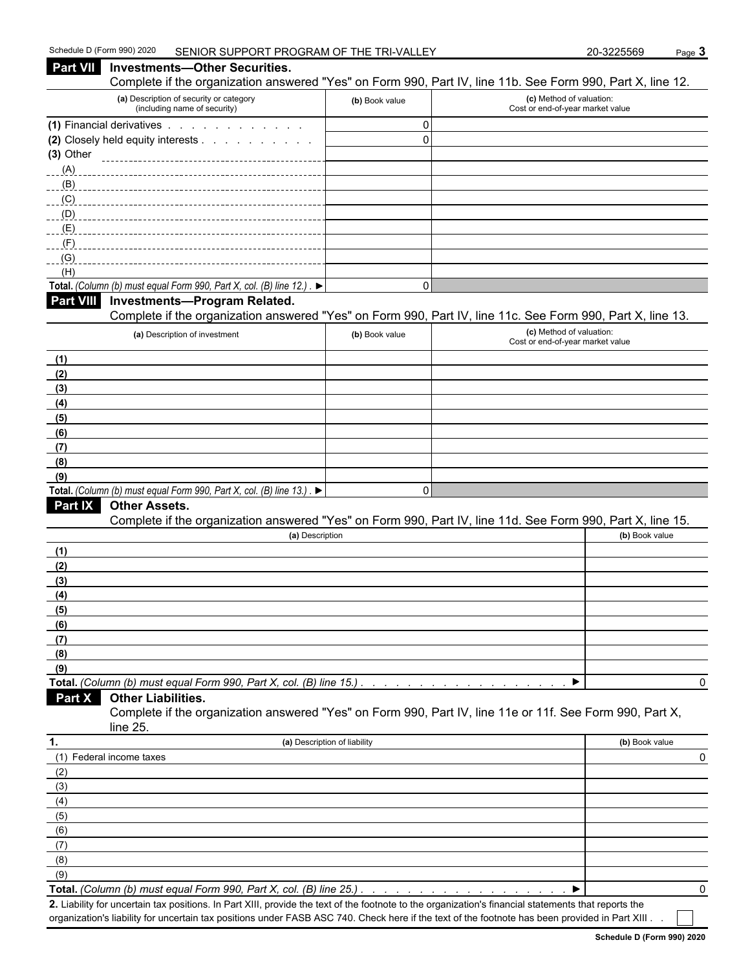| Complete if the organization answered "Yes" on Form 990, Part IV, line 11b. See Form 990, Part X, line 12.<br>(a) Description of security or category<br>(c) Method of valuation:<br>(b) Book value<br>(including name of security)<br>Cost or end-of-year market value<br>(1) Financial derivatives<br>$\mathbf 0$<br>$\mathbf 0$<br>(2) Closely held equity interests<br>(3) Other<br>(A)<br>(B)<br>(C)<br>(D)<br>(E)<br>(F)<br>(G)<br>(H)<br>Total. (Column (b) must equal Form 990, Part X, col. (B) line 12.). $\blacktriangleright$<br>$\Omega$<br><b>Investments-Program Related.</b><br>Complete if the organization answered "Yes" on Form 990, Part IV, line 11c. See Form 990, Part X, line 13.<br>(c) Method of valuation:<br>(a) Description of investment<br>(b) Book value<br>Cost or end-of-year market value<br>(1)<br>(2)<br>(3)<br>(4)<br>(5)<br>(6)<br>(7)<br>(8)<br>(9)<br>Total. (Column (b) must equal Form 990, Part X, col. (B) line 13.). $\blacktriangleright$<br>$\mathbf 0$<br>Part IX<br><b>Other Assets.</b><br>Complete if the organization answered "Yes" on Form 990, Part IV, line 11d. See Form 990, Part X, line 15.<br>(a) Description<br>(b) Book value<br>(1)<br>(2)<br>(3)<br>(4)<br>(5)<br>(6)<br>(7)<br>(8)<br>(9)<br>Total. (Column (b) must equal Form 990, Part X, col. (B) line 15.)<br>0<br><b>Other Liabilities.</b><br>Part X<br>Complete if the organization answered "Yes" on Form 990, Part IV, line 11e or 11f. See Form 990, Part X,<br>line 25.<br>(a) Description of liability<br>(b) Book value<br>(1) Federal income taxes<br>0<br>(2)<br>(3)<br>(4)<br>(5)<br>(6)<br>(7)<br>(8)<br>(9)<br>Total. (Column (b) must equal Form 990, Part X, col. (B) line 25.) | Part VII         | <b>Investments-Other Securities.</b> |  |   |
|--------------------------------------------------------------------------------------------------------------------------------------------------------------------------------------------------------------------------------------------------------------------------------------------------------------------------------------------------------------------------------------------------------------------------------------------------------------------------------------------------------------------------------------------------------------------------------------------------------------------------------------------------------------------------------------------------------------------------------------------------------------------------------------------------------------------------------------------------------------------------------------------------------------------------------------------------------------------------------------------------------------------------------------------------------------------------------------------------------------------------------------------------------------------------------------------------------------------------------------------------------------------------------------------------------------------------------------------------------------------------------------------------------------------------------------------------------------------------------------------------------------------------------------------------------------------------------------------------------------------------------------------------------------------------------------------------------------------------|------------------|--------------------------------------|--|---|
|                                                                                                                                                                                                                                                                                                                                                                                                                                                                                                                                                                                                                                                                                                                                                                                                                                                                                                                                                                                                                                                                                                                                                                                                                                                                                                                                                                                                                                                                                                                                                                                                                                                                                                                          |                  |                                      |  |   |
|                                                                                                                                                                                                                                                                                                                                                                                                                                                                                                                                                                                                                                                                                                                                                                                                                                                                                                                                                                                                                                                                                                                                                                                                                                                                                                                                                                                                                                                                                                                                                                                                                                                                                                                          |                  |                                      |  |   |
|                                                                                                                                                                                                                                                                                                                                                                                                                                                                                                                                                                                                                                                                                                                                                                                                                                                                                                                                                                                                                                                                                                                                                                                                                                                                                                                                                                                                                                                                                                                                                                                                                                                                                                                          |                  |                                      |  |   |
|                                                                                                                                                                                                                                                                                                                                                                                                                                                                                                                                                                                                                                                                                                                                                                                                                                                                                                                                                                                                                                                                                                                                                                                                                                                                                                                                                                                                                                                                                                                                                                                                                                                                                                                          |                  |                                      |  |   |
|                                                                                                                                                                                                                                                                                                                                                                                                                                                                                                                                                                                                                                                                                                                                                                                                                                                                                                                                                                                                                                                                                                                                                                                                                                                                                                                                                                                                                                                                                                                                                                                                                                                                                                                          |                  |                                      |  |   |
|                                                                                                                                                                                                                                                                                                                                                                                                                                                                                                                                                                                                                                                                                                                                                                                                                                                                                                                                                                                                                                                                                                                                                                                                                                                                                                                                                                                                                                                                                                                                                                                                                                                                                                                          |                  |                                      |  |   |
|                                                                                                                                                                                                                                                                                                                                                                                                                                                                                                                                                                                                                                                                                                                                                                                                                                                                                                                                                                                                                                                                                                                                                                                                                                                                                                                                                                                                                                                                                                                                                                                                                                                                                                                          |                  |                                      |  |   |
|                                                                                                                                                                                                                                                                                                                                                                                                                                                                                                                                                                                                                                                                                                                                                                                                                                                                                                                                                                                                                                                                                                                                                                                                                                                                                                                                                                                                                                                                                                                                                                                                                                                                                                                          |                  |                                      |  |   |
|                                                                                                                                                                                                                                                                                                                                                                                                                                                                                                                                                                                                                                                                                                                                                                                                                                                                                                                                                                                                                                                                                                                                                                                                                                                                                                                                                                                                                                                                                                                                                                                                                                                                                                                          |                  |                                      |  |   |
|                                                                                                                                                                                                                                                                                                                                                                                                                                                                                                                                                                                                                                                                                                                                                                                                                                                                                                                                                                                                                                                                                                                                                                                                                                                                                                                                                                                                                                                                                                                                                                                                                                                                                                                          |                  |                                      |  |   |
|                                                                                                                                                                                                                                                                                                                                                                                                                                                                                                                                                                                                                                                                                                                                                                                                                                                                                                                                                                                                                                                                                                                                                                                                                                                                                                                                                                                                                                                                                                                                                                                                                                                                                                                          |                  |                                      |  |   |
|                                                                                                                                                                                                                                                                                                                                                                                                                                                                                                                                                                                                                                                                                                                                                                                                                                                                                                                                                                                                                                                                                                                                                                                                                                                                                                                                                                                                                                                                                                                                                                                                                                                                                                                          |                  |                                      |  |   |
|                                                                                                                                                                                                                                                                                                                                                                                                                                                                                                                                                                                                                                                                                                                                                                                                                                                                                                                                                                                                                                                                                                                                                                                                                                                                                                                                                                                                                                                                                                                                                                                                                                                                                                                          |                  |                                      |  |   |
|                                                                                                                                                                                                                                                                                                                                                                                                                                                                                                                                                                                                                                                                                                                                                                                                                                                                                                                                                                                                                                                                                                                                                                                                                                                                                                                                                                                                                                                                                                                                                                                                                                                                                                                          | <b>Part VIII</b> |                                      |  |   |
|                                                                                                                                                                                                                                                                                                                                                                                                                                                                                                                                                                                                                                                                                                                                                                                                                                                                                                                                                                                                                                                                                                                                                                                                                                                                                                                                                                                                                                                                                                                                                                                                                                                                                                                          |                  |                                      |  |   |
|                                                                                                                                                                                                                                                                                                                                                                                                                                                                                                                                                                                                                                                                                                                                                                                                                                                                                                                                                                                                                                                                                                                                                                                                                                                                                                                                                                                                                                                                                                                                                                                                                                                                                                                          |                  |                                      |  |   |
|                                                                                                                                                                                                                                                                                                                                                                                                                                                                                                                                                                                                                                                                                                                                                                                                                                                                                                                                                                                                                                                                                                                                                                                                                                                                                                                                                                                                                                                                                                                                                                                                                                                                                                                          |                  |                                      |  |   |
|                                                                                                                                                                                                                                                                                                                                                                                                                                                                                                                                                                                                                                                                                                                                                                                                                                                                                                                                                                                                                                                                                                                                                                                                                                                                                                                                                                                                                                                                                                                                                                                                                                                                                                                          |                  |                                      |  |   |
|                                                                                                                                                                                                                                                                                                                                                                                                                                                                                                                                                                                                                                                                                                                                                                                                                                                                                                                                                                                                                                                                                                                                                                                                                                                                                                                                                                                                                                                                                                                                                                                                                                                                                                                          |                  |                                      |  |   |
|                                                                                                                                                                                                                                                                                                                                                                                                                                                                                                                                                                                                                                                                                                                                                                                                                                                                                                                                                                                                                                                                                                                                                                                                                                                                                                                                                                                                                                                                                                                                                                                                                                                                                                                          |                  |                                      |  |   |
|                                                                                                                                                                                                                                                                                                                                                                                                                                                                                                                                                                                                                                                                                                                                                                                                                                                                                                                                                                                                                                                                                                                                                                                                                                                                                                                                                                                                                                                                                                                                                                                                                                                                                                                          |                  |                                      |  |   |
|                                                                                                                                                                                                                                                                                                                                                                                                                                                                                                                                                                                                                                                                                                                                                                                                                                                                                                                                                                                                                                                                                                                                                                                                                                                                                                                                                                                                                                                                                                                                                                                                                                                                                                                          |                  |                                      |  |   |
|                                                                                                                                                                                                                                                                                                                                                                                                                                                                                                                                                                                                                                                                                                                                                                                                                                                                                                                                                                                                                                                                                                                                                                                                                                                                                                                                                                                                                                                                                                                                                                                                                                                                                                                          |                  |                                      |  |   |
|                                                                                                                                                                                                                                                                                                                                                                                                                                                                                                                                                                                                                                                                                                                                                                                                                                                                                                                                                                                                                                                                                                                                                                                                                                                                                                                                                                                                                                                                                                                                                                                                                                                                                                                          |                  |                                      |  |   |
|                                                                                                                                                                                                                                                                                                                                                                                                                                                                                                                                                                                                                                                                                                                                                                                                                                                                                                                                                                                                                                                                                                                                                                                                                                                                                                                                                                                                                                                                                                                                                                                                                                                                                                                          |                  |                                      |  |   |
|                                                                                                                                                                                                                                                                                                                                                                                                                                                                                                                                                                                                                                                                                                                                                                                                                                                                                                                                                                                                                                                                                                                                                                                                                                                                                                                                                                                                                                                                                                                                                                                                                                                                                                                          |                  |                                      |  |   |
|                                                                                                                                                                                                                                                                                                                                                                                                                                                                                                                                                                                                                                                                                                                                                                                                                                                                                                                                                                                                                                                                                                                                                                                                                                                                                                                                                                                                                                                                                                                                                                                                                                                                                                                          |                  |                                      |  |   |
|                                                                                                                                                                                                                                                                                                                                                                                                                                                                                                                                                                                                                                                                                                                                                                                                                                                                                                                                                                                                                                                                                                                                                                                                                                                                                                                                                                                                                                                                                                                                                                                                                                                                                                                          |                  |                                      |  |   |
|                                                                                                                                                                                                                                                                                                                                                                                                                                                                                                                                                                                                                                                                                                                                                                                                                                                                                                                                                                                                                                                                                                                                                                                                                                                                                                                                                                                                                                                                                                                                                                                                                                                                                                                          |                  |                                      |  |   |
|                                                                                                                                                                                                                                                                                                                                                                                                                                                                                                                                                                                                                                                                                                                                                                                                                                                                                                                                                                                                                                                                                                                                                                                                                                                                                                                                                                                                                                                                                                                                                                                                                                                                                                                          |                  |                                      |  |   |
|                                                                                                                                                                                                                                                                                                                                                                                                                                                                                                                                                                                                                                                                                                                                                                                                                                                                                                                                                                                                                                                                                                                                                                                                                                                                                                                                                                                                                                                                                                                                                                                                                                                                                                                          |                  |                                      |  |   |
|                                                                                                                                                                                                                                                                                                                                                                                                                                                                                                                                                                                                                                                                                                                                                                                                                                                                                                                                                                                                                                                                                                                                                                                                                                                                                                                                                                                                                                                                                                                                                                                                                                                                                                                          |                  |                                      |  |   |
|                                                                                                                                                                                                                                                                                                                                                                                                                                                                                                                                                                                                                                                                                                                                                                                                                                                                                                                                                                                                                                                                                                                                                                                                                                                                                                                                                                                                                                                                                                                                                                                                                                                                                                                          |                  |                                      |  |   |
|                                                                                                                                                                                                                                                                                                                                                                                                                                                                                                                                                                                                                                                                                                                                                                                                                                                                                                                                                                                                                                                                                                                                                                                                                                                                                                                                                                                                                                                                                                                                                                                                                                                                                                                          |                  |                                      |  |   |
|                                                                                                                                                                                                                                                                                                                                                                                                                                                                                                                                                                                                                                                                                                                                                                                                                                                                                                                                                                                                                                                                                                                                                                                                                                                                                                                                                                                                                                                                                                                                                                                                                                                                                                                          |                  |                                      |  |   |
|                                                                                                                                                                                                                                                                                                                                                                                                                                                                                                                                                                                                                                                                                                                                                                                                                                                                                                                                                                                                                                                                                                                                                                                                                                                                                                                                                                                                                                                                                                                                                                                                                                                                                                                          |                  |                                      |  |   |
|                                                                                                                                                                                                                                                                                                                                                                                                                                                                                                                                                                                                                                                                                                                                                                                                                                                                                                                                                                                                                                                                                                                                                                                                                                                                                                                                                                                                                                                                                                                                                                                                                                                                                                                          |                  |                                      |  |   |
|                                                                                                                                                                                                                                                                                                                                                                                                                                                                                                                                                                                                                                                                                                                                                                                                                                                                                                                                                                                                                                                                                                                                                                                                                                                                                                                                                                                                                                                                                                                                                                                                                                                                                                                          |                  |                                      |  |   |
|                                                                                                                                                                                                                                                                                                                                                                                                                                                                                                                                                                                                                                                                                                                                                                                                                                                                                                                                                                                                                                                                                                                                                                                                                                                                                                                                                                                                                                                                                                                                                                                                                                                                                                                          |                  |                                      |  |   |
|                                                                                                                                                                                                                                                                                                                                                                                                                                                                                                                                                                                                                                                                                                                                                                                                                                                                                                                                                                                                                                                                                                                                                                                                                                                                                                                                                                                                                                                                                                                                                                                                                                                                                                                          |                  |                                      |  |   |
|                                                                                                                                                                                                                                                                                                                                                                                                                                                                                                                                                                                                                                                                                                                                                                                                                                                                                                                                                                                                                                                                                                                                                                                                                                                                                                                                                                                                                                                                                                                                                                                                                                                                                                                          |                  |                                      |  |   |
|                                                                                                                                                                                                                                                                                                                                                                                                                                                                                                                                                                                                                                                                                                                                                                                                                                                                                                                                                                                                                                                                                                                                                                                                                                                                                                                                                                                                                                                                                                                                                                                                                                                                                                                          | 1.               |                                      |  |   |
|                                                                                                                                                                                                                                                                                                                                                                                                                                                                                                                                                                                                                                                                                                                                                                                                                                                                                                                                                                                                                                                                                                                                                                                                                                                                                                                                                                                                                                                                                                                                                                                                                                                                                                                          |                  |                                      |  |   |
|                                                                                                                                                                                                                                                                                                                                                                                                                                                                                                                                                                                                                                                                                                                                                                                                                                                                                                                                                                                                                                                                                                                                                                                                                                                                                                                                                                                                                                                                                                                                                                                                                                                                                                                          |                  |                                      |  |   |
|                                                                                                                                                                                                                                                                                                                                                                                                                                                                                                                                                                                                                                                                                                                                                                                                                                                                                                                                                                                                                                                                                                                                                                                                                                                                                                                                                                                                                                                                                                                                                                                                                                                                                                                          |                  |                                      |  |   |
|                                                                                                                                                                                                                                                                                                                                                                                                                                                                                                                                                                                                                                                                                                                                                                                                                                                                                                                                                                                                                                                                                                                                                                                                                                                                                                                                                                                                                                                                                                                                                                                                                                                                                                                          |                  |                                      |  |   |
|                                                                                                                                                                                                                                                                                                                                                                                                                                                                                                                                                                                                                                                                                                                                                                                                                                                                                                                                                                                                                                                                                                                                                                                                                                                                                                                                                                                                                                                                                                                                                                                                                                                                                                                          |                  |                                      |  |   |
|                                                                                                                                                                                                                                                                                                                                                                                                                                                                                                                                                                                                                                                                                                                                                                                                                                                                                                                                                                                                                                                                                                                                                                                                                                                                                                                                                                                                                                                                                                                                                                                                                                                                                                                          |                  |                                      |  |   |
|                                                                                                                                                                                                                                                                                                                                                                                                                                                                                                                                                                                                                                                                                                                                                                                                                                                                                                                                                                                                                                                                                                                                                                                                                                                                                                                                                                                                                                                                                                                                                                                                                                                                                                                          |                  |                                      |  |   |
|                                                                                                                                                                                                                                                                                                                                                                                                                                                                                                                                                                                                                                                                                                                                                                                                                                                                                                                                                                                                                                                                                                                                                                                                                                                                                                                                                                                                                                                                                                                                                                                                                                                                                                                          |                  |                                      |  |   |
|                                                                                                                                                                                                                                                                                                                                                                                                                                                                                                                                                                                                                                                                                                                                                                                                                                                                                                                                                                                                                                                                                                                                                                                                                                                                                                                                                                                                                                                                                                                                                                                                                                                                                                                          |                  |                                      |  | 0 |

**2.** Liability for uncertain tax positions. In Part XIII, provide the text of the footnote to the organization's financial statements that reports the organization's liability for uncertain tax positions under FASB ASC 740. Check here if the text of the footnote has been provided in Part XIII . .

**Schedule D (Form 990) 2020**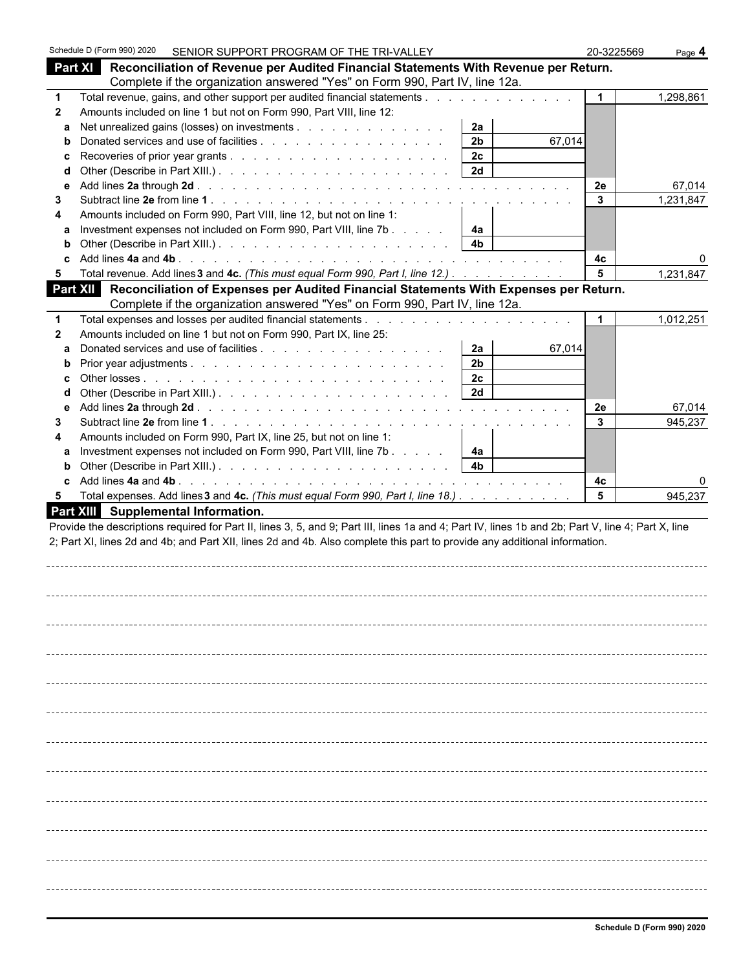|              | Schedule D (Form 990) 2020 |                                                                      | SENIOR SUPPORT PROGRAM OF THE TRI-VALLEY                                                                                                                                                                                                                                         |                      |        | 20-3225569         | Page 4              |
|--------------|----------------------------|----------------------------------------------------------------------|----------------------------------------------------------------------------------------------------------------------------------------------------------------------------------------------------------------------------------------------------------------------------------|----------------------|--------|--------------------|---------------------|
|              |                            |                                                                      | Part XI Reconciliation of Revenue per Audited Financial Statements With Revenue per Return.                                                                                                                                                                                      |                      |        |                    |                     |
|              |                            |                                                                      | Complete if the organization answered "Yes" on Form 990, Part IV, line 12a.                                                                                                                                                                                                      |                      |        |                    |                     |
| $\mathbf 1$  |                            |                                                                      | Total revenue, gains, and other support per audited financial statements                                                                                                                                                                                                         |                      |        | $\mathbf{1}$       | 1,298,861           |
| $\mathbf{2}$ |                            | Amounts included on line 1 but not on Form 990, Part VIII, line 12:  |                                                                                                                                                                                                                                                                                  |                      |        |                    |                     |
| a            |                            |                                                                      | Net unrealized gains (losses) on investments                                                                                                                                                                                                                                     | 2a                   |        |                    |                     |
| b            |                            |                                                                      |                                                                                                                                                                                                                                                                                  | 2 <sub>b</sub>       | 67,014 |                    |                     |
| c            |                            |                                                                      |                                                                                                                                                                                                                                                                                  | 2c                   |        |                    |                     |
| d            |                            |                                                                      |                                                                                                                                                                                                                                                                                  | 2d                   |        |                    |                     |
| е<br>3       |                            |                                                                      |                                                                                                                                                                                                                                                                                  |                      |        | 2e<br>$\mathbf{3}$ | 67,014<br>1,231,847 |
| 4            |                            | Amounts included on Form 990, Part VIII, line 12, but not on line 1: |                                                                                                                                                                                                                                                                                  |                      |        |                    |                     |
| a            |                            |                                                                      | Investment expenses not included on Form 990, Part VIII, line 7b                                                                                                                                                                                                                 | 4a                   |        |                    |                     |
| b            |                            |                                                                      |                                                                                                                                                                                                                                                                                  | 4 <sub>b</sub>       |        |                    |                     |
|              |                            |                                                                      |                                                                                                                                                                                                                                                                                  |                      |        | 4c                 |                     |
| 5            |                            |                                                                      | Total revenue. Add lines 3 and 4c. (This must equal Form 990, Part I, line 12.)                                                                                                                                                                                                  |                      |        | 5                  | 1,231,847           |
|              |                            |                                                                      | Part XII Reconciliation of Expenses per Audited Financial Statements With Expenses per Return.                                                                                                                                                                                   |                      |        |                    |                     |
|              |                            |                                                                      | Complete if the organization answered "Yes" on Form 990, Part IV, line 12a.                                                                                                                                                                                                      |                      |        |                    |                     |
| 1            |                            |                                                                      |                                                                                                                                                                                                                                                                                  |                      |        |                    | 1,012,251           |
| $\mathbf{2}$ |                            | Amounts included on line 1 but not on Form 990, Part IX, line 25:    |                                                                                                                                                                                                                                                                                  |                      |        |                    |                     |
| a            |                            |                                                                      |                                                                                                                                                                                                                                                                                  | 2a<br>2 <sub>b</sub> | 67,014 |                    |                     |
| b            |                            |                                                                      |                                                                                                                                                                                                                                                                                  | 2 <sub>c</sub>       |        |                    |                     |
| d            |                            |                                                                      |                                                                                                                                                                                                                                                                                  | 2d                   |        |                    |                     |
| е            |                            |                                                                      |                                                                                                                                                                                                                                                                                  |                      |        | 2e                 | 67,014              |
| 3            |                            |                                                                      |                                                                                                                                                                                                                                                                                  |                      |        | 3                  | 945,237             |
| 4            |                            | Amounts included on Form 990, Part IX, line 25, but not on line 1:   |                                                                                                                                                                                                                                                                                  |                      |        |                    |                     |
| a            |                            |                                                                      | Investment expenses not included on Form 990, Part VIII, line 7b                                                                                                                                                                                                                 | 4a                   |        |                    |                     |
| b            |                            |                                                                      |                                                                                                                                                                                                                                                                                  | 4 <sub>b</sub>       |        |                    |                     |
| c.           |                            |                                                                      |                                                                                                                                                                                                                                                                                  |                      |        | 4с                 |                     |
| 5            |                            | Part XIII Supplemental Information.                                  | Total expenses. Add lines 3 and 4c. (This must equal Form 990, Part I, line 18.)                                                                                                                                                                                                 |                      |        | 5                  | 945,237             |
|              |                            |                                                                      | Provide the descriptions required for Part II, lines 3, 5, and 9; Part III, lines 1a and 4; Part IV, lines 1b and 2b; Part V, line 4; Part X, line<br>2; Part XI, lines 2d and 4b; and Part XII, lines 2d and 4b. Also complete this part to provide any additional information. |                      |        |                    |                     |
|              |                            |                                                                      |                                                                                                                                                                                                                                                                                  |                      |        |                    |                     |
|              |                            |                                                                      |                                                                                                                                                                                                                                                                                  |                      |        |                    |                     |
|              |                            |                                                                      |                                                                                                                                                                                                                                                                                  |                      |        |                    |                     |
|              |                            |                                                                      |                                                                                                                                                                                                                                                                                  |                      |        |                    |                     |
|              |                            |                                                                      |                                                                                                                                                                                                                                                                                  |                      |        |                    |                     |
|              |                            |                                                                      |                                                                                                                                                                                                                                                                                  |                      |        |                    |                     |
|              |                            |                                                                      |                                                                                                                                                                                                                                                                                  |                      |        |                    |                     |
|              |                            |                                                                      |                                                                                                                                                                                                                                                                                  |                      |        |                    |                     |
|              |                            |                                                                      |                                                                                                                                                                                                                                                                                  |                      |        |                    |                     |
|              |                            |                                                                      |                                                                                                                                                                                                                                                                                  |                      |        |                    |                     |
|              |                            |                                                                      |                                                                                                                                                                                                                                                                                  |                      |        |                    |                     |
|              |                            |                                                                      |                                                                                                                                                                                                                                                                                  |                      |        |                    |                     |
|              |                            |                                                                      |                                                                                                                                                                                                                                                                                  |                      |        |                    |                     |
|              |                            |                                                                      |                                                                                                                                                                                                                                                                                  |                      |        |                    |                     |
|              |                            |                                                                      |                                                                                                                                                                                                                                                                                  |                      |        |                    |                     |
|              |                            |                                                                      |                                                                                                                                                                                                                                                                                  |                      |        |                    |                     |
|              |                            |                                                                      |                                                                                                                                                                                                                                                                                  |                      |        |                    |                     |
|              |                            |                                                                      |                                                                                                                                                                                                                                                                                  |                      |        |                    |                     |
|              |                            |                                                                      |                                                                                                                                                                                                                                                                                  |                      |        |                    |                     |
|              |                            |                                                                      |                                                                                                                                                                                                                                                                                  |                      |        |                    |                     |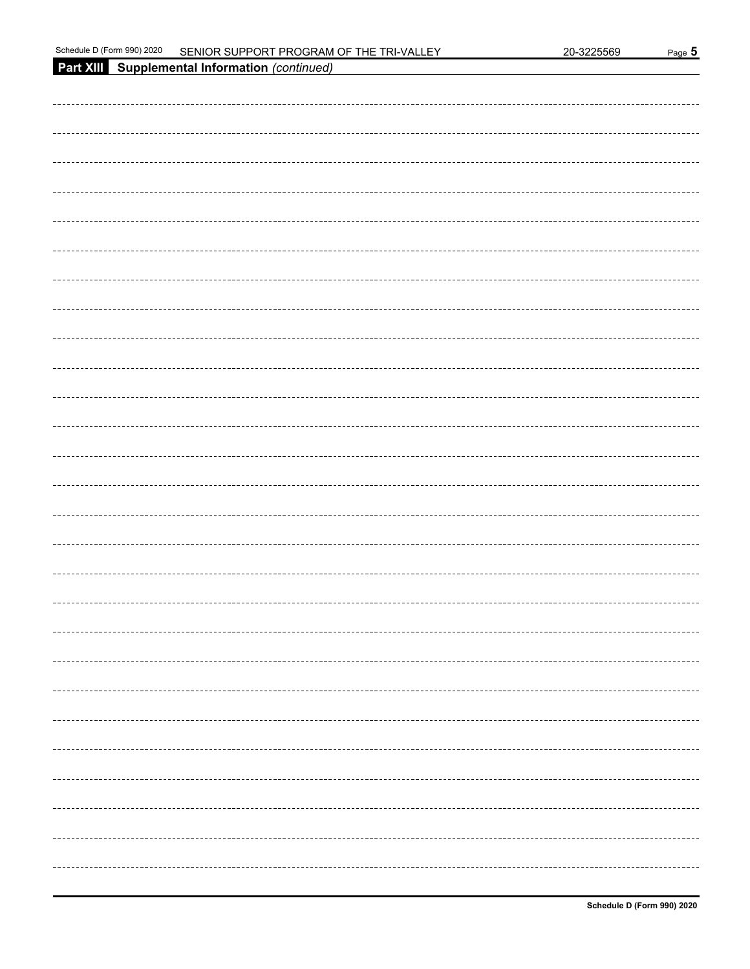| Schedule I<br>2020 ،<br>990)<br>Horm ل | : SUPPORT PROGRAM OF THE T<br>FNIOR.<br>וחד<br>WAI.<br><b>__</b><br>'N- | 3225569<br>. 20-32. | Page |
|----------------------------------------|-------------------------------------------------------------------------|---------------------|------|
|----------------------------------------|-------------------------------------------------------------------------|---------------------|------|

| Part XIII Supplemental Information (continued) |
|------------------------------------------------|
|                                                |
|                                                |
|                                                |
|                                                |
|                                                |
|                                                |
|                                                |
|                                                |
|                                                |
|                                                |
|                                                |
|                                                |
|                                                |
|                                                |
|                                                |
|                                                |
|                                                |
|                                                |
|                                                |
|                                                |
|                                                |
|                                                |
|                                                |
|                                                |
|                                                |
|                                                |
|                                                |
|                                                |
|                                                |
|                                                |
|                                                |
|                                                |
|                                                |
|                                                |
|                                                |
|                                                |
|                                                |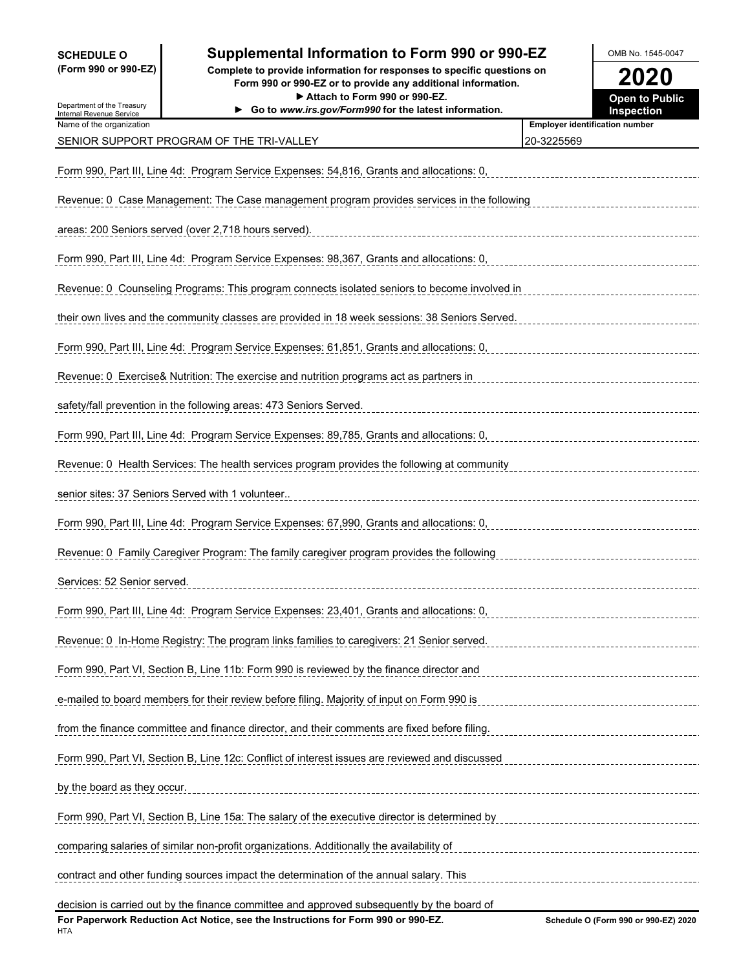### **SCHEDULE O Supplemental Information to Form 990 or 990-EZ OMB No. 1545-0047**

**(Form 990 or 990-EZ) Complete to provide information for responses to specific questions on Form 990 or 990-EZ or to provide any additional information. 2020** ▶ Attach to Form 990 or 990-EZ.

| Department of the Treasury<br>Internal Revenue Service                                     | Go to www.irs.gov/Form990 for the latest information.                                          | Inspection                            |  |  |  |  |  |
|--------------------------------------------------------------------------------------------|------------------------------------------------------------------------------------------------|---------------------------------------|--|--|--|--|--|
| Name of the organization                                                                   |                                                                                                | <b>Employer identification number</b> |  |  |  |  |  |
|                                                                                            | SENIOR SUPPORT PROGRAM OF THE TRI-VALLEY                                                       | 20-3225569                            |  |  |  |  |  |
|                                                                                            | Form 990, Part III, Line 4d: Program Service Expenses: 54,816, Grants and allocations: 0,      |                                       |  |  |  |  |  |
| Revenue: 0 Case Management: The Case management program provides services in the following |                                                                                                |                                       |  |  |  |  |  |
|                                                                                            | areas: 200 Seniors served (over 2,718 hours served).                                           |                                       |  |  |  |  |  |
|                                                                                            | Form 990, Part III, Line 4d: Program Service Expenses: 98,367, Grants and allocations: 0,      |                                       |  |  |  |  |  |
|                                                                                            | Revenue: 0 Counseling Programs: This program connects isolated seniors to become involved in   |                                       |  |  |  |  |  |
|                                                                                            | their own lives and the community classes are provided in 18 week sessions: 38 Seniors Served. |                                       |  |  |  |  |  |
|                                                                                            | Form 990, Part III, Line 4d: Program Service Expenses: 61,851, Grants and allocations: 0,      |                                       |  |  |  |  |  |
|                                                                                            | Revenue: 0 Exercise& Nutrition: The exercise and nutrition programs act as partners in         |                                       |  |  |  |  |  |
|                                                                                            | safety/fall prevention in the following areas: 473 Seniors Served.                             |                                       |  |  |  |  |  |
|                                                                                            | Form 990, Part III, Line 4d: Program Service Expenses: 89,785, Grants and allocations: 0,      |                                       |  |  |  |  |  |
|                                                                                            | Revenue: 0 Health Services: The health services program provides the following at community    |                                       |  |  |  |  |  |
|                                                                                            | senior sites: 37 Seniors Served with 1 volunteer                                               |                                       |  |  |  |  |  |
|                                                                                            | Form 990, Part III, Line 4d: Program Service Expenses: 67,990, Grants and allocations: 0,      |                                       |  |  |  |  |  |
|                                                                                            | Revenue: 0 Family Caregiver Program: The family caregiver program provides the following       |                                       |  |  |  |  |  |
| Services: 52 Senior served.                                                                |                                                                                                |                                       |  |  |  |  |  |
|                                                                                            | Form 990, Part III, Line 4d: Program Service Expenses: 23,401, Grants and allocations: 0,      |                                       |  |  |  |  |  |
|                                                                                            | Revenue: 0 In-Home Registry: The program links families to caregivers: 21 Senior served.       |                                       |  |  |  |  |  |
|                                                                                            | Form 990, Part VI, Section B, Line 11b: Form 990 is reviewed by the finance director and       |                                       |  |  |  |  |  |
|                                                                                            | e-mailed to board members for their review before filing. Majority of input on Form 990 is     |                                       |  |  |  |  |  |
|                                                                                            | from the finance committee and finance director, and their comments are fixed before filing.   |                                       |  |  |  |  |  |
|                                                                                            | Form 990, Part VI, Section B, Line 12c: Conflict of interest issues are reviewed and discussed |                                       |  |  |  |  |  |
| by the board as they occur.                                                                |                                                                                                |                                       |  |  |  |  |  |
|                                                                                            | Form 990, Part VI, Section B, Line 15a: The salary of the executive director is determined by  |                                       |  |  |  |  |  |
|                                                                                            | comparing salaries of similar non-profit organizations. Additionally the availability of       |                                       |  |  |  |  |  |
|                                                                                            | contract and other funding sources impact the determination of the annual salary. This         |                                       |  |  |  |  |  |

decision is carried out by the finance committee and approved subsequently by the board of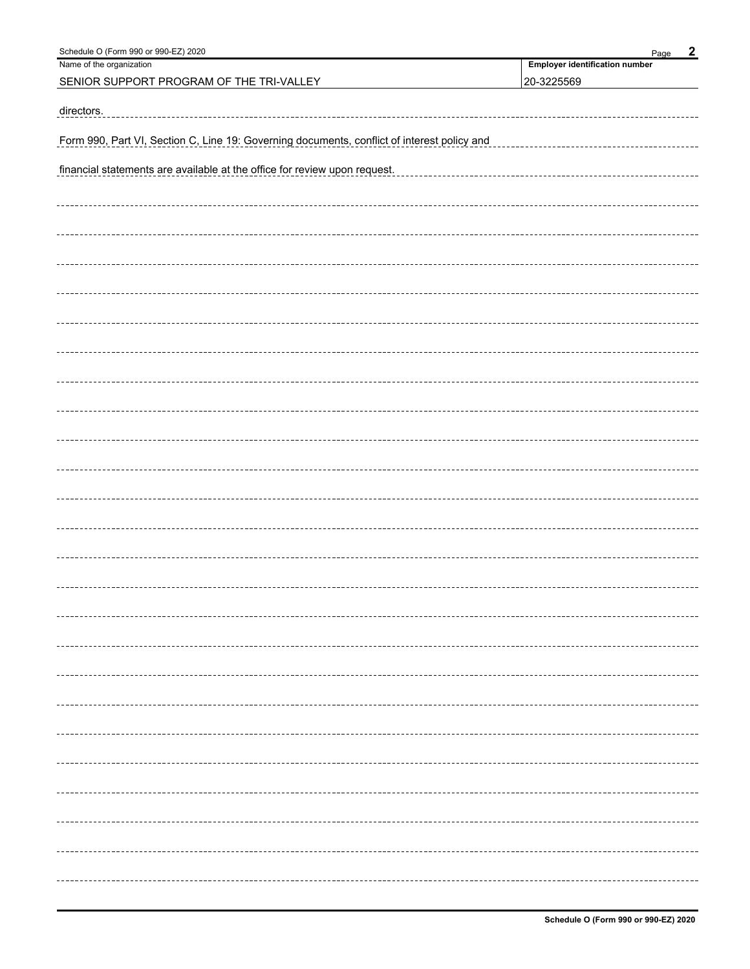| Schedule O (Form 990 or 990-EZ) 2020                                                        | $\boldsymbol{2}$<br>Page              |
|---------------------------------------------------------------------------------------------|---------------------------------------|
| Name of the organization                                                                    | <b>Employer identification number</b> |
| SENIOR SUPPORT PROGRAM OF THE TRI-VALLEY                                                    | 20-3225569                            |
| directors.                                                                                  |                                       |
| Form 990, Part VI, Section C, Line 19: Governing documents, conflict of interest policy and |                                       |
| financial statements are available at the office for review upon request.                   |                                       |
|                                                                                             |                                       |
|                                                                                             |                                       |
|                                                                                             |                                       |
|                                                                                             |                                       |
|                                                                                             |                                       |
|                                                                                             |                                       |
|                                                                                             |                                       |
|                                                                                             |                                       |
|                                                                                             |                                       |
|                                                                                             |                                       |
|                                                                                             |                                       |
|                                                                                             |                                       |
|                                                                                             |                                       |
|                                                                                             |                                       |
|                                                                                             |                                       |
|                                                                                             |                                       |
|                                                                                             |                                       |
|                                                                                             |                                       |
|                                                                                             |                                       |
|                                                                                             |                                       |
|                                                                                             |                                       |
|                                                                                             |                                       |
|                                                                                             |                                       |
|                                                                                             |                                       |
|                                                                                             |                                       |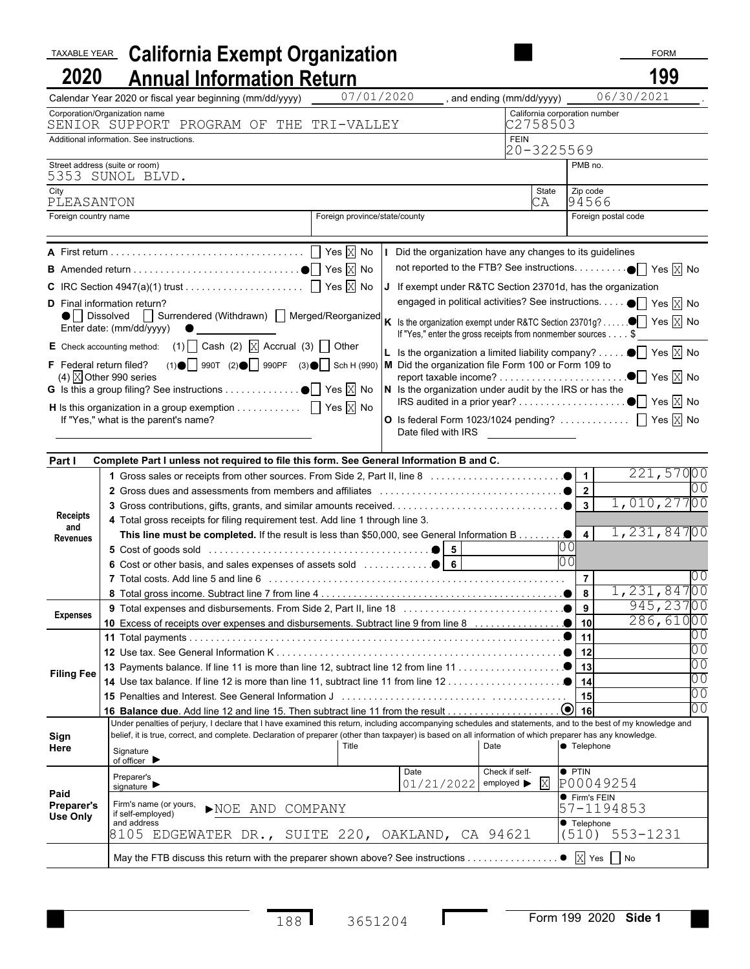| <b>TAXABLE YEAR</b>    | <b>California Exempt Organization</b>                                                                                                                                                                                                                                                                                                                                                                                                                                                                                                                                                      |                               |                                                                                                                                                                                                                                                                                                                                                                                    |                                                               |                                      | <b>FORM</b>                                                                                |     |  |
|------------------------|--------------------------------------------------------------------------------------------------------------------------------------------------------------------------------------------------------------------------------------------------------------------------------------------------------------------------------------------------------------------------------------------------------------------------------------------------------------------------------------------------------------------------------------------------------------------------------------------|-------------------------------|------------------------------------------------------------------------------------------------------------------------------------------------------------------------------------------------------------------------------------------------------------------------------------------------------------------------------------------------------------------------------------|---------------------------------------------------------------|--------------------------------------|--------------------------------------------------------------------------------------------|-----|--|
| 2020                   | <b>Annual Information Return</b>                                                                                                                                                                                                                                                                                                                                                                                                                                                                                                                                                           |                               |                                                                                                                                                                                                                                                                                                                                                                                    |                                                               |                                      | 199                                                                                        |     |  |
|                        | Calendar Year 2020 or fiscal year beginning (mm/dd/yyyy)                                                                                                                                                                                                                                                                                                                                                                                                                                                                                                                                   | 07/01/2020                    |                                                                                                                                                                                                                                                                                                                                                                                    | and ending (mm/dd/yyyy)                                       |                                      | 06/30/2021                                                                                 |     |  |
|                        | Corporation/Organization name<br>SENIOR SUPPORT PROGRAM OF THE TRI-VALLEY                                                                                                                                                                                                                                                                                                                                                                                                                                                                                                                  |                               |                                                                                                                                                                                                                                                                                                                                                                                    | California corporation number<br>C2758503                     |                                      |                                                                                            |     |  |
|                        | Additional information. See instructions.                                                                                                                                                                                                                                                                                                                                                                                                                                                                                                                                                  |                               |                                                                                                                                                                                                                                                                                                                                                                                    | <b>FEIN</b>                                                   |                                      |                                                                                            |     |  |
|                        |                                                                                                                                                                                                                                                                                                                                                                                                                                                                                                                                                                                            |                               |                                                                                                                                                                                                                                                                                                                                                                                    | 20-3225569                                                    |                                      |                                                                                            |     |  |
|                        | Street address (suite or room)<br>5353 SUNOL BLVD.                                                                                                                                                                                                                                                                                                                                                                                                                                                                                                                                         |                               |                                                                                                                                                                                                                                                                                                                                                                                    |                                                               | PMB no.                              |                                                                                            |     |  |
| City                   |                                                                                                                                                                                                                                                                                                                                                                                                                                                                                                                                                                                            |                               |                                                                                                                                                                                                                                                                                                                                                                                    | State                                                         | Zip code                             |                                                                                            |     |  |
| PLEASANTON             |                                                                                                                                                                                                                                                                                                                                                                                                                                                                                                                                                                                            |                               |                                                                                                                                                                                                                                                                                                                                                                                    | СA                                                            | 94566                                |                                                                                            |     |  |
| Foreign country name   |                                                                                                                                                                                                                                                                                                                                                                                                                                                                                                                                                                                            | Foreign province/state/county |                                                                                                                                                                                                                                                                                                                                                                                    |                                                               |                                      | Foreign postal code                                                                        |     |  |
|                        | <b>D</b> Final information return?<br>■ Dissolved I Surrendered (Withdrawn) I Merged/Reorganized K Is the organization exempt under R&TC Section 23701g?<br>Enter date: (mm/dd/yyyy)<br>E Check accounting method: (1) $\Box$ Cash (2) $\overline{\boxtimes}$ Accrual (3) $\Box$ Other<br>F Federal return filed? (1)   990T (2)   990PF (3)   Sch H (990)   M Did the organization file Form 100 or Form 109 to<br>(4) $\overline{X}$ Other 990 series<br><b>H</b> Is this organization in a group exemption $\Box$ Yes $\overline{\boxtimes}$ No<br>If "Yes," what is the parent's name? |                               | Did the organization have any changes to its guidelines<br>If exempt under R&TC Section 23701d, has the organization<br>engaged in political activities? See instructions.<br>If "Yes," enter the gross receipts from nonmember sources \$<br>$\vert$ Is the organization a limited liability company?<br><b>O</b> Is federal Form 1023/1024 pending? $\Box$ Yes $\overline{X}$ No |                                                               |                                      | $\bullet$ Yes $\overline{X}$ No<br>$\bullet$ Yes $X$ No<br>$\bullet$ Yes $\overline{X}$ No |     |  |
| Part I                 | Complete Part I unless not required to file this form. See General Information B and C.                                                                                                                                                                                                                                                                                                                                                                                                                                                                                                    |                               |                                                                                                                                                                                                                                                                                                                                                                                    |                                                               |                                      |                                                                                            |     |  |
|                        |                                                                                                                                                                                                                                                                                                                                                                                                                                                                                                                                                                                            |                               |                                                                                                                                                                                                                                                                                                                                                                                    |                                                               |                                      | 221,57000                                                                                  |     |  |
|                        |                                                                                                                                                                                                                                                                                                                                                                                                                                                                                                                                                                                            |                               |                                                                                                                                                                                                                                                                                                                                                                                    |                                                               |                                      |                                                                                            |     |  |
|                        |                                                                                                                                                                                                                                                                                                                                                                                                                                                                                                                                                                                            |                               |                                                                                                                                                                                                                                                                                                                                                                                    | 1,010,27700                                                   |                                      |                                                                                            |     |  |
| <b>Receipts</b>        | 4 Total gross receipts for filing requirement test. Add line 1 through line 3.                                                                                                                                                                                                                                                                                                                                                                                                                                                                                                             |                               |                                                                                                                                                                                                                                                                                                                                                                                    |                                                               |                                      |                                                                                            |     |  |
|                        |                                                                                                                                                                                                                                                                                                                                                                                                                                                                                                                                                                                            |                               |                                                                                                                                                                                                                                                                                                                                                                                    |                                                               |                                      | 1,231,84700                                                                                |     |  |
| and<br><b>Revenues</b> |                                                                                                                                                                                                                                                                                                                                                                                                                                                                                                                                                                                            |                               |                                                                                                                                                                                                                                                                                                                                                                                    |                                                               |                                      |                                                                                            |     |  |
|                        |                                                                                                                                                                                                                                                                                                                                                                                                                                                                                                                                                                                            |                               |                                                                                                                                                                                                                                                                                                                                                                                    |                                                               |                                      |                                                                                            |     |  |
|                        |                                                                                                                                                                                                                                                                                                                                                                                                                                                                                                                                                                                            |                               |                                                                                                                                                                                                                                                                                                                                                                                    |                                                               | $\overline{7}$                       |                                                                                            |     |  |
|                        |                                                                                                                                                                                                                                                                                                                                                                                                                                                                                                                                                                                            |                               |                                                                                                                                                                                                                                                                                                                                                                                    |                                                               |                                      | 1,231,84700                                                                                |     |  |
| <b>Expenses</b>        |                                                                                                                                                                                                                                                                                                                                                                                                                                                                                                                                                                                            |                               |                                                                                                                                                                                                                                                                                                                                                                                    |                                                               |                                      | 945,23700<br>286,61000                                                                     |     |  |
|                        |                                                                                                                                                                                                                                                                                                                                                                                                                                                                                                                                                                                            |                               |                                                                                                                                                                                                                                                                                                                                                                                    |                                                               | 11                                   |                                                                                            | 0 ( |  |
|                        |                                                                                                                                                                                                                                                                                                                                                                                                                                                                                                                                                                                            |                               |                                                                                                                                                                                                                                                                                                                                                                                    |                                                               |                                      |                                                                                            | 00  |  |
|                        |                                                                                                                                                                                                                                                                                                                                                                                                                                                                                                                                                                                            |                               |                                                                                                                                                                                                                                                                                                                                                                                    |                                                               | 00                                   |                                                                                            |     |  |
| <b>Filing Fee</b>      |                                                                                                                                                                                                                                                                                                                                                                                                                                                                                                                                                                                            |                               |                                                                                                                                                                                                                                                                                                                                                                                    |                                                               |                                      |                                                                                            | ЭŌ  |  |
|                        |                                                                                                                                                                                                                                                                                                                                                                                                                                                                                                                                                                                            |                               | 15                                                                                                                                                                                                                                                                                                                                                                                 |                                                               | ЭŌ                                   |                                                                                            |     |  |
|                        |                                                                                                                                                                                                                                                                                                                                                                                                                                                                                                                                                                                            |                               |                                                                                                                                                                                                                                                                                                                                                                                    |                                                               |                                      |                                                                                            | ЭŌ  |  |
|                        | Under penalties of perjury, I declare that I have examined this return, including accompanying schedules and statements, and to the best of my knowledge and                                                                                                                                                                                                                                                                                                                                                                                                                               |                               |                                                                                                                                                                                                                                                                                                                                                                                    |                                                               |                                      |                                                                                            |     |  |
| Sign                   | belief, it is true, correct, and complete. Declaration of preparer (other than taxpayer) is based on all information of which preparer has any knowledge.                                                                                                                                                                                                                                                                                                                                                                                                                                  | Title                         | Date                                                                                                                                                                                                                                                                                                                                                                               |                                                               | <b>C</b> Telephone                   |                                                                                            |     |  |
| Here                   | Signature<br>of officer $\blacktriangleright$                                                                                                                                                                                                                                                                                                                                                                                                                                                                                                                                              |                               |                                                                                                                                                                                                                                                                                                                                                                                    |                                                               |                                      |                                                                                            |     |  |
|                        | Preparer's<br>signature $\blacktriangleright$                                                                                                                                                                                                                                                                                                                                                                                                                                                                                                                                              |                               | Date<br>01/21/2022                                                                                                                                                                                                                                                                                                                                                                 | Check if self-<br>employed $\blacktriangleright \overline{X}$ | <b>• PTIN</b><br>P00049254           |                                                                                            |     |  |
| Paid<br>Preparer's     | Firm's name (or yours,                                                                                                                                                                                                                                                                                                                                                                                                                                                                                                                                                                     |                               |                                                                                                                                                                                                                                                                                                                                                                                    |                                                               | Firm's FEIN                          |                                                                                            |     |  |
| Use Only               | NOE AND COMPANY<br>if self-employed)                                                                                                                                                                                                                                                                                                                                                                                                                                                                                                                                                       |                               |                                                                                                                                                                                                                                                                                                                                                                                    |                                                               | 57-1194853                           |                                                                                            |     |  |
|                        | and address<br>8105 EDGEWATER DR., SUITE 220, OAKLAND, CA 94621                                                                                                                                                                                                                                                                                                                                                                                                                                                                                                                            |                               |                                                                                                                                                                                                                                                                                                                                                                                    |                                                               | <b>Telephone</b><br>$(510)$ 553-1231 |                                                                                            |     |  |
|                        |                                                                                                                                                                                                                                                                                                                                                                                                                                                                                                                                                                                            |                               |                                                                                                                                                                                                                                                                                                                                                                                    |                                                               |                                      |                                                                                            |     |  |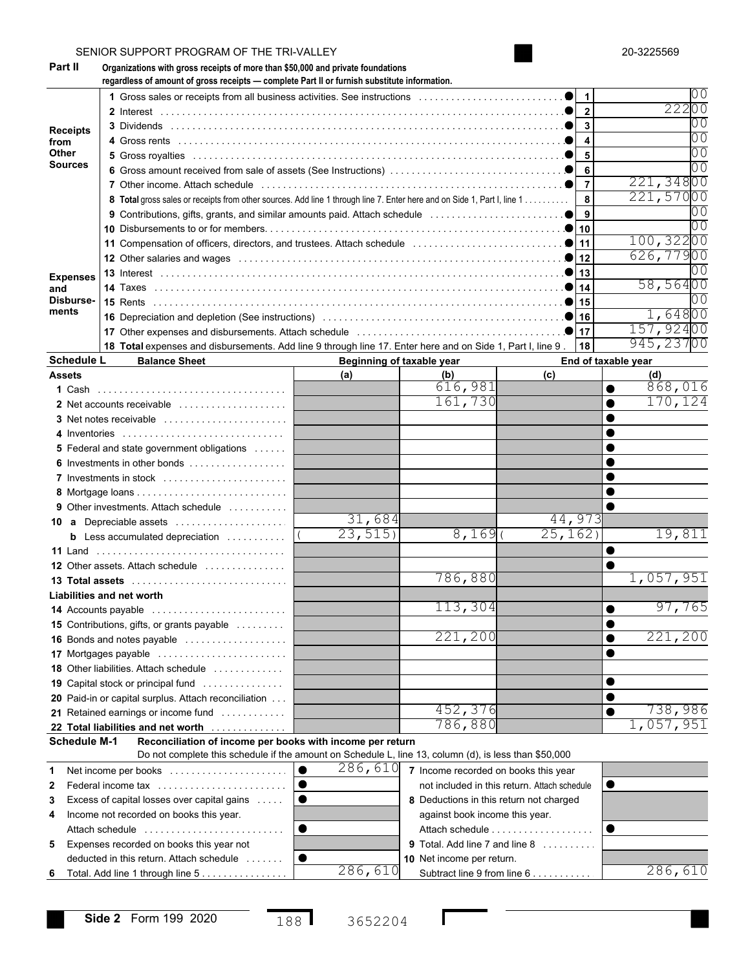|                                                                                                                                                                                             | SENIOR SUPPORT PROGRAM OF THE TRI-VALLEY                                                                                                                                        |                           |                                              |                     | 20-3225569 |
|---------------------------------------------------------------------------------------------------------------------------------------------------------------------------------------------|---------------------------------------------------------------------------------------------------------------------------------------------------------------------------------|---------------------------|----------------------------------------------|---------------------|------------|
| Part II                                                                                                                                                                                     | Organizations with gross receipts of more than \$50,000 and private foundations<br>regardless of amount of gross receipts - complete Part II or furnish substitute information. |                           |                                              |                     |            |
|                                                                                                                                                                                             |                                                                                                                                                                                 |                           |                                              |                     |            |
|                                                                                                                                                                                             |                                                                                                                                                                                 |                           |                                              |                     | 22200      |
|                                                                                                                                                                                             |                                                                                                                                                                                 |                           |                                              | $\overline{3}$      |            |
| from                                                                                                                                                                                        |                                                                                                                                                                                 |                           |                                              | $\overline{4}$      |            |
| Other                                                                                                                                                                                       |                                                                                                                                                                                 |                           |                                              | 5                   |            |
|                                                                                                                                                                                             |                                                                                                                                                                                 |                           |                                              | 6                   |            |
|                                                                                                                                                                                             |                                                                                                                                                                                 |                           |                                              |                     | 221,34800  |
|                                                                                                                                                                                             | 8 Total gross sales or receipts from other sources. Add line 1 through line 7. Enter here and on Side 1, Part I, line 1                                                         |                           |                                              | 8                   | 221,57000  |
|                                                                                                                                                                                             |                                                                                                                                                                                 |                           |                                              | 9                   |            |
| <b>Receipts</b><br><b>Sources</b><br><b>Expenses</b><br>and<br>Disburse-<br>ments<br><b>Schedule L</b><br><b>Assets</b><br><b>14 Accounts payable</b><br><b>Schedule M-1</b><br>1<br>3<br>4 |                                                                                                                                                                                 |                           |                                              |                     |            |
|                                                                                                                                                                                             |                                                                                                                                                                                 |                           |                                              |                     | 100,32200  |
|                                                                                                                                                                                             |                                                                                                                                                                                 |                           |                                              |                     | 626,77900  |
|                                                                                                                                                                                             |                                                                                                                                                                                 |                           |                                              |                     |            |
|                                                                                                                                                                                             |                                                                                                                                                                                 |                           |                                              |                     | 58,56400   |
|                                                                                                                                                                                             |                                                                                                                                                                                 |                           |                                              |                     |            |
|                                                                                                                                                                                             |                                                                                                                                                                                 |                           |                                              |                     | 1,64800    |
|                                                                                                                                                                                             |                                                                                                                                                                                 |                           |                                              |                     | 157,92400  |
|                                                                                                                                                                                             |                                                                                                                                                                                 |                           |                                              |                     |            |
|                                                                                                                                                                                             | 18 Total expenses and disbursements. Add line 9 through line 17. Enter here and on Side 1, Part I, line 9                                                                       |                           |                                              | 18                  | 945,23700  |
|                                                                                                                                                                                             | <b>Balance Sheet</b>                                                                                                                                                            | Beginning of taxable year |                                              | End of taxable year |            |
|                                                                                                                                                                                             |                                                                                                                                                                                 | (a)                       | (b)                                          | (c)                 | (d)        |
|                                                                                                                                                                                             |                                                                                                                                                                                 |                           | 616,981                                      |                     | 868,016    |
|                                                                                                                                                                                             | 2 Net accounts receivable                                                                                                                                                       |                           | 161,730                                      |                     | 170,124    |
|                                                                                                                                                                                             |                                                                                                                                                                                 |                           |                                              |                     |            |
|                                                                                                                                                                                             | 4 Inventories                                                                                                                                                                   |                           |                                              |                     |            |
|                                                                                                                                                                                             | <b>5</b> Federal and state government obligations                                                                                                                               |                           |                                              |                     |            |
|                                                                                                                                                                                             | 6 Investments in other bonds                                                                                                                                                    |                           |                                              |                     |            |
|                                                                                                                                                                                             | 7 Investments in stock                                                                                                                                                          |                           |                                              |                     |            |
|                                                                                                                                                                                             |                                                                                                                                                                                 |                           |                                              |                     |            |
|                                                                                                                                                                                             | <b>9</b> Other investments. Attach schedule                                                                                                                                     |                           |                                              |                     |            |
|                                                                                                                                                                                             | 10 a Depreciable assets                                                                                                                                                         | 31,684                    |                                              | 44,973              |            |
|                                                                                                                                                                                             |                                                                                                                                                                                 | 23,515                    | 8,169                                        | 25,162)             | 19,811     |
|                                                                                                                                                                                             | <b>b</b> Less accumulated depreciation $\ldots \ldots \ldots$                                                                                                                   |                           |                                              |                     |            |
|                                                                                                                                                                                             |                                                                                                                                                                                 |                           |                                              |                     |            |
|                                                                                                                                                                                             | 12 Other assets. Attach schedule                                                                                                                                                |                           |                                              |                     |            |
|                                                                                                                                                                                             |                                                                                                                                                                                 |                           | 786,880                                      |                     | 1,057,951  |
|                                                                                                                                                                                             | Liabilities and net worth                                                                                                                                                       |                           |                                              |                     |            |
|                                                                                                                                                                                             |                                                                                                                                                                                 |                           | 113,304                                      |                     | 97,765     |
|                                                                                                                                                                                             | 15 Contributions, gifts, or grants payable                                                                                                                                      |                           |                                              |                     |            |
|                                                                                                                                                                                             | 16 Bonds and notes payable                                                                                                                                                      |                           | 221,200                                      |                     | 221,200    |
|                                                                                                                                                                                             | 17 Mortgages payable                                                                                                                                                            |                           |                                              |                     |            |
|                                                                                                                                                                                             | 18 Other liabilities. Attach schedule                                                                                                                                           |                           |                                              |                     |            |
|                                                                                                                                                                                             | <b>19</b> Capital stock or principal fund                                                                                                                                       |                           |                                              |                     |            |
|                                                                                                                                                                                             | 20 Paid-in or capital surplus. Attach reconciliation                                                                                                                            |                           |                                              |                     |            |
|                                                                                                                                                                                             | 21 Retained earnings or income fund                                                                                                                                             |                           | 452,376                                      |                     | 738,986    |
|                                                                                                                                                                                             |                                                                                                                                                                                 |                           | 786,880                                      |                     | 1,057,951  |
|                                                                                                                                                                                             | 22 Total liabilities and net worth                                                                                                                                              |                           |                                              |                     |            |
|                                                                                                                                                                                             | Reconciliation of income per books with income per return                                                                                                                       |                           |                                              |                     |            |
|                                                                                                                                                                                             | Do not complete this schedule if the amount on Schedule L, line 13, column (d), is less than \$50,000                                                                           |                           |                                              |                     |            |
|                                                                                                                                                                                             | Net income per books                                                                                                                                                            | 286,610<br>lo             | 7 Income recorded on books this year         |                     |            |
|                                                                                                                                                                                             | 2 Federal income tax                                                                                                                                                            | । ●                       | not included in this return. Attach schedule |                     | ●          |
|                                                                                                                                                                                             | Excess of capital losses over capital gains                                                                                                                                     | $\bullet$                 | 8 Deductions in this return not charged      |                     |            |
|                                                                                                                                                                                             | Income not recorded on books this year.                                                                                                                                         |                           | against book income this year.               |                     |            |
|                                                                                                                                                                                             | Attach schedule                                                                                                                                                                 | $\bullet$                 | Attach schedule                              |                     | $\bullet$  |
|                                                                                                                                                                                             | 5 Expenses recorded on books this year not                                                                                                                                      |                           | 9 Total. Add line 7 and line 8               |                     |            |
|                                                                                                                                                                                             | deducted in this return. Attach schedule                                                                                                                                        | $\bullet$                 | 10 Net income per return.                    |                     |            |
|                                                                                                                                                                                             |                                                                                                                                                                                 | 286,610                   |                                              |                     | 286,610    |
|                                                                                                                                                                                             | 6 Total. Add line 1 through line 5                                                                                                                                              |                           | Subtract line 9 from line 6                  |                     |            |

Г